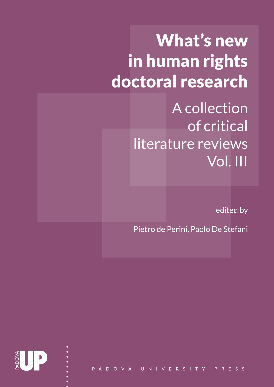# What's new in human rights doctoral research

A collection of critical literature reviews Vol. III

edited by

Pietro de Perini, Paolo De Stefani

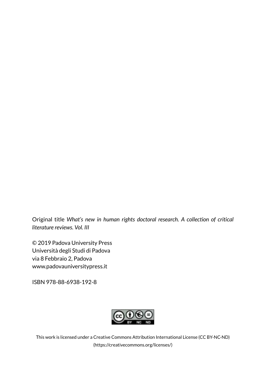Original title *What's new in human rights doctoral research. A collection of critical literature reviews. Vol. III*

© 2019 Padova University Press Università degli Studi di Padova via 8 Febbraio 2, Padova www.padovauniversitypress.it

ISBN 978-88-6938-192-8



This work is licensed under a Creative Commons Attribution International License (CC BY-NC-ND) (https://creativecommons.org/licenses/)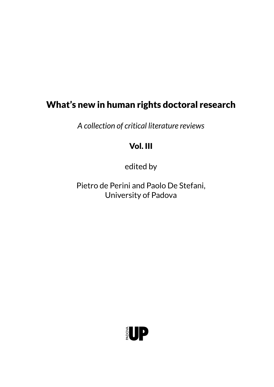# What's new in human rights doctoral research

*A collection of critical literature reviews*

# Vol. III

edited by

Pietro de Perini and Paolo De Stefani, University of Padova

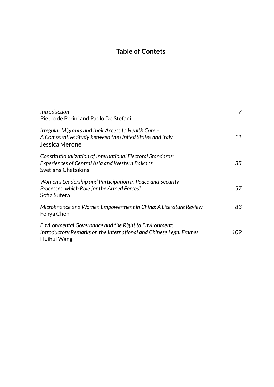# **Table of Contets**

| <i><u><b>Introduction</b></u></i><br>Pietro de Perini and Paolo De Stefani                                                                   | 7    |
|----------------------------------------------------------------------------------------------------------------------------------------------|------|
| - Irregular Migrants and their Access to Health Care<br>A Comparative Study between the United States and Italy<br>Jessica Merone            | 11   |
| Constitutionalization of International Electoral Standards:<br><b>Experiences of Central Asia and Western Balkans</b><br>Svetlana Chetaikina | 35   |
| Women's Leadership and Participation in Peace and Security<br>Processes: which Role for the Armed Forces?<br>Sofia Sutera                    | 57   |
| Microfinance and Women Empowerment in China: A Literature Review<br>Fenya Chen                                                               | 83   |
| Environmental Governance and the Right to Environment:<br>Introductory Remarks on the International and Chinese Legal Frames<br>Huihui Wang  | 109. |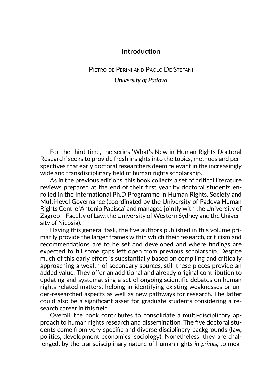# **Introduction**

# <span id="page-7-0"></span>Pietro de Perini and Paolo De Stefani *University of Padova*

For the third time, the series 'What's New in Human Rights Doctoral Research' seeks to provide fresh insights into the topics, methods and perspectives that early doctoral researchers deem relevant in the increasingly wide and transdisciplinary field of human rights scholarship.

As in the previous editions, this book collects a set of critical literature reviews prepared at the end of their first year by doctoral students enrolled in the International Ph.D Programme in Human Rights, Society and Multi-level Governance (coordinated by the University of Padova Human Rights Centre 'Antonio Papisca' and managed jointly with the University of Zagreb – Faculty of Law, the University of Western Sydney and the University of Nicosia).

Having this general task, the five authors published in this volume primarily provide the larger frames within which their research, criticism and recommendations are to be set and developed and where findings are expected to fill some gaps left open from previous scholarship. Despite much of this early effort is substantially based on compiling and critically approaching a wealth of secondary sources, still these pieces provide an added value. They offer an additional and already original contribution to updating and systematising a set of ongoing scientific debates on human rights-related matters, helping in identifying existing weaknesses or under-researched aspects as well as new pathways for research. The latter could also be a significant asset for graduate students considering a research career in this field.

Overall, the book contributes to consolidate a multi-disciplinary approach to human rights research and dissemination. The five doctoral students come from very specific and diverse disciplinary backgrounds (law, politics, development economics, sociology). Nonetheless, they are challenged, by the transdisciplinary nature of human rights *in primis*, to mea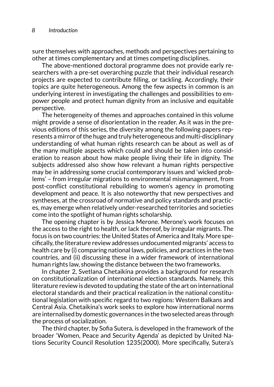sure themselves with approaches, methods and perspectives pertaining to other at times complementary and at times competing disciplines.

The above-mentioned doctoral programme does not provide early researchers with a pre-set overarching puzzle that their individual research projects are expected to contribute filling, or tackling. Accordingly, their topics are quite heterogeneous. Among the few aspects in common is an underlying interest in investigating the challenges and possibilities to empower people and protect human dignity from an inclusive and equitable perspective.

The heterogeneity of themes and approaches contained in this volume might provide a sense of disorientation in the reader. As it was in the previous editions of this series, the diversity among the following papers represents a mirror of the huge and truly heterogeneous and multi-disciplinary understanding of what human rights research can be about as well as of the many multiple aspects which could and should be taken into consideration to reason about how make people living their life in dignity. The subjects addressed also show how relevant a human rights perspective may be in addressing some crucial contemporary issues and 'wicked problems' – from irregular migrations to environmental mismanagement, from post-conflict constitutional rebuilding to women's agency in promoting development and peace. It is also noteworthy that new perspectives and syntheses, at the crossroad of normative and policy standards and practices, may emerge when relatively under-researched territories and societies come into the spotlight of human rights scholarship.

The opening chapter is by Jessica Merone. Merone's work focuses on the access to the right to health, or lack thereof, by irregular migrants. The focus is on two countries: the United States of America and Italy. More specifically, the literature review addresses undocumented migrants' access to health care by (i) comparing national laws, policies, and practices in the two countries, and (ii) discussing these in a wider framework of international human rights law, showing the distance between the two frameworks.

In chapter 2, Svetlana Chetaikina provides a background for research on constitutionalization of international election standards. Namely, this literature review is devoted to updating the state of the art on international electoral standards and their practical realization in the national constitutional legislation with specific regard to two regions: Western Balkans and Central Asia. Chetaikina's work seeks to explore how international norms are internalised by domestic governances in the two selected areas through the process of socialization.

The third chapter, by Sofia Sutera, is developed in the framework of the broader 'Women, Peace and Security Agenda' as depicted by United Nations Security Council Resolution 1235(2000). More specifically, Sutera's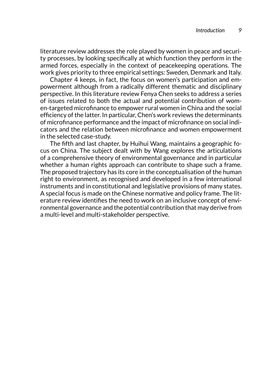literature review addresses the role played by women in peace and security processes, by looking specifically at which function they perform in the armed forces, especially in the context of peacekeeping operations. The work gives priority to three empirical settings: Sweden, Denmark and Italy.

Chapter 4 keeps, in fact, the focus on women's participation and empowerment although from a radically different thematic and disciplinary perspective. In this literature review Fenya Chen seeks to address a series of issues related to both the actual and potential contribution of women-targeted microfinance to empower rural women in China and the social efficiency of the latter. In particular, Chen's work reviews the determinants of microfinance performance and the impact of microfinance on social indicators and the relation between microfinance and women empowerment in the selected case-study.

The fifth and last chapter, by Huihui Wang, maintains a geographic focus on China. The subject dealt with by Wang explores the articulations of a comprehensive theory of environmental governance and in particular whether a human rights approach can contribute to shape such a frame. The proposed trajectory has its core in the conceptualisation of the human right to environment, as recognised and developed in a few international instruments and in constitutional and legislative provisions of many states. A special focus is made on the Chinese normative and policy frame. The literature review identifies the need to work on an inclusive concept of environmental governance and the potential contribution that may derive from a multi-level and multi-stakeholder perspective.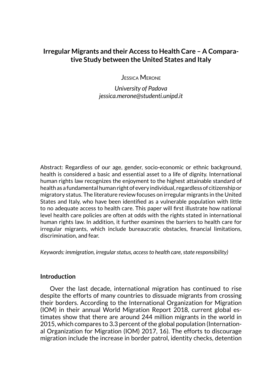# <span id="page-11-0"></span>**Irregular Migrants and their Access to Health Care – A Comparative Study between the United States and Italy**

Jessica Merone

*University of Padova jessica.merone@studenti.unipd.it*

Abstract: Regardless of our age, gender, socio-economic or ethnic background, health is considered a basic and essential asset to a life of dignity. International human rights law recognizes the enjoyment to the highest attainable standard of health as a fundamental human right of every individual, regardless of citizenship or migratory status. The literature review focuses on irregular migrants in the United States and Italy, who have been identified as a vulnerable population with little to no adequate access to health care. This paper will first illustrate how national level health care policies are often at odds with the rights stated in international human rights law. In addition, it further examines the barriers to health care for irregular migrants, which include bureaucratic obstacles, financial limitations, discrimination, and fear.

*Keywords: immigration, irregular status, access to health care, state responsibility)* 

#### **Introduction**

Over the last decade, international migration has continued to rise despite the efforts of many countries to dissuade migrants from crossing their borders. According to the International Organization for Migration (IOM) in their annual World Migration Report 2018, current global estimates show that there are around 244 million migrants in the world in 2015, which compares to 3.3 percent of the global population (International Organization for Migration (IOM) 2017, 16). The efforts to discourage migration include the increase in border patrol, identity checks, detention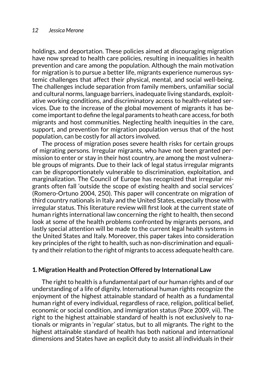holdings, and deportation. These policies aimed at discouraging migration have now spread to health care policies, resulting in inequalities in health prevention and care among the population. Although the main motivation for migration is to pursue a better life, migrants experience numerous systemic challenges that affect their physical, mental, and social well-being. The challenges include separation from family members, unfamiliar social and cultural norms, language barriers, inadequate living standards, exploitative working conditions, and discriminatory access to health-related services. Due to the increase of the global movement of migrants it has become important to define the legal paraments to heath care access, for both migrants and host communities. Neglecting health inequities in the care, support, and prevention for migration population versus that of the host population, can be costly for all actors involved.

The process of migration poses severe health risks for certain groups of migrating persons. Irregular migrants, who have not been granted permission to enter or stay in their host country, are among the most vulnerable groups of migrants. Due to their lack of legal status irregular migrants can be disproportionately vulnerable to discrimination, exploitation, and marginalization. The Council of Europe has recognized that irregular migrants often fall 'outside the scope of existing health and social services' (Romero-Ortuno 2004, 250). This paper will concentrate on migration of third country nationals in Italy and the United States, especially those with irregular status. This literature review will first look at the current state of human rights international law concerning the right to health, then second look at some of the health problems confronted by migrants persons, and lastly special attention will be made to the current legal health systems in the United States and Italy. Moreover, this paper takes into consideration key principles of the right to health, such as non-discrimination and equality and their relation to the right of migrants to access adequate health care.

## **1***.* **Migration Health and Protection Offered by International Law**

The right to health is a fundamental part of our human rights and of our understanding of a life of dignity. International human rights recognize the enjoyment of the highest attainable standard of health as a fundamental human right of every individual, regardless of race, religion, political belief, economic or social condition, and immigration status (Pace 2009, vii). The right to the highest attainable standard of health is not exclusively to nationals or migrants in 'regular' status, but to all migrants. The right to the highest attainable standard of health has both national and international dimensions and States have an explicit duty to assist all individuals in their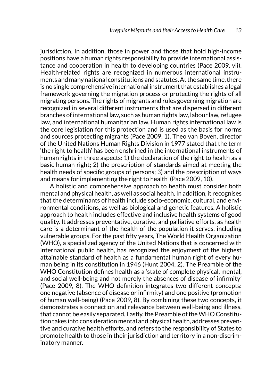jurisdiction. In addition, those in power and those that hold high-income positions have a human rights responsibility to provide international assistance and cooperation in health to developing countries (Pace 2009, vii). Health-related rights are recognized in numerous international instruments and many national constitutions and statutes. At the same time, there is no single comprehensive international instrument that establishes a legal framework governing the migration process or protecting the rights of all migrating persons. The rights of migrants and rules governing migration are recognized in several different instruments that are dispersed in different branches of international law, such as human rights law, labour law, refugee law, and international humanitarian law. Human rights international law is the core legislation for this protection and is used as the basis for norms and sources protecting migrants (Pace 2009, 1). Theo van Boven, director of the United Nations Human Rights Division in 1977 stated that the term 'the right to health' has been enshrined in the international instruments of human rights in three aspects: 1) the declaration of the right to health as a basic human right; 2) the prescription of standards aimed at meeting the health needs of specific groups of persons; 3) and the prescription of ways and means for implementing the right to health' (Pace 2009, 10).

A holistic and comprehensive approach to health must consider both mental and physical health, as well as social health. In addition, it recognises that the determinants of health include socio-economic, cultural, and environmental conditions, as well as biological and genetic features. A holistic approach to health includes effective and inclusive health systems of good quality. It addresses preventative, curative, and palliative efforts, as health care is a determinant of the health of the population it serves, including vulnerable groups. For the past fifty years, The World Health Organization (WHO), a specialized agency of the United Nations that is concerned with international public health, has recognized the enjoyment of the highest attainable standard of health as a fundamental human right of every human being in its constitution in 1946 (Hunt 2004, 2). The Preamble of the WHO Constitution defines health as a 'state of complete physical, mental, and social well-being and not merely the absences of disease of infirmity' (Pace 2009, 8). The WHO definition integrates two different concepts: one negative (absence of disease or infirmity) and one positive (promotion of human well-being) (Pace 2009, 8). By combining these two concepts, it demonstrates a connection and relevance between well-being and illness, that cannot be easily separated. Lastly, the Preamble of the WHO Constitution takes into consideration mental and physical health, addresses preventive and curative health efforts, and refers to the responsibility of States to promote health to those in their jurisdiction and territory in a non-discriminatory manner.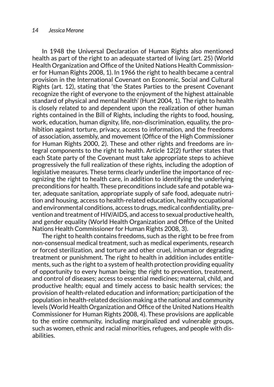In 1948 the Universal Declaration of Human Rights also mentioned health as part of the right to an adequate started of living (art. 25) (World Health Organization and Office of the United Nations Health Commissioner for Human Rights 2008, 1). In 1966 the right to health became a central provision in the International Covenant on Economic, Social and Cultural Rights (art. 12), stating that 'the States Parties to the present Covenant recognize the right of everyone to the enjoyment of the highest attainable standard of physical and mental health' (Hunt 2004, 1). The right to health is closely related to and dependent upon the realization of other human rights contained in the Bill of Rights, including the rights to food, housing, work, education, human dignity, life, non-discrimination, equality, the prohibition against torture, privacy, access to information, and the freedoms of association, assembly, and movement (Office of the High Commissioner for Human Rights 2000, 2). These and other rights and freedoms are integral components to the right to health. Article 12(2) further states that each State party of the Covenant must take appropriate steps to achieve progressively the full realization of these rights, including the adoption of legislative measures. These terms clearly underline the importance of recognizing the right to health care, in addition to identifying the underlying preconditions for health. These preconditions include safe and potable water, adequate sanitation, appropriate supply of safe food, adequate nutrition and housing, access to health-related education, healthy occupational and environmental conditions, access to drugs, medical confidentiality, prevention and treatment of HIV/AIDS, and access to sexual productive health, and gender equality (World Health Organization and Office of the United Nations Health Commissioner for Human Rights 2008, 3).

The right to health contains freedoms, such as the right to be free from non-consensual medical treatment, such as medical experiments, research or forced sterilization, and torture and other cruel, inhuman or degrading treatment or punishment. The right to health in addition includes entitlements, such as the right to a system of health protection providing equality of opportunity to every human being; the right to prevention, treatment, and control of diseases; access to essential medicines; maternal, child, and productive health; equal and timely access to basic health services; the provision of health-related education and information; participation of the population in health-related decision making a the national and community levels (World Health Organization and Office of the United Nations Health Commissioner for Human Rights 2008, 4). These provisions are applicable to the entire community, including marginalized and vulnerable groups, such as women, ethnic and racial minorities, refugees, and people with disabilities.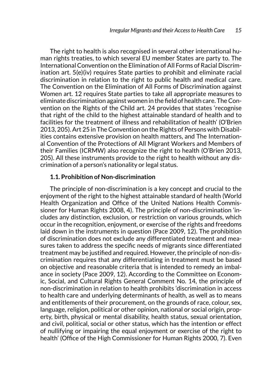The right to health is also recognised in several other international human rights treaties, to which several EU member States are party to. The International Convention on the Elimination of All Forms of Racial Discrimination art. 5(e)(iv) requires State parties to prohibit and eliminate racial discrimination in relation to the right to public health and medical care. The Convention on the Elimination of All Forms of Discrimination against Women art. 12 requires State parties to take all appropriate measures to eliminate discrimination against women in the field of health care. The Convention on the Rights of the Child art. 24 provides that states 'recognise that right of the child to the highest attainable standard of health and to facilities for the treatment of illness and rehabilitation of health' (O'Brien 2013, 205). Art 25 in The Convention on the Rights of Persons with Disabilities contains extensive provision on health matters, and The International Convention of the Protections of All Migrant Workers and Members of their Families (ICRMW) also recognize the right to health (O'Brien 2013, 205). All these instruments provide to the right to health without any discrimination of a person's nationality or legal status.

# **1.1. Prohibition of Non-discrimination**

The principle of non-discrimination is a key concept and crucial to the enjoyment of the right to the highest attainable standard of health (World Health Organization and Office of the United Nations Health Commissioner for Human Rights 2008, 4). The principle of non-discrimination 'includes any distinction, exclusion, or restriction on various grounds, which occur in the recognition, enjoyment, or exercise of the rights and freedoms laid down in the instruments in question (Pace 2009, 12). The prohibition of discrimination does not exclude any differentiated treatment and measures taken to address the specific needs of migrants since differentiated treatment may be justified and required. However, the principle of non-discrimination requires that any differentiating in treatment must be based on objective and reasonable criteria that is intended to remedy an imbalance in society (Pace 2009, 12). According to the Committee on Economic, Social, and Cultural Rights General Comment No. 14, the principle of non-discrimination in relation to health prohibits 'discrimination in access to health care and underlying determinants of health, as well as to means and entitlements of their procurement, on the grounds of race, colour, sex, language, religion, political or other opinion, national or social origin, property, birth, physical or mental disability, health status, sexual orientation, and civil, political, social or other status, which has the intention or effect of nullifying or impairing the equal enjoyment or exercise of the right to health' (Office of the High Commissioner for Human Rights 2000, 7). Even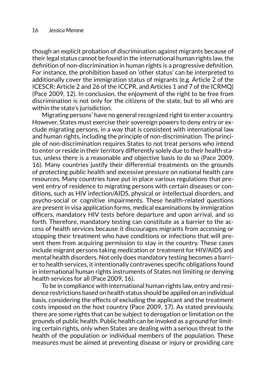though an explicit probation of discrimination against migrants because of their legal status cannot be found in the international human rights law, the definition of non-discrimination in human rights is a progressive definition. For instance, the prohibition based on 'other status' can be interpreted to additionally cover the immigration status of migrants (e.g. Article 2 of the ICESCR; Article 2 and 26 of the ICCPR, and Articles 1 and 7 of the ICRMQ) (Pace 2009, 12). In conclusion, the enjoyment of the right to be free from discrimination is not only for the citizens of the state, but to all who are within the state's jurisdiction.

Migrating persons' have no general recognized right to enter a country. However, States must exercise their sovereign powers to deny entry or exclude migrating persons, in a way that is consistent with international law and human rights, including the principle of non-discrimination. The principle of non-discrimination requires States to not treat persons who intend to enter or reside in their territory differently solely due to their health status, unless there is a reasonable and objective basis to do so (Pace 2009, 16). Many countries justify their differential treatments on the grounds of protecting public health and excessive pressure on national health care resources. Many countries have put in place various regulations that prevent entry of residence to migrating persons with certain diseases or conditions, such as HIV infection/AIDS, physical or intellectual disorders, and psycho-social or cognitive impairments. These health-related questions are present in visa application forms, medical examinations by immigration officers, mandatory HIV tests before departure and upon arrival, and so forth. Therefore, mandatory testing can constitute as a barrier to the access of health services because it discourages migrants from accessing or stopping their treatment who have conditions or infections that will prevent them from acquiring permission to stay in the country. These cases include migrant persons taking medication or treatment for HIV/AIDS and mental health disorders. Not only does mandatory testing becomes a barrier to health services, it intentionally contravenes specific obligations found in international human rights instruments of States not limiting or denying health services for all (Pace 2009, 16).

To be in compliance with international human rights law, entry and residence restrictions based on health status should be applied on an individual basis, considering the effects of excluding the applicant and the treatment costs imposed on the host country (Pace 2009, 17). As stated previously, there are some rights that can be subject to derogation or limitation on the grounds of public health. Public health can be invoked as a ground for limiting certain rights, only when States are dealing with a serious threat to the health of the population or individual members of the population. These measures must be aimed at preventing disease or injury or providing care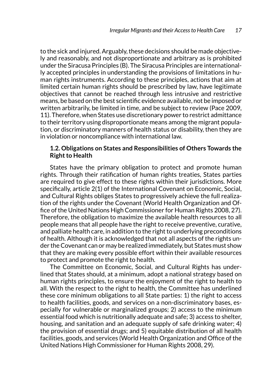to the sick and injured. Arguably, these decisions should be made objectively and reasonably, and not disproportionate and arbitrary as is prohibited under the Siracusa Principles (B). The Siracusa Principles are internationally accepted principles in understanding the provisions of limitations in human rights instruments. According to these principles, actions that aim at limited certain human rights should be prescribed by law, have legitimate objectives that cannot be reached through less intrusive and restrictive means, be based on the best scientific evidence available, not be imposed or written arbitrarily, be limited in time, and be subject to review (Pace 2009, 11). Therefore, when States use discretionary power to restrict admittance to their territory using disproportionate means among the migrant population, or discriminatory manners of health status or disability, then they are in violation or noncompliance with international law.

# **1.2. Obligations on States and Responsibilities of Others Towards the Right to Health**

States have the primary obligation to protect and promote human rights. Through their ratification of human rights treaties, States parties are required to give effect to these rights within their jurisdictions. More specifically, article 2(1) of the International Covenant on Economic, Social, and Cultural Rights obliges States to progressively achieve the full realization of the rights under the Covenant (World Health Organization and Office of the United Nations High Commissioner for Human Rights 2008, 27). Therefore, the obligation to maximize the available health resources to all people means that all people have the right to receive preventive, curative, and palliate health care, in addition to the right to underlying preconditions of health. Although it is acknowledged that not all aspects of the rights under the Covenant can or may be realized immediately, but States must show that they are making every possible effort within their available resources to protect and promote the right to health.

The Committee on Economic, Social, and Cultural Rights has underlined that States should, at a minimum, adopt a national strategy based on human rights principles, to ensure the enjoyment of the right to health to all. With the respect to the right to health, the Committee has underlined these core minimum obligations to all State parties: 1) the right to access to health facilities, goods, and services on a non-discriminatory bases, especially for vulnerable or marginalized groups; 2) access to the minimum essential food which is nutritionally adequate and safe; 3) access to shelter, housing, and sanitation and an adequate supply of safe drinking water; 4) the provision of essential drugs; and 5) equitable distribution of all health facilities, goods, and services (World Health Organization and Office of the United Nations High Commissioner for Human Rights 2008, 29).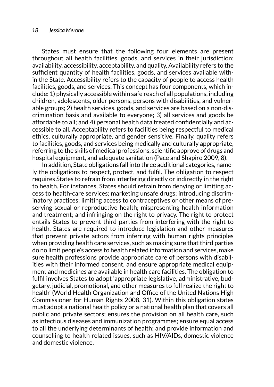States must ensure that the following four elements are present throughout all health facilities, goods, and services in their jurisdiction: availability, accessibility, acceptability, and quality. Availability refers to the sufficient quantity of health facilities, goods, and services available within the State. Accessibility refers to the capacity of people to access health facilities, goods, and services. This concept has four components, which include: 1) physically accessible within safe reach of all populations, including children, adolescents, older persons, persons with disabilities, and vulnerable groups; 2) health services, goods, and services are based on a non-discrimination basis and available to everyone; 3) all services and goods be affordable to all; and 4) personal health data treated confidentially and accessible to all. Acceptability refers to facilities being respectful to medical ethics, culturally appropriate, and gender sensitive. Finally, quality refers to facilities, goods, and services being medically and culturally appropriate, referring to the skills of medical professions, scientific approve of drugs and hospital equipment, and adequate sanitation (Pace and Shapiro 2009, 8).

In addition, State obligations fall into three additional categories, namely the obligations to respect, protect, and fulfil. The obligation to respect requires States to refrain from interfering directly or indirectly in the right to health. For instances, States should refrain from denying or limiting access to health-care services; marketing unsafe drugs; introducing discriminatory practices; limiting access to contraceptives or other means of preserving sexual or reproductive health; mispresenting health information and treatment; and infringing on the right to privacy. The right to protect entails States to prevent third parties from interfering with the right to health. States are required to introduce legislation and other measures that prevent private actors from inferring with human rights principles when providing health care services, such as making sure that third parties do no limit people's access to health related information and services, make sure health professions provide appropriate care of persons with disabilities with their informed consent, and ensure appropriate medical equipment and medicines are available in health care facilities. The obligation to fulfil involves States to adopt 'appropriate legislative, administrative, budgetary, judicial, promotional, and other measures to full realize the right to health' (World Health Organization and Office of the United Nations High Commissioner for Human Rights 2008, 31). Within this obligation states must adopt a national health policy or a national health plan that covers all public and private sectors; ensures the provision on all health care, such as infectious diseases and immunization programmes; ensure equal access to all the underlying determinants of health; and provide information and counselling to health related issues, such as HIV/AIDs, domestic violence and domestic violence.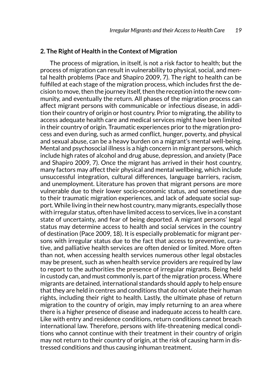## **2. The Right of Health in the Context of Migration**

The process of migration, in itself, is not a risk factor to health; but the process of migration can result in vulnerability to physical, social, and mental health problems (Pace and Shapiro 2009, 7). The right to health can be fulfilled at each stage of the migration process, which includes first the decision to move, then the journey itself, then the reception into the new community, and eventually the return. All phases of the migration process can affect migrant persons with communicable or infectious disease, in addition their country of origin or host country. Prior to migrating, the ability to access adequate health care and medical services might have been limited in their country of origin. Traumatic experiences prior to the migration process and even during, such as armed conflict, hunger, poverty, and physical and sexual abuse, can be a heavy burden on a migrant's mental well-being. Mental and psychosocial illness is a high concern in migrant persons, which include high rates of alcohol and drug abuse, depression, and anxiety (Pace and Shapiro 2009, 7). Once the migrant has arrived in their host country, many factors may affect their physical and mental wellbeing, which include unsuccessful integration, cultural differences, language barriers, racism, and unemployment. Literature has proven that migrant persons are more vulnerable due to their lower socio-economic status, and sometimes due to their traumatic migration experiences, and lack of adequate social support. While living in their new host country, many migrants, especially those with irregular status, often have limited access to services, live in a constant state of uncertainty, and fear of being deported. A migrant persons' legal status may determine access to health and social services in the country of destination (Pace 2009, 18). It is especially problematic for migrant persons with irregular status due to the fact that access to preventive, curative, and palliative health services are often denied or limited. More often than not, when accessing health services numerous other legal obstacles may be present, such as when health service providers are required by law to report to the authorities the presence of irregular migrants. Being held in custody can, and must commonly is, part of the migration process. Where migrants are detained, international standards should apply to help ensure that they are held in centres and conditions that do not violate their human rights, including their right to health. Lastly, the ultimate phase of return migration to the country of origin, may imply returning to an area where there is a higher presence of disease and inadequate access to health care. Like with entry and residence conditions, return conditions cannot breach international law. Therefore, persons with life-threatening medical conditions who cannot continue with their treatment in their country of origin may not return to their country of origin, at the risk of causing harm in distressed conditions and thus causing inhuman treatment.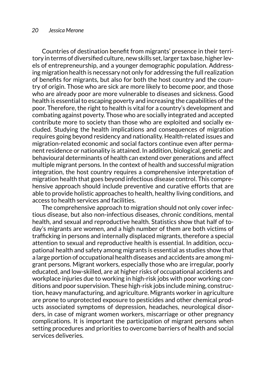#### *20 Jessica Merone*

Countries of destination benefit from migrants' presence in their territory in terms of diversified culture, new skills set, larger tax base, higher levels of entrepreneurship, and a younger demographic population. Addressing migration health is necessary not only for addressing the full realization of benefits for migrants, but also for both the host country and the country of origin. Those who are sick are more likely to become poor, and those who are already poor are more vulnerable to diseases and sickness. Good health is essential to escaping poverty and increasing the capabilities of the poor. Therefore, the right to health is vital for a country's development and combating against poverty. Those who are socially integrated and accepted contribute more to society than those who are exploited and socially excluded. Studying the health implications and consequences of migration requires going beyond residency and nationality. Health-related issues and migration-related economic and social factors continue even after permanent residence or nationality is attained. In addition, biological, genetic and behavioural determinants of health can extend over generations and affect multiple migrant persons. In the context of health and successful migration integration, the host country requires a comprehensive interpretation of migration health that goes beyond infectious disease control. This comprehensive approach should include preventive and curative efforts that are able to provide holistic approaches to health, healthy living conditions, and access to health services and facilities.

The comprehensive approach to migration should not only cover infectious disease, but also non-infectious diseases, chronic conditions, mental health, and sexual and reproductive health. Statistics show that half of today's migrants are women, and a high number of them are both victims of trafficking in persons and internally displaced migrants, therefore a special attention to sexual and reproductive health is essential. In addition, occupational health and safety among migrants is essential as studies show that a large portion of occupational health diseases and accidents are among migrant persons. Migrant workers, especially those who are irregular, poorly educated, and low-skilled, are at higher risks of occupational accidents and workplace injuries due to working in high-risk jobs with poor working conditions and poor supervision. These high-risk jobs include mining, construction, heavy manufacturing, and agriculture. Migrants worker in agriculture are prone to unprotected exposure to pesticides and other chemical products associated symptoms of depression, headaches, neurological disorders, in case of migrant women workers, miscarriage or other pregnancy complications. It is important the participation of migrant persons when setting procedures and priorities to overcome barriers of health and social services deliveries.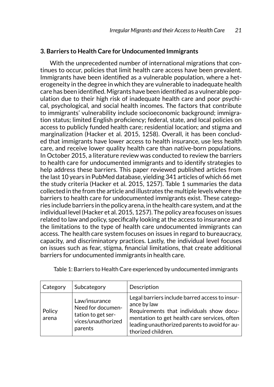# **3. Barriers to Health Care for Undocumented Immigrants**

With the unprecedented number of international migrations that continues to occur, policies that limit health care access have been prevalent. Immigrants have been identified as a vulnerable population, where a heterogeneity in the degree in which they are vulnerable to inadequate health care has been identified. Migrants have been identified as a vulnerable population due to their high risk of inadequate health care and poor psychical, psychological, and social health incomes. The factors that contribute to immigrants' vulnerability include socioeconomic background; immigration status; limited English proficiency; federal, state, and local policies on access to publicly funded health care; residential location; and stigma and marginalization (Hacker et al. 2015, 1258). Overall, it has been concluded that immigrants have lower access to health insurance, use less health care, and receive lower quality health care than native-born populations. In October 2015, a literature review was conducted to review the barriers to health care for undocumented immigrants and to identify strategies to help address these barriers. This paper reviewed published articles from the last 10 years in PubMed database, yielding 341 articles of which 66 met the study criteria (Hacker et al. 2015, 1257). Table 1 summaries the data collected in the from the article and illustrates the multiple levels where the barriers to health care for undocumented immigrants exist. These categories include barriers in the policy arena, in the health care system, and at the individual level (Hacker et al. 2015, 1257). The policy area focuses on issues related to law and policy, specifically looking at the access to insurance and the limitations to the type of health care undocumented immigrants can access. The health care system focuses on issues in regard to bureaucracy, capacity, and discriminatory practices. Lastly, the individual level focuses on issues such as fear, stigma, financial limitations, that create additional barriers for undocumented immigrants in health care.

| Category        | Subcategory                                                                               | Description                                                                                                                                                                                                                      |
|-----------------|-------------------------------------------------------------------------------------------|----------------------------------------------------------------------------------------------------------------------------------------------------------------------------------------------------------------------------------|
| Policy<br>arena | Law/insurance<br>Need for documen-<br>tation to get ser-<br>vices/unauthorized<br>parents | Legal barriers include barred access to insur-<br>ance by law<br>Requirements that individuals show docu-<br>mentation to get health care services, often<br>leading unauthorized parents to avoid for au-<br>thorized children. |

Table 1: Barriers to Health Care experienced by undocumented immigrants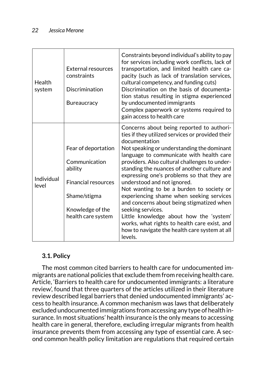| Health<br>system    | <b>External resources</b><br>constraints<br>Discrimination<br>Bureaucracy                                                               | Constraints beyond individual's ability to pay<br>for services including work conflicts, lack of<br>transportation, and limited health care ca-<br>pacity (such as lack of translation services,<br>cultural competency, and funding cuts)<br>Discrimination on the basis of documenta-<br>tion status resulting in stigma experienced<br>by undocumented immigrants<br>Complex paperwork or systems required to<br>gain access to health care                                                                                                                                                                                                                                                         |
|---------------------|-----------------------------------------------------------------------------------------------------------------------------------------|--------------------------------------------------------------------------------------------------------------------------------------------------------------------------------------------------------------------------------------------------------------------------------------------------------------------------------------------------------------------------------------------------------------------------------------------------------------------------------------------------------------------------------------------------------------------------------------------------------------------------------------------------------------------------------------------------------|
| Individual<br>level | Fear of deportation<br>Communication<br>ability<br><b>Financial resources</b><br>Shame/stigma<br>Knowledge of the<br>health care system | Concerns about being reported to authori-<br>ties if they utilized services or provided their<br>documentation<br>Not speaking or understanding the dominant<br>language to communicate with health care<br>providers. Also cultural challenges to under-<br>standing the nuances of another culture and<br>expressing one's problems so that they are<br>understood and not ignored.<br>Not wanting to be a burden to society or<br>experiencing shame when seeking services<br>and concerns about being stigmatized when<br>seeking services.<br>Little knowledge about how the 'system'<br>works, what rights to health care exist, and<br>how to navigate the health care system at all<br>levels. |

# **3.1. Policy**

The most common cited barriers to health care for undocumented immigrants are national policies that exclude them from receiving health care. Article, 'Barriers to health care for undocumented immigrants: a literature review', found that three quarters of the articles utilized in their literature review described legal barriers that denied undocumented immigrants' access to health insurance. A common mechanism was laws that deliberately excluded undocumented immigrations from accessing any type of health insurance. In most situations' health insurance is the only means to accessing health care in general, therefore, excluding irregular migrants from health insurance prevents them from accessing any type of essential care. A second common health policy limitation are regulations that required certain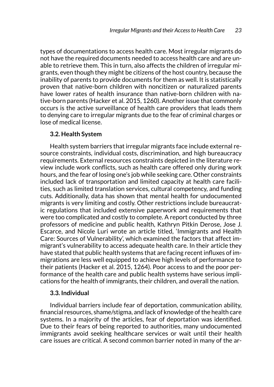types of documentations to access health care. Most irregular migrants do not have the required documents needed to access health care and are unable to retrieve them. This in turn, also affects the children of irregular migrants, even though they might be citizens of the host country, because the inability of parents to provide documents for them as well. It is statistically proven that native-born children with noncitizen or naturalized parents have lower rates of health insurance than native-born children with native-born parents (Hacker et al. 2015, 1260). Another issue that commonly occurs is the active surveillance of health care providers that leads them to denying care to irregular migrants due to the fear of criminal charges or lose of medical license.

## **3.2. Health System**

Health system barriers that irregular migrants face include external resource constraints, individual costs, discrimination, and high bureaucracy requirements. External resources constraints depicted in the literature review include work conflicts, such as health care offered only during work hours, and the fear of losing one's job while seeking care. Other constraints included lack of transportation and limited capacity at health care facilities, such as limited translation services, cultural competency, and funding cuts. Additionally, data has shown that mental health for undocumented migrants is very limiting and costly. Other restrictions include bureaucratic regulations that included extensive paperwork and requirements that were too complicated and costly to complete. A report conducted by three professors of medicine and public health, Kathryn Pitkin Derose, Jose J. Escarce, and Nicole Luri wrote an article titled, 'Immigrants and Health Care: Sources of Vulnerability', which examined the factors that affect immigrant's vulnerability to access adequate health care. In their article they have stated that public health systems that are facing recent influxes of immigrations are less well equipped to achieve high levels of performance to their patients (Hacker et al. 2015, 1264). Poor access to and the poor performance of the health care and public health systems have serious implications for the health of immigrants, their children, and overall the nation.

## **3.3. Individual**

Individual barriers include fear of deportation, communication ability, financial resources, shame/stigma, and lack of knowledge of the health care systems. In a majority of the articles, fear of deportation was identified. Due to their fears of being reported to authorities, many undocumented immigrants avoid seeking healthcare services or wait until their health care issues are critical. A second common barrier noted in many of the ar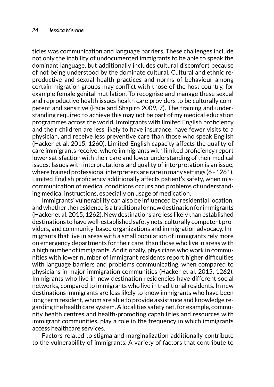ticles was communication and language barriers. These challenges include not only the inability of undocumented immigrants to be able to speak the dominant language, but additionally includes cultural discomfort because of not being understood by the dominate cultural. Cultural and ethnic reproductive and sexual health practices and norms of behaviour among certain migration groups may conflict with those of the host country, for example female genital mutilation. To recognise and manage these sexual and reproductive health issues health care providers to be culturally competent and sensitive (Pace and Shapiro 2009, 7). The training and understanding required to achieve this may not be part of my medical education programmes across the world. Immigrants with limited English proficiency and their children are less likely to have insurance, have fewer visits to a physician, and receive less preventive care than those who speak English (Hacker et al. 2015, 1260). Limited English capacity affects the quality of care immigrants receive, where immigrants with limited proficiency report lower satisfaction with their care and lower understanding of their medical issues. Issues with interpretations and quality of interpretation is an issue, where trained professional interpreters are rare in many settings (6 - 1261). Limited English proficiency additionally affects patient's safety, when miscommunication of medical conditions occurs and problems of understanding medical instructions, especially on usage of medication.

Immigrants' vulnerability can also be influenced by residential location, and whether the residence is a traditional or new destination for immigrants (Hacker et al. 2015, 1262). New destinations are less likely than established destinations to have well-established safety nets, culturally competent providers, and community-based organizations and immigration advocacy. Immigrants that live in areas with a small population of immigrants rely more on emergency departments for their care, than those who live in areas with a high number of immigrants. Additionally, physicians who work in communities with lower number of immigrant residents report higher difficulties with language barriers and problems communicating, when compared to physicians in major immigration communities (Hacker et al. 2015, 1262). Immigrants who live in new destination residencies have different social networks, compared to immigrants who live in traditional residents. In new destinations immigrants are less likely to know immigrants who have been long term resident, whom are able to provide assistance and knowledge regarding the health care system. A localities safety net, for example, community health centres and health-promoting capabilities and resources with immigrant communities, play a role in the frequency in which immigrants access healthcare services.

Factors related to stigma and marginalization additionally contribute to the vulnerability of immigrants. A variety of factors that contribute to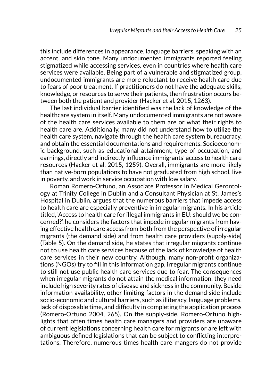this include differences in appearance, language barriers, speaking with an accent, and skin tone. Many undocumented immigrants reported feeling stigmatized while accessing services, even in countries where health care services were available. Being part of a vulnerable and stigmatized group, undocumented immigrants are more reluctant to receive health care due to fears of poor treatment. If practitioners do not have the adequate skills, knowledge, or resources to serve their patients, then frustration occurs between both the patient and provider (Hacker et al. 2015, 1263).

The last individual barrier identified was the lack of knowledge of the healthcare system in itself. Many undocumented immigrants are not aware of the health care services available to them are or what their rights to health care are. Additionally, many did not understand how to utilize the health care system, navigate through the health care system bureaucracy, and obtain the essential documentations and requirements. Socioeconomic background, such as educational attainment, type of occupation, and earnings, directly and indirectly influence immigrants' access to health care resources (Hacker et al. 2015, 1259). Overall, immigrants are more likely than native-born populations to have not graduated from high school, live in poverty, and work in service occupation with low salary.

Roman Romero-Ortuno, an Associate Professor in Medical Gerontology at Trinity College in Dublin and a Consultant Physician at St. James's Hospital in Dublin, argues that the numerous barriers that impede access to health care are especially preventive in irregular migrants. In his article titled, 'Access to health care for illegal immigrants in EU: should we be concerned?', he considers the factors that impede irregular migrants from having effective health care access from both from the perspective of irregular migrants (the demand side) and from health care providers (supply-side) (Table 5). On the demand side, he states that irregular migrants continue not to use health care services because of the lack of knowledge of health care services in their new country. Although, many non-profit organizations (NGOs) try to fill in this information gap, irregular migrants continue to still not use public health care services due to fear. The consequences when irregular migrants do not attain the medical information, they need include high severity rates of disease and sickness in the community. Beside information availability, other limiting factors in the demand side include socio-economic and cultural barriers, such as illiteracy, language problems, lack of disposable time, and difficulty in completing the application process (Romero-Ortuno 2004, 265). On the supply-side, Romero-Ortuno highlights that often times health care managers and providers are unaware of current legislations concerning health care for migrants or are left with ambiguous defined legislations that can be subject to conflicting interpretations. Therefore, numerous times health care mangers do not provide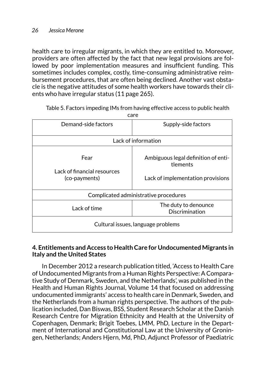health care to irregular migrants, in which they are entitled to. Moreover, providers are often affected by the fact that new legal provisions are followed by poor implementation measures and insufficient funding. This sometimes includes complex, costly, time-consuming administrative reimbursement procedures, that are often being declined. Another vast obstacle is the negative attitudes of some health workers have towards their clients who have irregular status (11 page 265).

| care                                                 |                                                                                      |  |  |
|------------------------------------------------------|--------------------------------------------------------------------------------------|--|--|
| Demand-side factors                                  | Supply-side factors                                                                  |  |  |
| Lack of information                                  |                                                                                      |  |  |
| Fear<br>Lack of financial resources<br>(co-payments) | Ambiguous legal definition of enti-<br>tlements<br>Lack of implementation provisions |  |  |
| Complicated administrative procedures                |                                                                                      |  |  |
| Lack of time                                         | The duty to denounce<br>Discrimination                                               |  |  |
| Cultural issues, language problems                   |                                                                                      |  |  |

Table 5. Factors impeding IMs from having effective access to public health

# **4. Entitlements and Access to Health Care for Undocumented Migrants in Italy and the United States**

In December 2012 a research publication titled, 'Access to Health Care of Undocumented Migrants from a Human Rights Perspective: A Comparative Study of Denmark, Sweden, and the Netherlands', was published in the Health and Human Rights Journal, Volume 14 that focused on addressing undocumented immigrants' access to health care in Denmark, Sweden, and the Netherlands from a human rights perspective. The authors of the publication included, Dan Biswas, BSS, Student Research Scholar at the Danish Research Centre for Migration Ethnicity and Health at the University of Copenhagen, Denmark; Brigit Toebes, LMM, PhD, Lecture in the Department of International and Constitutional Law at the University of Groningen, Netherlands; Anders Hjern, Md, PhD, Adjunct Professor of Paediatric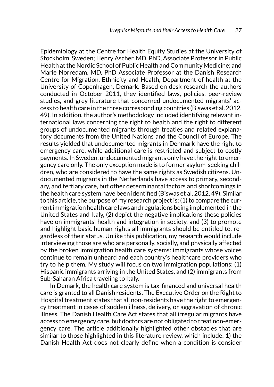Epidemiology at the Centre for Health Equity Studies at the University of Stockholm, Sweden; Henry Ascher, MD, PhD, Associate Professor in Public Health at the Nordic School of Public Health and Community Medicine; and Marie Norredam, MD, PhD Associate Professor at the Danish Research Centre for Migration, Ethnicity and Health, Department of health at the University of Copenhagen, Demark. Based on desk research the authors conducted in October 2011, they identified laws, policies, peer-review studies, and grey literature that concerned undocumented migrants' access to health care in the three corresponding countries (Biswas et al. 2012, 49). In addition, the author's methodology included identifying relevant international laws concerning the right to health and the right to different groups of undocumented migrants through treaties and related explanatory documents from the United Nations and the Council of Europe. The results yielded that undocumented migrants in Denmark have the right to emergency care, while additional care is restricted and subject to costly payments. In Sweden, undocumented migrants only have the right to emergency care only. The only exception made is to former asylum-seeking children, who are considered to have the same rights as Swedish citizens. Undocumented migrants in the Netherlands have access to primary, secondary, and tertiary care, but other determinantal factors and shortcomings in the health care system have been identified (Biswas et al. 2012, 49). Similar to this article, the purpose of my research project is: (1) to compare the current immigration health care laws and regulations being implemented in the United States and Italy, (2) depict the negative implications these policies have on immigrants' health and integration in society, and (3) to promote and highlight basic human rights all immigrants should be entitled to, regardless of their status. Unlike this publication, my research would include interviewing those are who are personally, socially, and physically affected by the broken immigration health care systems: immigrants whose voices continue to remain unheard and each country's healthcare providers who try to help them. My study will focus on two immigration populations; (1) Hispanic immigrants arriving in the United States, and (2) immigrants from Sub-Saharan Africa traveling to Italy.

In Demark, the health care system is tax-financed and universal health care is granted to all Danish residents. The Executive Order on the Right to Hospital treatment states that all non-residents have the right to emergency treatment in cases of sudden illness, delivery, or aggravation of chronic illness. The Danish Health Care Act states that all irregular migrants have access to emergency care, but doctors are not obligated to treat non-emergency care. The article additionally highlighted other obstacles that are similar to those highlighted in this literature review, which include: 1) the Danish Health Act does not clearly define when a condition is consider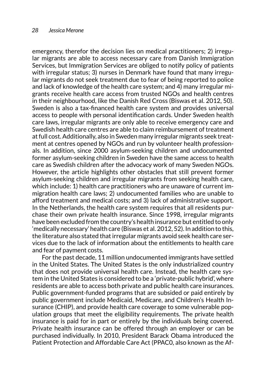emergency, therefor the decision lies on medical practitioners; 2) irregular migrants are able to access necessary care from Danish Immigration Services, but Immigration Services are obliged to notify policy of patients with irregular status; 3) nurses in Denmark have found that many irregular migrants do not seek treatment due to fear of being reported to police and lack of knowledge of the health care system; and 4) many irregular migrants receive health care access from trusted NGOs and health centres in their neighbourhood, like the Danish Red Cross (Biswas et al. 2012, 50). Sweden is also a tax-financed health care system and provides universal access to people with personal identification cards. Under Sweden health care laws, irregular migrants are only able to receive emergency care and Swedish health care centres are able to claim reimbursement of treatment at full cost. Additionally, also in Sweden many irregular migrants seek treatment at centres opened by NGOs and run by volunteer health professionals. In addition, since 2000 asylum-seeking children and undocumented former asylum-seeking children in Sweden have the same access to health care as Swedish children after the advocacy work of many Sweden NGOs. However, the article highlights other obstacles that still prevent former asylum-seeking children and irregular migrants from seeking health care, which include: 1) health care practitioners who are unaware of current immigration health care laws; 2) undocumented families who are unable to afford treatment and medical costs; and 3) lack of administrative support. In the Netherlands, the health care system requires that all residents purchase their own private health insurance. Since 1998, irregular migrants have been excluded from the country's health insurance but entitled to only 'medically necessary' health care (Biswas et al. 2012, 52). In addition to this, the literature also stated that irregular migrants avoid seek health care services due to the lack of information about the entitlements to health care and fear of payment costs.

For the past decade, 11 million undocumented immigrants have settled in the United States. The United States is the only industrialized country that does not provide universal health care. Instead, the health care system in the United States is considered to be a 'private-public hybrid', where residents are able to access both private and public health care insurances. Public government-funded programs that are subsided or paid entirely by public government include Medicaid, Medicare, and Children's Health Insurance (CHIP), and provide health care coverage to some vulnerable population groups that meet the eligibility requirements. The private health insurance is paid for in part or entirely by the individuals being covered. Private health insurance can be offered through an employer or can be purchased individually. In 2010, President Barack Obama introduced the Patient Protection and Affordable Care Act (PPAC0, also known as the Af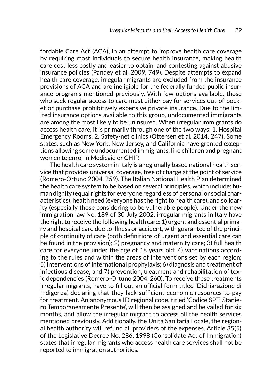fordable Care Act (ACA), in an attempt to improve health care coverage by requiring most individuals to secure health insurance, making health care cost less costly and easier to obtain, and contesting against abusive insurance policies (Pandey et al. 2009, 749). Despite attempts to expand health care coverage, irregular migrants are excluded from the insurance provisions of ACA and are ineligible for the federally funded public insurance programs mentioned previously. With few options available, those who seek regular access to care must either pay for services out-of-pocket or purchase prohibitively expensive private insurance. Due to the limited insurance options available to this group, undocumented immigrants are among the most likely to be uninsured. When irregular immigrants do access health care, it is primarily through one of the two ways: 1. Hospital Emergency Rooms. 2. Safety-net clinics (Ottersen et al. 2014, 247). Some states, such as New York, New Jersey, and California have granted exceptions allowing some undocumented immigrants, like children and pregnant women to enrol in Medicaid or CHIP.

The health care system in Italy is a regionally based national health service that provides universal coverage, free of charge at the point of service (Romero-Ortuno 2004, 259). The Italian National Health Plan determined the health care system to be based on several principles, which include: human dignity (equal rights for everyone regardless of personal or social characteristics), health need (everyone has the right to health care), and solidarity (especially those considering to be vulnerable people). Under the new immigration law No. 189 of 30 July 2002, irregular migrants in Italy have the right to receive the following health care: 1) urgent and essential primary and hospital care due to illness or accident, with guarantee of the principle of continuity of care (both definitions of urgent and essential care can be found in the provision); 2) pregnancy and maternity care; 3) full health care for everyone under the age of 18 years old; 4) vaccinations according to the rules and within the areas of interventions set by each region; 5) interventions of international prophylaxis; 6) diagnosis and treatment of infectious disease; and 7) prevention, treatment and rehabilitation of toxic dependencies (Romero-Ortuno 2004, 260). To receive these treatments irregular migrants, have to fill out an official form titled 'Dichiarazione di Indigenza', declaring that they lack sufficient economic resources to pay for treatment. An anonymous ID regional code, titled 'Codice SPT: Staniero Temporaneamente Presente', will then be assigned and be vailed for six months, and allow the irregular migrant to access all the health services mentioned previously. Additionally, the Unità Sanitaria Locale, the regional health authority will refund all providers of the expenses. Article 35(5) of the Legislative Decree No. 286, 1998 (Consolidate Act of Immigration) states that irregular migrants who access health care services shall not be reported to immigration authorities.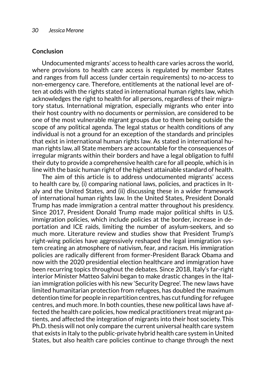#### **Conclusion**

Undocumented migrants' access to health care varies across the world, where provisions to health care access is regulated by member States and ranges from full access (under certain requirements) to no-access to non-emergency care. Therefore, entitlements at the national level are often at odds with the rights stated in international human rights law, which acknowledges the right to health for all persons, regardless of their migratory status. International migration, especially migrants who enter into their host country with no documents or permission, are considered to be one of the most vulnerable migrant groups due to them being outside the scope of any political agenda. The legal status or health conditions of any individual is not a ground for an exception of the standards and principles that exist in international human rights law. As stated in international human rights law, all State members are accountable for the consequences of irregular migrants within their borders and have a legal obligation to fulfil their duty to provide a comprehensive health care for all people, which is in line with the basic human right of the highest attainable standard of health.

The aim of this article is to address undocumented migrants' access to health care by, (i) comparing national laws, policies, and practices in Italy and the United States, and (ii) discussing these in a wider framework of international human rights law. In the United States, President Donald Trump has made immigration a central matter throughout his presidency. Since 2017, President Donald Trump made major political shifts in U.S. immigration policies, which include policies at the border, increase in deportation and ICE raids, limiting the number of asylum-seekers, and so much more. Literature review and studies show that President Trump's right-wing policies have aggressively reshaped the legal immigration system creating an atmosphere of nativism, fear, and racism. His immigration policies are radically different from former-President Barack Obama and now with the 2020 presidential election healthcare and immigration have been recurring topics throughout the debates. Since 2018, Italy's far-right interior Minister Matteo Salvini began to make drastic changes in the Italian immigration policies with his new 'Security Degree'. The new laws have limited humanitarian protection from refugees, has doubled the maximum detention time for people in repartition centres, has cut funding for refugee centres, and much more. In both counties, these new political laws have affected the health care policies, how medical practitioners treat migrant patients, and affected the integration of migrants into their host society. This Ph.D. thesis will not only compare the current universal health care system that exists in Italy to the public-private hybrid health care system in United States, but also health care policies continue to change through the next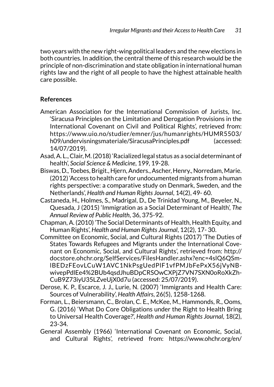two years with the new right-wing political leaders and the new elections in both countries. In addition, the central theme of this research would be the principle of non-discrimination and state obligation in international human rights law and the right of all people to have the highest attainable health care possible.

# **References**

- American Association for the International Commission of Jurists, Inc. 'Siracusa Principles on the Limitation and Derogation Provisions in the International Covenant on Civil and Political Rights', retrieved from: https://www.uio.no/studier/emner/jus/humanrights/HUMR5503/ h09/undervisningsmateriale/SiracusaPrinciples.pdf (accessed: 14/07/2019).
- Asad, A. L., Clair, M. (2018) 'Racialized legal status as a social determinant of health', *Social Science & Medicine*, 199, 19-28.
- Biswas, D., Toebes, Brigit., Hjern, Anders., Ascher, Henry., Norredam, Marie. (2012) 'Access to health care for undocumented migrants from a human rights perspective: a comparative study on Denmark, Sweden, and the Netherlands', *Health and Human Rights Journal*, 14(2), 49- 60.
- Castaneda, H., Holmes, S., Madrigal, D., De Trinidad Young, M., Beyeler, N., Quesada, J (2015) 'Immigration as a Social Determinant of Health', *The Annual Review of Public Health*, 36, 375-92.
- Chapman, A. (2010) 'The Social Determinants of Health, Health Equity, and Human Rights', *Health and Human Rights Journal*, 12(2), 17- 30.
- Committee on Economic, Social, and Cultural Rights (2017) 'The Duties of States Towards Refugees and Migrants under the International Covenant on Economic, Social, and Cultural Rights', retrieved from: http:// docstore.ohchr.org/SelfServices/FilesHandler.ashx?enc=4slQ6QSmlBEDzFEovLCuW1AVC1NkPsgUedPlF1vfPMJbFePxX56jVyNBwivepPdlEe4%2BUb4qsdJhuBDpCRSOwCXPjZ7VN7SXN0oRoXkZh-CuB9Z73iyU35LZveUjX0d7u (accessed: 25/07/2019).
- Derose, K. P., Escarce, J. J., Lurie, N. (2007) 'Immigrants and Health Care: Sources of Vulnerability', *Health Affairs*, 26(5), 1258-1268.
- Forman, L., Beiersmann, C., Brolan, C. E., McKee, M., Hammonds, R., Ooms, G. (2016) 'What Do Core Obligations under the Right to Health Bring to Universal Health Coverage?', *Health and Human Rights Journal*, 18(2), 23-34.
- General Assembly (1966) 'International Covenant on Economic, Social, and Cultural Rights', retrieved from: https://www.ohchr.org/en/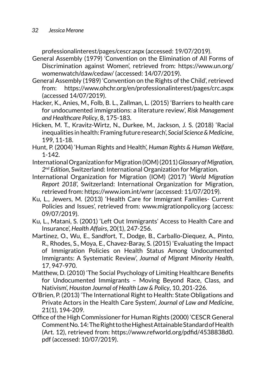professionalinterest/pages/cescr.aspx (accessed: 19/07/2019).

- General Assembly (1979) 'Convention on the Elimination of All Forms of Discrimination against Women', retrieved from: https://www.un.org/ womenwatch/daw/cedaw/ (accessed: 14/07/2019).
- General Assembly (1989) 'Convention on the Rights of the Child', retrieved from: <https://www.ohchr.org/en/professionalinterest/pages/crc.aspx> (accessed 14/07/2019).
- Hacker, K., Anies, M., Folb, B. L., Zallman, L. (2015) 'Barriers to health care for undocumented immigrations: a literature review', *Risk Management and Healthcare Policy*, 8, 175-183.
- Hicken, M. T., Kravitz-Wirtz, N., Durkee, M., Jackson, J. S. (2018) 'Racial inequalities in health: Framing future research', *Social Science & Medicine*, 199, 11-18.
- Hunt, P. (2004) 'Human Rights and Health', *Human Rights & Human Welfare*, 1-142.
- International Organization for Migration (IOM) (2011) *Glossary of Migration, 2nd Edition*, Switzerland: International Organization for Migration.
- International Organization for Migration (IOM) (2017) '*World Migration Report 2018*', Switzerland: International Organization for Migration, retrieved from: https://www.iom.int/wmr (accessed: 11/07/2019).
- Ku, L., Jewers, M. (2013) 'Health Care for Immigrant Families- Current Policies and Issues', retrieved from: www.migrationpolicy.org (access: 09/07/2019).
- Ku, L., Matani, S. (2001) 'Left Out Immigrants' Access to Health Care and Insurance', *Health Affairs*, 20(1), 247-256.
- Martinez, O., Wu, E., Sandfort, T., Dodge, B., Carballo-Diequez, A., Pinto, R., Rhodes, S., Moya, E., Chavez-Baray, S. (2015) 'Evaluating the Impact of Immigration Policies on Health Status Among Undocumented Immigrants: A Systematic Review', *Journal of Migrant Minority Health*, 17, 947-970.
- Matthew, D. (2010) 'The Social Psychology of Limiting Healthcare Benefits for Undocumented Immigrants – Moving Beyond Race, Class, and Nativism', *Houston Journal of Health Law & Policy*, 10, 201-226.
- O'Brien, P. (2013) 'The International Right to Health: State Obligations and Private Actors in the Health Care System', *Journal of Law and Medicine*, 21(1), 194-209.
- Office of the High Commissioner for Human Rights (2000) 'CESCR General Comment No. 14: The Right to the Highest Attainable Standard of Health (Art. 12), retrieved from: https://www.refworld.org/pdfid/4538838d0. pdf (accessed: 10/07/2019).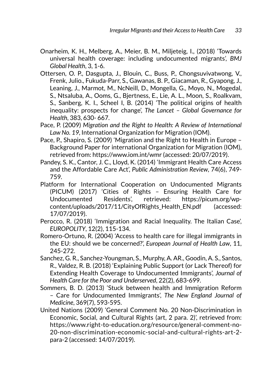- Onarheim, K. H., Melberg, A., Meier, B. M., Miljeteig, I., (2018) 'Towards universal health coverage: including undocumented migrants', *BMJ Global Health*, 3, 1-6.
- Ottersen, O. P., Dasgupta, J., Blouin, C., Buss, P., Chongsuvivatwong, V., Frenk, Julio., Fukuda-Parr, S., Gawanas, B. P., Giacaman, R., Gyapong, J., Leaning, J., Marmot, M., NcNeill, D., Mongella, G., Moyo, N., Mogedal, S., Ntsaluba, A., Ooms, G., Bjertness, E., Lie, A. L., Moon, S., Roalkvam, S., Sanberg, K. I., Scheel I, B. (2014) 'The political origins of health inequality: prospects for change', *The Lancet – Global Governance for Health*, 383, 630- 667.
- Pace, P. (2009) *Migration and the Right to Health: A Review of International Law No. 19*, International Organization for Migration (IOM).
- Pace, P., Shapiro, S. (2009) 'Migration and the Right to Health in Europe Background Paper for international Organization for Migration (IOM), retrieved from: https://www.iom.int/wmr (accessed: 20/07/2019).
- Pandey, S. K., Cantor, J. C., Lloyd, K. (2014) 'Immigrant Health Care Access and the Affordable Care Act', *Public Administration Review*, 74(6), 749- 759.
- Platform for International Cooperation on Undocumented Migrants (PICUM) (2017) 'Cities of Rights – Ensuring Health Care for Undocumented Residents', retrieved: [https://picum.org/wp](https://picum.org/wp-)content/uploads/2017/11/CityOfRights Health EN.pdf (accessed: 17/07/2019).
- Perocco, R. (2018) 'Immigration and Racial Inequality. The Italian Case', *EUROPOLITY*, 12(2), 115-134.
- Romero-Ortuno, R. (2004) 'Access to health care for illegal immigrants in the EU: should we be concerned?', *European Journal of Health Law*, 11, 245-272.
- Sanchez, G. R., Sanchez-Youngman, S., Murphy, A. AR., Goodin, A. S., Santos, R., Valdez, R. B. (2018) 'Explaining Public Support (or Lack Thereof) for Extending Health Coverage to Undocumented Immigrants', *Journal of Health Care for the Poor and Underserved*, 22(2), 683-699.
- Sommers, B. D. (2013) 'Stuck between health and Immigration Reform – Care for Undocumented Immigrants', *The New England Journal of Medicine*, 369(7), 593-595.
- United Nations (2009) 'General Comment No. 20 Non-Discrimination in Economic, Social, and Cultural Rights (art, 2 para. 2)', retrieved from: https://www.right-to-education.org/resource/general-comment-no-20-non-discrimination-economic-social-and-cultural-rights-art-2 para-2 (accessed: 14/07/2019).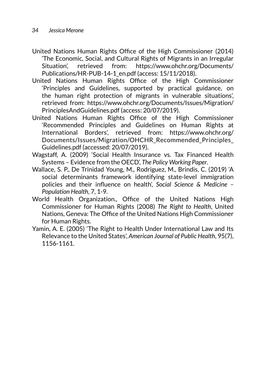- United Nations Human Rights Office of the High Commissioner (2014) 'The Economic, Social, and Cultural Rights of Migrants in an Irregular Situation', retrieved from: [https://www.ohchr.org/Documents/](https://www.ohchr.org/Documents/Publications/HR-PUB-14-1_en.pdf) [Publications/HR-PUB-14-1\\_en.pdf](https://www.ohchr.org/Documents/Publications/HR-PUB-14-1_en.pdf) (access: 15/11/2018).
- United Nations Human Rights Office of the High Commissioner 'Principles and Guidelines, supported by practical guidance, on the human right protection of migrants in vulnerable situations', retrieved from: https://www.ohchr.org/Documents/Issues/Migration/ PrinciplesAndGuidelines.pdf (access: 20/07/2019).
- United Nations Human Rights Office of the High Commissioner 'Recommended Principles and Guidelines on Human Rights at International Borders', retrieved from: https://www.ohchr.org/ Documents/Issues/Migration/OHCHR\_Recommended\_Principles\_ Guidelines.pdf (accessed: 20/07/2019).
- Wagstaff, A. (2009) 'Social Health Insurance vs. Tax Financed Health Systems – Evidence from the OECD', *The Policy Working Paper*.
- Wallace, S. P., De Trinidad Young, M., Rodriguez, M., Brindis, C. (2019) 'A social determinants framework identifying state-level immigration policies and their influence on health', *Social Science & Medicine – Population Health*, 7, 1-9.
- World Health Organization., Office of the United Nations High Commissioner for Human Rights (2008) *The Right to Health*, United Nations, Geneva: The Office of the United Nations High Commissioner for Human Rights.
- Yamin, A. E. (2005) 'The Right to Health Under International Law and Its Relevance to the United States', *American Journal of Public Health*, 95(7), 1156-1161.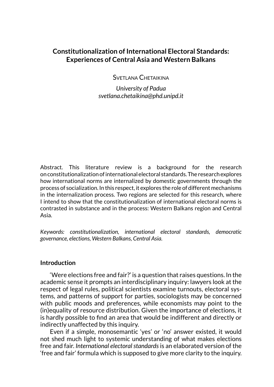# <span id="page-35-0"></span>**Constitutionalization of International Electoral Standards: Experiences of Central Asia and Western Balkans**

Svetlana Chetaikina

*University of Padua svetlana.chetaikina@phd.unipd.it*

Abstract. This literature review is a background for the research on constitutionalization of international electoral standards. The research explores how international norms are internalized by domestic governments through the process of socialization. In this respect, it explores the role of different mechanisms in the internalization process. Two regions are selected for this research, where I intend to show that the constitutionalization of international electoral norms is contrasted in substance and in the process: Western Balkans region and Central Asia.

*Keywords: constitutionalization, international electoral standards, democratic governance, elections, Western Balkans, Central Asia.*

## **Introduction**

'Were elections free and fair?' is a question that raises questions. In the academic sense it prompts an interdisciplinary inquiry: lawyers look at the respect of legal rules, political scientists examine turnouts, electoral systems, and patterns of support for parties, sociologists may be concerned with public moods and preferences, while economists may point to the (in)equality of resource distribution. Given the importance of elections, it is hardly possible to find an area that would be indifferent and directly or indirectly unaffected by this inquiry.

Even if a simple, monosemantic 'yes' or 'no' answer existed, it would not shed much light to systemic understanding of what makes elections free and fair. *International electoral standards* is an elaborated version of the 'free and fair' formula which is supposed to give more clarity to the inquiry.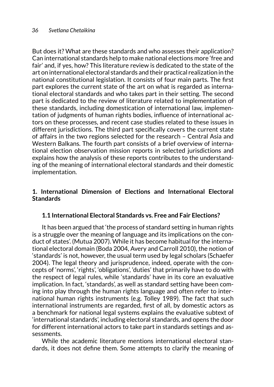But does it? What are these standards and who assesses their application? Can international standards help to make national elections more 'free and fair' and, if yes, how? This literature review is dedicated to the state of the art on international electoral standards and their practical realization in the national constitutional legislation. It consists of four main parts. The first part explores the current state of the art on what is regarded as international electoral standards and who takes part in their setting. The second part is dedicated to the review of literature related to implementation of these standards, including domestication of international law, implementation of judgments of human rights bodies, influence of international actors on these processes, and recent case studies related to these issues in different jurisdictions. The third part specifically covers the current state of affairs in the two regions selected for the research – Central Asia and Western Balkans. The fourth part consists of a brief overview of international election observation mission reports in selected jurisdictions and explains how the analysis of these reports contributes to the understanding of the meaning of international electoral standards and their domestic implementation.

## **1. International Dimension of Elections and International Electoral Standards**

## **1.1 International Electoral Standards vs. Free and Fair Elections?**

It has been argued that 'the process of standard setting in human rights is a struggle over the meaning of language and its implications on the conduct of states'. (Mutua 2007). While it has become habitual for the international electoral domain (Boda 2004, Avery and Carroll 2010), the notion of 'standards' is not, however, the usual term used by legal scholars (Schaefer 2004). The legal theory and jurisprudence, indeed, operate with the concepts of 'norms', 'rights', 'obligations', 'duties' that primarily have to do with the respect of legal rules, while 'standards' have in its core an evaluative implication. In fact, 'standards', as well as standard setting have been coming into play through the human rights language and often refer to international human rights instruments (e.g. Tolley 1989). The fact that such international instruments are regarded, first of all, by domestic actors as a benchmark for national legal systems explains the evaluative subtext of 'international standards', including electoral standards, and opens the door for different international actors to take part in standards settings and assessments.

While the academic literature mentions international electoral standards, it does not define them. Some attempts to clarify the meaning of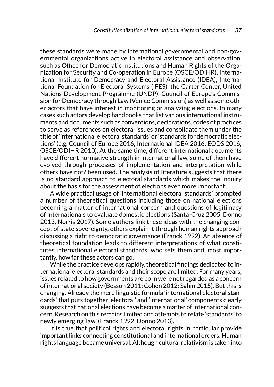these standards were made by international governmental and non-governmental organizations active in electoral assistance and observation, such as Office for Democratic Institutions and Human Rights of the Organization for Security and Co-operation in Europe (OSCE/ODIHR), International Institute for Democracy and Electoral Assistance (IDEA), International Foundation for Electoral Systems (IFES), the Carter Center, United Nations Development Programme (UNDP), Council of Europe's Commission for Democracy through Law (Venice Commission) as well as some other actors that have interest in monitoring or analyzing elections. In many cases such actors develop handbooks that list various international instruments and documents such as conventions, declarations, codes of practices to serve as references on electoral issues and consolidate them under the title of 'international electoral standards' or 'standards for democratic elections' (e.g. Council of Europe 2016; International IDEA 2016; EODS 2016; OSCE/ODIHR 2010). At the same time, different international documents have different normative strength in international law, some of them have evolved through processes of implementation and interpretation while others have not? been used. The analysis of literature suggests that there is no standard approach to electoral standards which makes the inquiry about the basis for the assessment of elections even more important.

A wide practical usage of 'international electoral standards' prompted a number of theoretical questions including those on national elections becoming a matter of international concern and questions of legitimacy of internationals to evaluate domestic elections (Santa-Cruz 2005, Donno 2013, Norris 2017). Some authors link these ideas with the changing concept of state sovereignty, others explain it through human rights approach discussing a right to democratic governance (Franck 1992). An absence of theoretical foundation leads to different interpretations of what constitutes international electoral standards, who sets them and, most importantly, how far these actors can go.

While the practice develops rapidly, theoretical findings dedicated to international electoral standards and their scope are limited. For many years, issues related to how governments are born were not regarded as a concern of international society (Besson 2011; Cohen 2012; Sahin 2015). But this is changing. Already the mere linguistic formula 'international electoral standards' that puts together 'electoral' and 'international' components clearly suggests that national elections have become a matter of international concern. Research on this remains limited and attempts to relate 'standards' to newly emerging 'law' (Franck 1992, Donno 2013).

It is true that political rights and electoral rights in particular provide important links connecting constitutional and international orders. Human rights language became universal. Although cultural relativism is taken into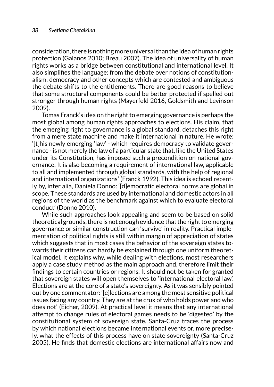consideration, there is nothing more universal than the idea of human rights protection (Galanos 2010; Breau 2007). The idea of universality of human rights works as a bridge between constitutional and international level. It also simplifies the language: from the debate over notions of constitutionalism, democracy and other concepts which are contested and ambiguous the debate shifts to the entitlements. There are good reasons to believe that some structural components could be better protected if spelled out stronger through human rights (Mayerfeld 2016, Goldsmith and Levinson 2009).

Tomas Franck's idea on the right to emerging governance is perhaps the most global among human rights approaches to elections. His claim, that the emerging right to governance is a global standard, detaches this right from a mere state machine and make it international in nature. He wrote: '[t]his newly emerging 'law' - which requires democracy to validate governance - is not merely the law of a particular state that, like the United States under its Constitution, has imposed such a precondition on national governance. It is also becoming a requirement of international law, applicable to all and implemented through global standards, with the help of regional and international organizations' (Franck 1992). This idea is echoed recently by, inter alia, Daniela Donno: '[d]emocratic electoral norms are global in scope. These standards are used by international and domestic actors in all regions of the world as the benchmark against which to evaluate electoral conduct' (Donno 2010).

While such approaches look appealing and seem to be based on solid theoretical grounds, there is not enough evidence that the right to emerging governance or similar construction can 'survive' in reality. Practical implementation of political rights is still within margin of appreciation of states which suggests that in most cases the behavior of the sovereign states towards their citizens can hardly be explained through one uniform theoretical model. It explains why, while dealing with elections, most researchers apply a case study method as the main approach and, therefore limit their findings to certain countries or regions. It should not be taken for granted that sovereign states will open themselves to 'international electoral law'. Elections are at the core of a state's sovereignty. As it was sensibly pointed out by one commentator: '[e]lections are among the most sensitive political issues facing any country. They are at the crux of who holds power and who does not' (Eicher, 2009). At practical level it means that any international attempt to change rules of electoral games needs to be 'digested' by the constitutional system of sovereign state. Santa-Cruz traces the process by which national elections became international events or, more precisely, what the effects of this process have on state sovereignty (Santa-Cruz 2005). He finds that domestic elections are international affairs now and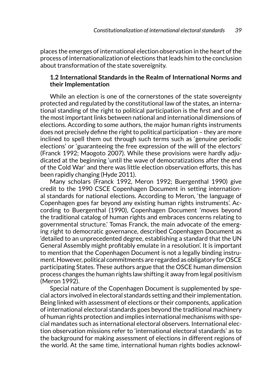places the emerges of international election observation in the heart of the process of internationalization of elections that leads him to the conclusion about transformation of the state sovereignity.

## **1.2 International Standards in the Realm of International Norms and their Implementation**

While an election is one of the cornerstones of the state sovereignty protected and regulated by the constitutional law of the states, an international standing of the right to political participation is the first and one of the most important links between national and international dimensions of elections. According to some authors, the major human rights instruments does not precisely define the right to political participation – they are more inclined to spell them out through such terms such as 'genuine periodic elections' or 'guaranteeing the free expression of the will of the electors' (Franck 1992; Maogoto 2007). While these provisions were hardly adjudicated at the beginning 'until the wave of democratizations after the end of the Cold War' and there was little election observation efforts, this has been rapidly changing (Hyde 2011).

Many scholars (Franck 1992, Meron 1992; Buergenthal 1990) give credit to the 1990 CSCE Copenhagen Document in setting international standards for national elections. According to Meron, 'the language of Copenhagen goes far beyond any existing human rights instruments'. According to Buergenthal (1990), Copenhagen Document 'moves beyond the traditional catalog of human rights and embraces concerns relating to governmental structure.' Tomas Franck, the main advocate of the emerging right to democratic governance, described Copenhagen Document as 'detailed to an unprecedented degree, establishing a standard that the UN General Assembly might profitably emulate in a resolution'. It is important to mention that the Copenhagen Document is not a legally binding instrument. However, political commitments are regarded as obligatory for OSCE participating States. These authors argue that the OSCE human dimension process changes the human rights law shifting it away from legal positivism (Meron 1992).

Special nature of the Copenhagen Document is supplemented by special actors involved in electoral standards setting and their implementation. Being linked with assessment of elections or their components, application of international electoral standards goes beyond the traditional machinery of human rights protection and implies international mechanisms with special mandates such as international electoral observers. International election observation missions refer to 'international electoral standards' as to the background for making assessment of elections in different regions of the world. At the same time, international human rights bodies acknowl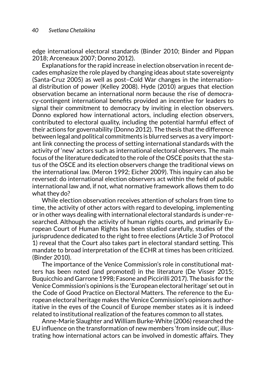edge international electoral standards (Binder 2010; Binder and Pippan 2018; Arceneaux 2007; Donno 2012).

Explanations for the rapid increase in election observation in recent decades emphasize the role played by changing ideas about state sovereignty (Santa-Cruz 2005) as well as post–Cold War changes in the international distribution of power (Kelley 2008). Hyde (2010) argues that election observation became an international norm because the rise of democracy-contingent international benefits provided an incentive for leaders to signal their commitment to democracy by inviting in election observers. Donno explored how international actors, including election observers, contributed to electoral quality, including the potential harmful effect of their actions for governability (Donno 2012). The thesis that the difference between legal and political commitments is blurred serves as a very important link connecting the process of setting international standards with the activity of 'new' actors such as international electoral observers. The main focus of the literature dedicated to the role of the OSCE posits that the status of the OSCE and its election observers change the traditional views on the international law. (Meron 1992; Eicher 2009). This inquiry can also be reversed: do international election observers act within the field of public international law and, if not, what normative framework allows them to do what they do?

While election observation receives attention of scholars from time to time, the activity of other actors with regard to developing, implementing or in other ways dealing with international electoral standards is under-researched. Although the activity of human rights courts, and primarily European Court of Human Rights has been studied carefully, studies of the jurisprudence dedicated to the right to free elections (Article 3 of Protocol 1) reveal that the Court also takes part in electoral standard setting. This mandate to broad interpretation of the ECHR at times has been criticized. (Binder 2010).

The importance of the Venice Commission's role in constitutional matters has been noted (and promoted) in the literature (De Visser 2015; Buquicchio and Garrone 1998; Fasone and Piccirilli 2017). The basis for the Venice Commission's opinions is the 'European electoral heritage' set out in the Code of Good Practice on Electoral Matters. The reference to the European electoral heritage makes the Venice Commission's opinions authoritative in the eyes of the Council of Europe member states as it is indeed related to institutional realization of the features common to all states.

Anne-Marie Slaughter and William Burke-White (2006) researched the EU influence on the transformation of new members 'from inside out', illustrating how international actors can be involved in domestic affairs. They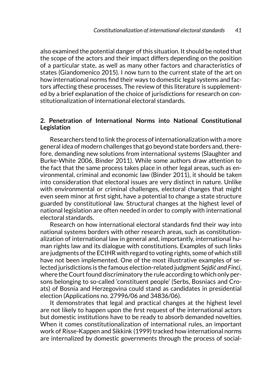also examined the potential danger of this situation. It should be noted that the scope of the actors and their impact differs depending on the position of a particular state, as well as many other factors and characteristics of states (Giandomenico 2015). I now turn to the current state of the art on how international norms find their ways to domestic legal systems and factors affecting these processes. The review of this literature is supplemented by a brief explanation of the choice of jurisdictions for research on constitutionalization of international electoral standards.

### **2. Penetration of International Norms into National Constitutional Legislation**

Researchers tend to link the process of internationalization with a more general idea of modern challenges that go beyond state borders and, therefore, demanding new solutions from international systems (Slaughter and Burke-White 2006, Binder 2011). While some authors draw attention to the fact that the same process takes place in other legal areas, such as environmental, criminal and economic law (Binder 2011), it should be taken into consideration that electoral issues are very distinct in nature. Unlike with environmental or criminal challenges, electoral changes that might even seem minor at first sight, have a potential to change a state structure guarded by constitutional law. Structural changes at the highest level of national legislation are often needed in order to comply with international electoral standards.

Research on how international electoral standards find their way into national systems borders with other research areas, such as constitutionalization of international law in general and, importantly, international human rights law and its dialogue with constitutions. Examples of such links are judgments of the ECtHR with regard to voting rights, some of which still have not been implemented. One of the most illustrative examples of selected jurisdictions is the famous election-related judgment *Sejdić and Finci*, where the Court found discriminatory the rule according to which only persons belonging to so-called 'constituent people' (Serbs, Bosniacs and Croats) of Bosnia and Herzegovina could stand as candidates in presidential election (Applications no. 27996/06 and 34836/06).

It demonstrates that legal and practical changes at the highest level are not likely to happen upon the first request of the international actors but domestic institutions have to be ready to absorb demanded novelties. When it comes constitutionalization of international rules, an important work of Risse-Kappen and Sikkink (1999) tracked how international norms are internalized by domestic governments through the process of social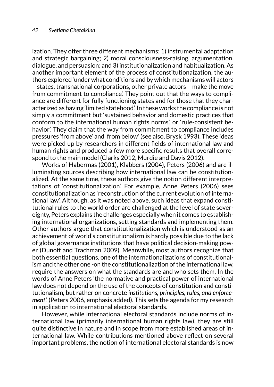ization. They offer three different mechanisms: 1) instrumental adaptation and strategic bargaining; 2) moral consciousness-raising, argumentation, dialogue, and persuasion; and 3) institutionalization and habitualization. As another important element of the process of constitutionaization, the authors explored 'under what conditions and by which mechanisms will actors – states, transnational corporations, other private actors – make the move from commitment to compliance'. They point out that the ways to compliance are different for fully functioning states and for those that they characterized as having 'limited statehood'. In these works the compliance is not simply a commitment but 'sustained behavior and domestic practices that conform to the international human rights norms', or 'rule-consistent behavior'. They claim that the way from commitment to compliance includes pressures 'from above' and 'from below' (see also, Brysk 1993). These ideas were picked up by researchers in different fields of international law and human rights and produced a few more specific results that overall correspond to the main model (Clarks 2012, Murdie and Davis 2012).

Works of Habermas (2001), Klabbers (2004), Peters (2006) and are illuminating sources describing how international law can be constitutionalized. At the same time, these authors give the notion different interpretations of 'constitutionalization'. For example, Anne Peters (2006) sees constitutionalization as 'reconstruction of the current evolution of international law'. Although, as it was noted above, such ideas that expand constitutional rules to the world order are challenged at the level of state sovereignty, Peters explains the challenges especially when it comes to establishing international organizations, setting standards and implementing them. Other authors argue that constitutionalization which is understood as an achievement of world's constitutionalizm is hardly possible due to the lack of global governance institutions that have political decision-making power (Dunoff and Trachman 2009). Meanwhile, most authors recognize that both essential questions, one of the internationalizations of constitutionalism and the other one -on the constitutionalization of the international law, require the answers on what the standards are and who sets them. In the words of Anne Peters 'the normative and practical power of international law does not depend on the use of the concepts of constitution and constitutionalism, but rather on concrete *institutions, principles, rules, and enforcement*.' (Peters 2006, emphasis added). This sets the agenda for my research in application to international electoral standards.

However, while international electoral standards include norms of international law (primarily international human rights law), they are still quite distinctive in nature and in scope from more established areas of international law. While contributions mentioned above reflect on several important problems, the notion of international electoral standards is now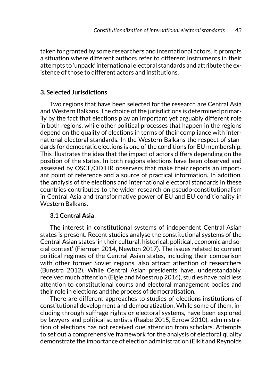taken for granted by some researchers and international actors. It prompts a situation where different authors refer to different instruments in their attempts to 'unpack' international electoral standards and attribute the existence of those to different actors and institutions.

## **3. Selected Jurisdictions**

Two regions that have been selected for the research are Central Asia and Western Balkans. The choice of the jurisdictions is determined primarily by the fact that elections play an important yet arguably different role in both regions, while other political processes that happen in the regions depend on the quality of elections in terms of their compliance with international electoral standards. In the Western Balkans the respect of standards for democratic elections is one of the conditions for EU membership. This illustrates the idea that the impact of actors differs depending on the position of the states. In both regions elections have been observed and assessed by OSCE/ODIHR observers that make their reports an important point of reference and a source of practical information. In addition, the analysis of the elections and international electoral standards in these countries contributes to the wider research on pseudo-constitutionalism in Central Asia and transformative power of EU and EU conditionality in Western Balkans.

#### **3.1 Central Asia**

The interest in constitutional systems of independent Central Asian states is present. Recent studies analyse the constitutional systems of the Central Asian states 'in their cultural, historical, political, economic and social context' (Fierman 2014, Newton 2017). The issues related to current political regimes of the Central Asian states, including their comparison with other former Soviet regions, also attract attention of researchers (Bunstra 2012). While Central Asian presidents have, understandably, received much attention (Elgie and Moestrup 2016), studies have paid less attention to constitutional courts and electoral management bodies and their role in elections and the process of democratisation.

There are different approaches to studies of elections institutions of constitutional development and democratization. While some of them, including through suffrage rights or electoral systems, have been explored by lawyers and political scientists (Raabe 2015, Ezrow 2010), administration of elections has not received due attention from scholars. Attempts to set out a comprehensive framework for the analysis of electoral quality demonstrate the importance of election administration (Elkit and Reynolds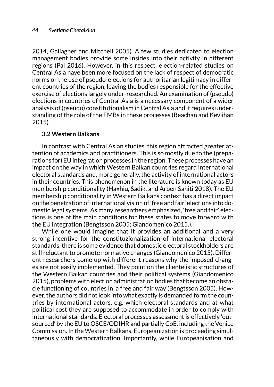2014, Gallagner and Mitchell 2005). A few studies dedicated to election management bodies provide some insides into their activity in different regions (Pal 2016). However, in this respect, election-related studies on Central Asia have been more focused on the lack of respect of democratic norms or the use of pseudo-elections for authoritarian legitimacy in different countries of the region, leaving the bodies responsible for the effective exercise of elections largely under-researched. An examination of (pseudo) elections in countries of Central Asia is a necessary component of a wider analysis of (pseudo) constitutionalism in Central Asia and it requires understanding of the role of the EMBs in these processes (Beachan and Kevlihan 2015).

## **3.2 Western Balkans**

In contrast with Central Asian studies, this region attracted greater attention of academics and practitioners. This is so mostly due to the (preparations for) EU integration processes in the region. These processes have an impact on the way in which Western Balkan countries regard international electoral standards and, more generally, the activity of international actors in their countries. This phenomenon in the literature is known today as EU membership conditionality (Haxhiu, Sadik, and Arben Sahiti 2018). The EU membership conditionality in Western Balkans context has a direct impact on the penetration of international vision of 'free and fair' elections into domestic legal systems. As many researchers emphasized, 'free and fair' elections is one of the main conditions for these states to move forward with the EU integration (Bengtsson 2005; Giandomenico 2015.).

While one would imagine that it provides an additional and a very strong incentive for the constituzionalization of international electoral standards, there is some evidence that domestic electoral stockholders are still reluctant to promote normative changes (Giandomenico 2015). Different researchers come up with different reasons why the imposed changes are not easily implemented. They point on the clientelistic structures of the Western Balkan countries and their political systems (Giandomenico 2015), problems with election administration bodies that become an obstacle functioning of countries in 'a free and fair way'(Bengtsson 2005). However, the authors did not look into what exactly is demanded form the countries by international actors, e.g. which electoral standards and at what political cost they are supposed to accommodate in order to comply with international standards. Electoral processes assessment is effectively 'outsourced' by the EU to OSCE/ODIHR and partially CoE, including the Venice Commission. In the Western Balkans, Europeanization is proceeding simultaneously with democratization. Importantly, while Europeanisation and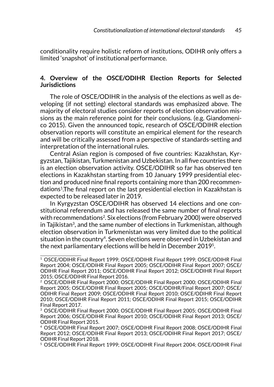conditionality require holistic reform of institutions, ODIHR only offers a limited 'snapshot' of institutional performance.

## **4. Overview of the OSCE/ODIHR Election Reports for Selected Jurisdictions**

The role of OSCE/ODIHR in the analysis of the elections as well as developing (if not setting) electoral standards was emphasized above. The majority of electoral studies consider reports of election observation missions as the main reference point for their conclusions. (e.g. Giandomenico 2015). Given the announced topic, research of OSCE/ODIHR election observation reports will constitute an empirical element for the research and will be critically assessed from a perspective of standards-setting and interpretation of the international rules.

Central Asian region is composed of five countries: Kazakhstan, Kyrgyzstan, Tajikistan, Turkmenistan and Uzbekistan. In all five countries there is an election observation activity. OSCE/ODIHR so far has observed ten elections in Kazakhstan starting from 10 January 1999 presidential election and produced nine final reports containing more than 200 recommendations1.The final report on the last presidential election in Kazakhstan is expected to be released later in 2019.

In Kyrgyzstan OSCE/ODIHR has observed 14 elections and one constitutional referendum and has released the same number of final reports with recommendations2. Six elections (from February 2000) were observed in Tajikistan<sup>3</sup>, and the same number of elections in Turkmenistan, although election observation in Turkmenistan was very limited due to the political situation in the country<sup>4</sup>. Seven elections were observed in Uzbekistan and the next parliamentary elections will be held in December 20195.

<sup>1</sup> OSCE/ODIHR Final Report 1999; OSCE/ODIHR Final Report 1999; OSCE/ODIHR Final Report 2004; OSCE/ODIHR Final Report 2005; OSCE/ODIHR Final Report 2007; OSCE/ ODIHR Final Report 2011; OSCE/ODIHR Final Report 2012; OSCE/ODIHR Final Report 2015; OSCE/ODIHR Final Report 2016.

<sup>2</sup> OSCE/ODIHR Final Report 2000; OSCE/ODIHR Final Report 2000; OSCE/ODIHR Final Report 2005; OSCE/ODIHR Final Report 2005; OSCE/ODIHR/Final Report 2007; OSCE/ ODIHR Final Report 2009; OSCE/ODIHR Final Report 2010; OSCE/ODIHR Final Report 2010; OSCE/ODIHR Final Report 2011; OSCE/ODIHR Final Report 2015; OSCE/ODIHR Final Report 2017.

<sup>3</sup> OSCE/ODIHR Final Report 2000; OSCE/ODIHR Final Report 2005; OSCE/ODIHR Final Report 2006; OSCE/ODIHR Final Report 2010; OSCE/ODIHR Final Report 2013; OSCE/ ODIHR Final Report 2015.

<sup>4</sup> OSCE/ODIHR Final Report 2007; OSCE/ODIHR Final Report 2008; OSCE/ODIHR Final Report 2012; OSCE/ODIHR Final Report 2013; OSCE/ODIHR Final Report 2017; OSCE/ ODIHR Final Report 2018.

<sup>5</sup> OSCE/ODIHR Final Report 1999; OSCE/ODIHR Final Report 2004; OSCE/ODIHR Final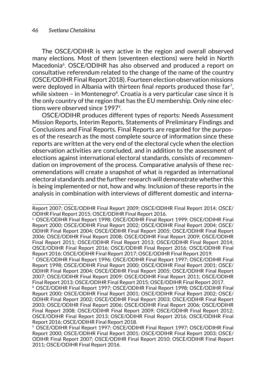The OSCE/ODIHR is very active in the region and overall observed many elections. Most of them (seventeen elections) were held in North Macedonia<sup>6</sup>. OSCE/ODIHR has also observed and produced a report on consultative referendum related to the change of the name of the country (OSCE/ODIHR Final Report 2018). Fourteen election observation missions were deployed in Albania with thirteen final reports produced those far<sup>7</sup>, while sixteen – in Montenegro $8$ . Croatia is a very particular case since it is the only country of the region that has the EU membership. Only nine elections were observed since 1997<sup>9</sup>.

OSCE/ODIHR produces different types of reports: Needs Assessment Mission Reports, Interim Reports, Statements of Preliminary Findings and Conclusions and Final Reports. Final Reports are regarded for the purposes of the research as the most complete source of information since these reports are written at the very end of the electoral cycle when the election observation activities are concluded, and in addition to the assessment of elections against international electoral standards, consists of recommendation on improvement of the process. Comparative analysis of these recommendations will create a snapshot of what is regarded as international electoral standards and the further research will demonstrate whether this is being implemented or not, how and why. Inclusion of these reports in the analysis in combination with interviews of different domestic and interna-

<sup>7</sup> OSCE/ODIHR Final Report 1996; OSCE/ODIHR Final Report 1997; OSCE/ODIHR Final Report 1998; OSCE/ODIHR Final Report 2000; OSCE/ODIHR Final Report 2001; OSCE/ ODIHR Final Report 2004; OSCE/ODIHR Final Report 2005; OSCE/ODIHR Final Report 2007; OSCE/ODIHR Final Report 2009; OSCE/ODIHR Final Report 2011; OSCE/ODIHR Final Report 2013; OSCE/ODIHR Final Report 2015; OSCE/ODIHR Final Report 2017.

Report 2007; OSCE/ODIHR Final Report 2009; OSCE/ODIHR Final Report 2014; OSCE/ ODIHR Final Report 2015; OSCE/ODIHR Final Report 2016.

<sup>6</sup> OSCE/ODIHR Final Report 1998; OSCE/ODIHR Final Report 1999; OSCE/ODIHR Final Report 2000; OSCE/ODIHR Final Report 2002; OSCE/ODIHR Final Report 2004; OSCE/ ODIHR Final Report 2004; OSCE/ODIHR Final Report 2005; OSCE/ODIHR Final Report 2006; OSCE/ODIHR Final Report 2008; OSCE/ODIHR Final Report 2009; OSCE/ODIHR Final Report 2011; OSCE/ODIHR Final Report 2013; OSCE/ODIHR Final Report 2014; OSCE/ODIHR Final Report 2016; OSCE/ODIHR Final Report 2016; OSCE/ODIHR Final Report 2016; OSCE/ODIHR Final Report 2017; OSCE/ODIHR Final Report 2019.

<sup>8</sup> OSCE/ODIHR Final Report 1997; OSCE/ODIHR Final Report 1998; OSCE/ODIHR Final Report 2000; OSCE/ODIHR Final Report 2001; OSCE/ODIHR Final Report 2002; OSCE/ ODIHR Final Report 2002; OSCE/ODIHR Final Report 2003; OSCE/ODIHR Final Report 2003; OSCE/ODIHR Final Report 2006; OSCE/ODIHR Final Report 2006; OSCE/ODIHR Final Report 2008; OSCE/ODIHR Final Report 2009; OSCE/ODIHR Final Report 2012; OSCE/ODIHR Final Report 2013; OSCE/ODIHR Final Report 2016; OSCE/ODIHR Final Report 2016; OSCE/ODIHR Final Report 2018.

<sup>9</sup> OSCE/ODIHR Final Report 1997; OSCE/ODIHR Final Report 1997; OSCE/ODIHR Final Report 2000; OSCE/ODIHR Final Report 2001; OSCE/ODIHR Final Report 2003; OSCE/ ODIHR Final Report 2007; OSCE/ODIHR Final Report 2010; OSCE/ODIHR Final Report 2011; OSCE/ODIHR Final Report 2016.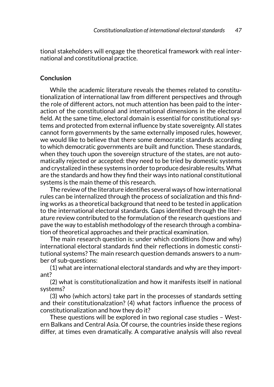tional stakeholders will engage the theoretical framework with real international and constitutional practice.

## **Conclusion**

While the academic literature reveals the themes related to constitutionalization of international law from different perspectives and through the role of different actors, not much attention has been paid to the interaction of the constitutional and international dimensions in the electoral field. At the same time, electoral domain is essential for constitutional systems and protected from external influence by state sovereignty. All states cannot form governments by the same externally imposed rules, however, we would like to believe that there some democratic standards according to which democratic governments are built and function. These standards, when they touch upon the sovereign structure of the states, are not automatically rejected or accepted: they need to be tried by domestic systems and crystalized in these systems in order to produce desirable results. What are the standards and how they find their ways into national constitutional systems is the main theme of this research.

The review of the literature identifies several ways of how international rules can be internalized through the process of socialization and this finding works as a theoretical background that need to be tested in application to the international electoral standards. Gaps identified through the literature review contributed to the formulation of the research questions and pave the way to establish methodology of the research through a combination of theoretical approaches and their practical examination.

The main research question is: under which conditions (how and why) international electoral standards find their reflections in domestic constitutional systems? The main research question demands answers to a number of sub-questions:

(1) what are international electoral standards and why are they important?

(2) what is constitutionalization and how it manifests itself in national systems?

(3) who (which actors) take part in the processes of standards setting and their constitutionalzation? (4) what factors influence the process of constitutionalization and how they do it?

These questions will be explored in two regional case studies – Western Balkans and Central Asia. Of course, the countries inside these regions differ, at times even dramatically. A comparative analysis will also reveal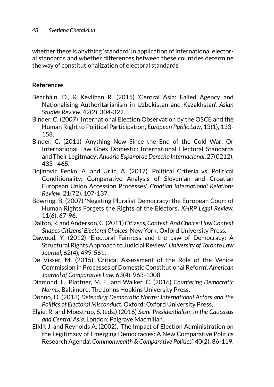whether there is anything 'standard' in application of international electoral standards and whether differences between these countries determine the way of constitutionalization of electoral standards.

# **References**

- Beacháin, D., & Kevlihan R. (2015) 'Central Asia: Failed Agency and Nationalising Authoritarianism in Uzbekistan and Kazakhstan', *Asian Studies Review*, 42(2), 304-322.
- Binder, C. (2007) 'International Election Observation by the OSCE and the Human Right to Political Participation', *European Public Law*, 13(1), 133- 158.
- Binder, C. (2011) 'Anything New Since the End of the Cold War: Or International Law Goes Domestic: International Electoral Standards and Their Legitmacy', *Anuario Espanol de Derecho Internacional*, 27(0212), 435 - 465.
- Bojinovic Fenko, A. and Urlic, A. (2017) 'Political Criteria vs. Political Conditionality: Comparative Analysis of Slovenian and Croatian European Union Accession Processes', *Croatian International Relations Review*, 21(72), 107-137.
- Bowring, B. (2007) 'Negating Pluralist Democracy: the European Court of Human Rights Forgets the Rights of the Electors', *KHRP Legal Review,* 11(6), 67-96.
- Dalton, R. and Anderson, C. (2011) *Citizens, Context, And Choice: How Context Shapes Citizens' Electoral Choices*, New York: Oxford University Press.
- Dawood, Y. (2012) 'Electoral Fairness and the Law of Democracy: A Structural Rights Approach to Judicial Review', *University of Toronto Law Journal*, 62(4), 499-561.
- De Visser, M. (2015) 'Critical Assessment of the Role of the Venice Commission in Processes of Domestic Constitutional Reform', *American Journal of Comparative Law*, 63(4), 963-1008.
- Diamond, L., Plattner, M. F., and Walker, C. (2016) *Countering Democratic Norms*. Baltimore: The Johns Hopkins University Press.
- Donno, D. (2013) *Defending Democratic Norms: International Actors and the Politics of Electoral Misconduct*, Oxford: Oxford University Press.
- Elgie, R. and Moestrup, S. (eds.) (2016) *Semi-Presidentialism in the Caucasus and Central Asia*, London: Palgrave Macmillan.
- Elklit J. and Reynolds A. (2002), 'The Impact of Election Administration on the Legitimacy of Emerging Democracies: A New Comparative Politics Research Agenda', *Commonwealth & Comparative Politics*', 40(2), 86-119.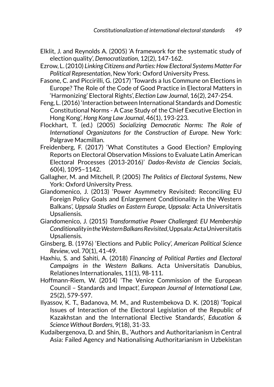- Elklit, J. and Reynolds A. (2005) 'A framework for the systematic study of election quality', *Democratization*, 12(2), 147-162.
- Ezrow, L. (2010) *Linking Citizens and Parties: How Electoral Systems Matter For Political Representation*, New York: Oxford University Press.
- Fasone, C. and Piccirilli, G. (2017) 'Towards a Ius Commune on Elections in Europe? The Role of the Code of Good Practice in Electoral Matters in 'Harmonizing' Electoral Rights', *Election Law Journal*, 16(2), 247-254.
- Feng, L. (2016) 'Interaction between International Standards and Domestic Constitutional Norms - A Case Study of the Chief Executive Election in Hong Kong', *Hong Kong Law Journal*, 46(1), 193-223.
- Flockhart, T. (ed.) (2005) *Socializing Democratic Norms: The Role of International Organizatons for the Construction of Europe*. New York: Palgrave Macmillan.
- Freidenberg, F. (2017) 'What Constitutes a Good Election? Employing Reports on Electoral Observation Missions to Evaluate Latin American Electoral Processes (2013-2016)' *Dados-Revista de Ciencias Sociais*, 60(4), 1095–1142.
- Gallagher, M. and Mitchell, P. (2005) *The Politics of Electoral Systems*, New York: Oxford University Press.
- Giandomenico, J. (2013) 'Power Asymmetry Revisited: Reconciling EU Foreign Policy Goals and Enlargement Conditionality in the Western Balkans', *Uppsala Studies on Eastern Europe, Uppsala:* Acta Universitatis Upsaliensis.
- Giandomenico, J. (2015) *Transformative Power Challenged: EU Membership Conditionality in the Western Balkans Revisited*, Uppsala: Acta Universitatis Upsaliensis.
- Ginsberg, B. (1976) 'Elections and Public Policy', *American Political Science Review*, vol. 70(1), 41-49.
- Haxhiu, S. and Sahiti, A. (2018) *Financing of Political Parties and Electoral Campaigns in the Western Balkans*. Acta Universitatis Danubius, Relationes Internationales, 11(1), 98-111.
- Hoffmann-Riem, W. (2014) 'The Venice Commission of the European Council – Standards and Impact', *European Journal of International Law*, 25(2), 579-597.
- Ilyassov, K. T., Badanova, M. M., and Rustembekova D. K. (2018) 'Topical Issues of Interaction of the Electoral Legislation of the Republic of Kazakhstan and the International Elective Standards', *Education & Science Without Borders*, 9(18), 31-33.
- Kudaibergenova, D. and Shin, B., 'Authors and Authoritarianism in Central Asia: Failed Agency and Nationalising Authoritarianism in Uzbekistan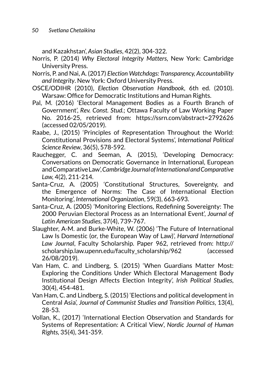and Kazakhstan', *Asian Studies*, 42(2), 304-322.

- Norris, P. (2014) *Why Electoral Integrity Matters*, New York: Cambridge University Press.
- Norris, P. and Nai, A. (2017) *Election Watchdogs: Transparency, Accountability and Integrity*. New York: Oxford University Press.
- OSCE/ODIHR (2010), *Election Observation Handbook*, 6th ed. (2010). Warsaw: Office for Democratic Institutions and Human Rights.
- Pal, M. (2016) 'Electoral Management Bodies as a Fourth Branch of Government', *Rev. Const. Stud.*; Ottawa Faculty of Law Working Paper No. 2016-25, retrieved from: <https://ssrn.com/abstract=2792626> (accessed 02/05/2019).
- Raabe, J., (2015) 'Principles of Representation Throughout the World: Constitutional Provisions and Electoral Systems', *International Political Science Review*, 36(5), 578-592.
- Rauchegger, C. and Seeman, A. (2015), 'Developing Democracy: Conversations on Democratic Governance in International, European and Comparative Law', *Cambridge Journal of International and Comparative Law,* 4(2), 211-214.
- Santa-Cruz, A. (2005) 'Constitutional Structures, Sovereignty, and the Emergence of Norms: The Case of International Election Monitoring', *International Organization*, 59(3), 663-693.
- Santa-Cruz, A. (2005) 'Monitoring Elections, Redefining Sovereignty: The 2000 Peruvian Electoral Process as an International Event', *Journal of Latin American Studies*, 37(4), 739-767.
- Slaughter, A-M. and Burke-White, W. (2006) 'The Future of International Law Is Domestic (or, the European Way of Law)', *Harvard International Law Journal*, Faculty Scholarship. Paper 962, retrieved from: [http://](http://scholarship.law.upenn.edu/faculty_scholarship/962) [scholarship.law.upenn.edu/faculty\\_scholarship/962](http://scholarship.law.upenn.edu/faculty_scholarship/962) (accessed 26/08/2019).
- Van Ham, C. and Lindberg, S. (2015) 'When Guardians Matter Most: Exploring the Conditions Under Which Electoral Management Body Institutional Design Affects Election Integrity', *Irish Political Studies*, 30(4), 454-481.
- Van Ham, C. and Lindberg, S. (2015) 'Elections and political development in Central Asia', *Journal of Communist Studies and Transition Politics*, 13(4), 28-53.
- Vollan, K., (2017) 'International Election Observation and Standards for Systems of Representation: A Critical View', *Nordic Journal of Human Rights,* 35(4), 341-359.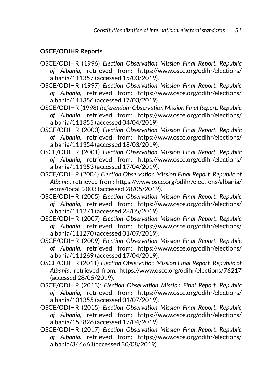# **OSCE/ODIHR Reports**

- OSCE/ODIHR (1996) *Election Observation Mission Final Report. Republic of Albania*, retrieved from: [https://www.osce.org/odihr/elections/](https://www.osce.org/odihr/elections/albania/111357) [albania/111357](https://www.osce.org/odihr/elections/albania/111357) (accessed 15/03/2019).
- OSCE/ODIHR (1997) *Election Observation Mission Final Report. Republic of Albania*, retrieved from: [https://www.osce.org/odihr/elections/](https://www.osce.org/odihr/elections/albania/111356) [albania/111356](https://www.osce.org/odihr/elections/albania/111356) (accessed 17/03/2019).

OSCE/ODIHR (1998) *Referendum Observation Mission Final Report. Republic of Albania*, retrieved from: [https://www.osce.org/odihr/elections/](https://www.osce.org/odihr/elections/albania/111355) [albania/111355](https://www.osce.org/odihr/elections/albania/111355) (accessed 04/04/2019)

OSCE/ODIHR (2000) *Election Observation Mission Final Report. Republic of Albania*, retrieved from: [https://www.osce.org/odihr/elections/](https://www.osce.org/odihr/elections/albania/111354) [albania/111354](https://www.osce.org/odihr/elections/albania/111354) (accessed 18/03/2019).

OSCE/ODIHR (2001) *Election Observation Mission Final Report. Republic of Albania*, retrieved from: [https://www.osce.org/odihr/elections/](https://www.osce.org/odihr/elections/albania/111353) [albania/111353](https://www.osce.org/odihr/elections/albania/111353) (accessed 17/04/2019).

OSCE/ODIHR (2004) *Election Observation Mission Final Report. Republic of Albania*, retrieved from: [https://www.osce.org/odihr/elections/albania/](https://www.osce.org/odihr/elections/albania/eoms/local_2003) [eoms/local\\_2003](https://www.osce.org/odihr/elections/albania/eoms/local_2003) (accessed 28/05/2019).

OSCE/ODIHR (2005) *Election Observation Mission Final Report. Republic of Albania*, retrieved from: [https://www.osce.org/odihr/elections/](https://www.osce.org/odihr/elections/albania/111271) [albania/111271](https://www.osce.org/odihr/elections/albania/111271) (accessed 28/05/2019).

OSCE/ODIHR (2007) *Election Observation Mission Final Report. Republic of Albania*, retrieved from: [https://www.osce.org/odihr/elections/](https://www.osce.org/odihr/elections/albania/111270) [albania/111270](https://www.osce.org/odihr/elections/albania/111270) (accessed 01/07/2019).

OSCE/ODIHR (2009) *Election Observation Mission Final Report. Republic of Albania*, retrieved from: [https://www.osce.org/odihr/elections/](https://www.osce.org/odihr/elections/albania/111269) [albania/111269](https://www.osce.org/odihr/elections/albania/111269) (accessed 17/04/2019).

OSCE/ODIHR (2011) *Election Observation Mission Final Report. Republic of Albania*, retrieved from: <https://www.osce.org/odihr/elections/76217> (accessed 28/05/2019).

OSCE/ODIHR (2013); *Election Observation Mission Final Report. Republic of Albania*, retrieved from: [https://www.osce.org/odihr/elections/](https://www.osce.org/odihr/elections/albania/101355) [albania/101355](https://www.osce.org/odihr/elections/albania/101355) (accessed 01/07/2019).

OSCE/ODIHR (2015) *Election Observation Mission Final Report. Republic of Albania*, retrieved from: [https://www.osce.org/odihr/elections/](https://www.osce.org/odihr/elections/albania/153826) [albania/153826](https://www.osce.org/odihr/elections/albania/153826) (accessed 17/04/2019).

OSCE/ODIHR (2017) *Election Observation Mission Final Report. Republic of Albania*, retrieved from: [https://www.osce.org/odihr/elections/](https://www.osce.org/odihr/elections/albania/346661) [albania/346661\(](https://www.osce.org/odihr/elections/albania/346661)accessed 30/08/2019).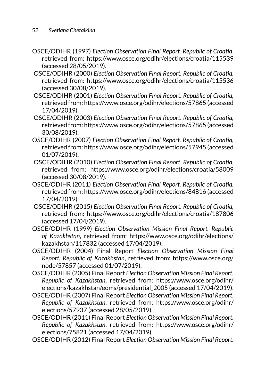- OSCE/ODIHR (1997) *Election Observation Final Report. Republic of Croatia,* retrieved from: <https://www.osce.org/odihr/elections/croatia/115539> (accessed 28/05/2019).
- OSCE/ODIHR (2000) *Election Observation Final Report. Republic of Croatia,* retrieved from: <https://www.osce.org/odihr/elections/croatia/115536> (accessed 30/08/2019).
- OSCE/ODIHR (2001) *Election Observation Final Report. Republic of Croatia,* retrieved from:<https://www.osce.org/odihr/elections/57865>(accessed 17/04/2019).
- OSCE/ODIHR (2003) *Election Observation Final Report. Republic of Croatia,* retrieved from:<https://www.osce.org/odihr/elections/57865>(accessed 30/08/2019).
- OSCE/ODIHR (2007) *Election Observation Final Report. Republic of Croatia,* retrieved from:<https://www.osce.org/odihr/elections/57945>(accessed 01/07/2019).
- OSCE/ODIHR (2010) *Election Observation Final Report. Republic of Croatia,* retrieved from: <https://www.osce.org/odihr/elections/croatia/58009> (accessed 30/08/2019).
- OSCE/ODIHR (2011) *Election Observation Final Report. Republic of Croatia,* retrieved from:<https://www.osce.org/odihr/elections/84816>(accessed 17/04/2019).
- OSCE/ODIHR (2015) *Election Observation Final Report. Republic of Croatia,* retrieved from: <https://www.osce.org/odihr/elections/croatia/187806> (accessed 17/04/2019).
- OSCE/ODIHR (1999) *Election Observation Mission Final Report. Republic of Kazakhstan*, retrieved from: [https://www.osce.org/odihr/elections/](https://www.osce.org/odihr/elections/kazakhstan/117832) [kazakhstan/117832](https://www.osce.org/odihr/elections/kazakhstan/117832) (accessed 17/04/2019).
- OSCE/ODIHR (2004) Final Report *Election Observation Mission Final Report. Republic of Kazakhstan*, retrieved from: [https://www.osce.org/](https://www.osce.org/node/57857) [node/57857](https://www.osce.org/node/57857) (accessed 01/07/2019).
- OSCE/ODIHR (2005) Final Report *Election Observation Mission Final Report. Republic of Kazakhstan*, retrieved from: [https://www.osce.org/odihr/](https://www.osce.org/odihr/elections/kazakhstan/eoms/presidential_2005) [elections/kazakhstan/eoms/presidential\\_2005](https://www.osce.org/odihr/elections/kazakhstan/eoms/presidential_2005) (accessed 17/04/2019).
- OSCE/ODIHR (2007) Final Report *Election Observation Mission Final Report. Republic of Kazakhstan*, retrieved from: [https://www.osce.org/odihr/](https://www.osce.org/odihr/elections/57937) [elections/57937](https://www.osce.org/odihr/elections/57937) (accessed 28/05/2019).
- OSCE/ODIHR (2011) Final Report *Election Observation Mission Final Report. Republic of Kazakhstan*, retrieved from: [https://www.osce.org/odihr/](https://www.osce.org/odihr/elections/75821) [elections/75821](https://www.osce.org/odihr/elections/75821) (accessed 17/04/2019).
- OSCE/ODIHR (2012) Final Report *Election Observation Mission Final Report.*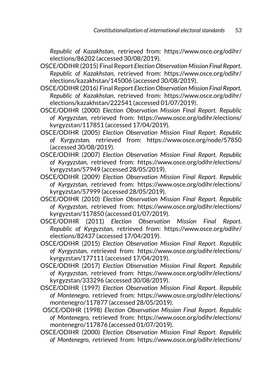*Republic of Kazakhstan*, retrieved from: [https://www.osce.org/odihr/](https://www.osce.org/odihr/elections/86202) [elections/86202](https://www.osce.org/odihr/elections/86202) (accessed 30/08/2019).

- OSCE/ODIHR (2015) Final Report *Election Observation Mission Final Report. Republic of Kazakhstan*, retrieved from: [https://www.osce.org/odihr/](https://www.osce.org/odihr/elections/kazakhstan/145006) [elections/kazakhstan/145006](https://www.osce.org/odihr/elections/kazakhstan/145006) (accessed 30/08/2019).
- OSCE/ODIHR (2016) Final Report *Election Observation Mission Final Report. Republic of Kazakhstan*, retrieved from: [https://www.osce.org/odihr/](https://www.osce.org/odihr/elections/kazakhstan/222541) [elections/kazakhstan/222541](https://www.osce.org/odihr/elections/kazakhstan/222541) (accessed 01/07/2019).
- OSCE/ODIHR (2000) *Election Observation Mission Final Report. Republic of Kyrgyzstan,* retrieved from: [https://www.osce.org/odihr/elections/](https://www.osce.org/odihr/elections/kyrgyzstan/117851) [kyrgyzstan/117851](https://www.osce.org/odihr/elections/kyrgyzstan/117851) (accessed 17/04/2019).
- OSCE/ODIHR (2005) *Election Observation Mission Final Report. Republic of Kyrgyzstan,* retrieved from: <https://www.osce.org/node/57850> (accessed 30/08/2019).
- OSCE/ODIHR (2007) *Election Observation Mission Final Report. Republic of Kyrgyzstan,* retrieved from: [https://www.osce.org/odihr/elections/](https://www.osce.org/odihr/elections/kyrgyzstan/57949) [kyrgyzstan/57949](https://www.osce.org/odihr/elections/kyrgyzstan/57949) (accessed 28/05/2019).
- OSCE/ODIHR (2009) *Election Observation Mission Final Report. Republic of Kyrgyzstan,* retrieved from: [https://www.osce.org/odihr/elections/](https://www.osce.org/odihr/elections/kyrgyzstan/57999) [kyrgyzstan/57999](https://www.osce.org/odihr/elections/kyrgyzstan/57999) (accessed 28/05/2019).
- OSCE/ODIHR (2010) *Election Observation Mission Final Report. Republic of Kyrgyzstan,* retrieved from: [https://www.osce.org/odihr/elections/](https://www.osce.org/odihr/elections/kyrgyzstan/117850) [kyrgyzstan/117850](https://www.osce.org/odihr/elections/kyrgyzstan/117850) (accessed 01/07/2019).
- OSCE/ODIHR (2011) *Election Observation Mission Final Report. Republic of Kyrgyzstan,* retrieved from: [https://www.osce.org/odihr/](https://www.osce.org/odihr/elections/82437) [elections/82437](https://www.osce.org/odihr/elections/82437) (accessed 17/04/2019).
- OSCE/ODIHR (2015) *Election Observation Mission Final Report. Republic of Kyrgyzstan,* retrieved from: [https://www.osce.org/odihr/elections/](https://www.osce.org/odihr/elections/kyrgyzstan/177111) [kyrgyzstan/177111](https://www.osce.org/odihr/elections/kyrgyzstan/177111) (accessed 17/04/2019).
- OSCE/ODIHR (2017) *Election Observation Mission Final Report. Republic of Kyrgyzstan,* retrieved from: [https://www.osce.org/odihr/elections/](https://www.osce.org/odihr/elections/kyrgyzstan/333296) [kyrgyzstan/333296](https://www.osce.org/odihr/elections/kyrgyzstan/333296) (accessed 30/08/2019).
- OSCE/ODIHR (1997) *Election Observation Mission Final Report. Republic of Montenegro,* retrieved from: [https://www.osce.org/odihr/elections/](https://www.osce.org/odihr/elections/montenegro/117877) [montenegro/117877](https://www.osce.org/odihr/elections/montenegro/117877) (accessed 28/05/2019).
- OSCE/ODIHR (1998) *Election Observation Mission Final Report. Republic of Montenegro,* retrieved from: [https://www.osce.org/odihr/elections/](https://www.osce.org/odihr/elections/montenegro/117876) [montenegro/117876](https://www.osce.org/odihr/elections/montenegro/117876) (accessed 01/07/2019).
- OSCE/ODIHR (2000) *Election Observation Mission Final Report. Republic of Montenegro,* retrieved from: [https://www.osce.org/odihr/elections/](https://www.osce.org/odihr/elections/montenegro/117875)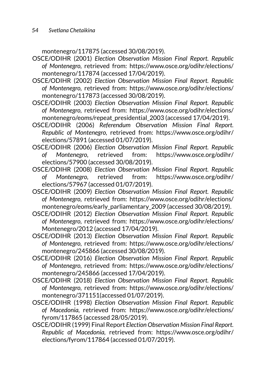[montenegro/117875](https://www.osce.org/odihr/elections/montenegro/117875) (accessed 30/08/2019).

- OSCE/ODIHR (2001) *Election Observation Mission Final Report. Republic of Montenegro,* retrieved from: [https://www.osce.org/odihr/elections/](https://www.osce.org/odihr/elections/montenegro/117874) [montenegro/117874](https://www.osce.org/odihr/elections/montenegro/117874) (accessed 17/04/2019).
- OSCE/ODIHR (2002) *Election Observation Mission Final Report. Republic of Montenegro,* retrieved from: [https://www.osce.org/odihr/elections/](https://www.osce.org/odihr/elections/montenegro/117873) [montenegro/117873](https://www.osce.org/odihr/elections/montenegro/117873) (accessed 30/08/2019).
- OSCE/ODIHR (2003) *Election Observation Mission Final Report. Republic of Montenegro,* retrieved from: [https://www.osce.org/odihr/elections/](https://www.osce.org/odihr/elections/montenegro/eoms/repeat_presidential_2003) [montenegro/eoms/repeat\\_presidential\\_2003](https://www.osce.org/odihr/elections/montenegro/eoms/repeat_presidential_2003) (accessed 17/04/2019).
- OSCE/ODIHR (2006) *Referendum Observation Mission Final Report. Republic of Montenegro,* retrieved from: [https://www.osce.org/odihr/](https://www.osce.org/odihr/elections/57891) [elections/57891](https://www.osce.org/odihr/elections/57891) (accessed 01/07/2019).
- OSCE/ODIHR (2006) *Election Observation Mission Final Report. Republic of Montenegro,* retrieved from: [https://www.osce.org/odihr/](https://www.osce.org/odihr/elections/57900) [elections/57900](https://www.osce.org/odihr/elections/57900) (accessed 30/08/2019).
- OSCE/ODIHR (2008) *Election Observation Mission Final Report. Republic of Montenegro,* retrieved from: [https://www.osce.org/odihr/](https://www.osce.org/odihr/elections/57967) [elections/57967](https://www.osce.org/odihr/elections/57967) (accessed 01/07/2019).
- OSCE/ODIHR (2009) *Election Observation Mission Final Report. Republic of Montenegro,* retrieved from: [https://www.osce.org/odihr/elections/](https://www.osce.org/odihr/elections/montenegro/eoms/early_parliamentary_2009) [montenegro/eoms/early\\_parliamentary\\_2009](https://www.osce.org/odihr/elections/montenegro/eoms/early_parliamentary_2009) (accessed 30/08/2019).
- OSCE/ODIHR (2012) *Election Observation Mission Final Report. Republic of Montenegro,* retrieved from: [https://www.osce.org/odihr/elections/](https://www.osce.org/odihr/elections/Montenegro/2012) [Montenegro/2012](https://www.osce.org/odihr/elections/Montenegro/2012) (accessed 17/04/2019).
- OSCE/ODIHR (2013) *Election Observation Mission Final Report. Republic of Montenegro,* retrieved from: [https://www.osce.org/odihr/elections/](https://www.osce.org/odihr/elections/montenegro/245866) [montenegro/245866](https://www.osce.org/odihr/elections/montenegro/245866) (accessed 30/08/2019).
- OSCE/ODIHR (2016) *Election Observation Mission Final Report. Republic of Montenegro,* retrieved from: [https://www.osce.org/odihr/elections/](https://www.osce.org/odihr/elections/montenegro/245866) [montenegro/245866](https://www.osce.org/odihr/elections/montenegro/245866) (accessed 17/04/2019).
- OSCE/ODIHR (2018) *Election Observation Mission Final Report. Republic of Montenegro,* retrieved from: [https://www.osce.org/odihr/elections/](https://www.osce.org/odihr/elections/montenegro/371151) [montenegro/371151](https://www.osce.org/odihr/elections/montenegro/371151)(accessed 01/07/2019).
- OSCE/ODIHR (1998) *Election Observation Mission Final Report. Republic of Macedonia,* retrieved from: [https://www.osce.org/odihr/elections/](https://www.osce.org/odihr/elections/fyrom/117865) [fyrom/117865](https://www.osce.org/odihr/elections/fyrom/117865) (accessed 28/05/2019).
- OSCE/ODIHR (1999) Final Report *Election Observation Mission Final Report. Republic of Macedonia,* retrieved from: [https://www.osce.org/odihr/](https://www.osce.org/odihr/elections/fyrom/117864) [elections/fyrom/117864](https://www.osce.org/odihr/elections/fyrom/117864) (accessed 01/07/2019).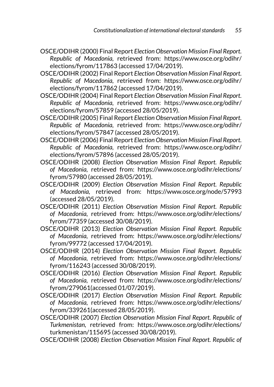- OSCE/ODIHR (2000) Final Report *Election Observation Mission Final Report. Republic of Macedonia,* retrieved from: [https://www.osce.org/odihr/](https://www.osce.org/odihr/elections/fyrom/117863) [elections/fyrom/117863](https://www.osce.org/odihr/elections/fyrom/117863) (accessed 17/04/2019).
- OSCE/ODIHR (2002) Final Report *Election Observation Mission Final Report. Republic of Macedonia,* retrieved from: [https://www.osce.org/odihr/](https://www.osce.org/odihr/elections/fyrom/117862) [elections/fyrom/117862](https://www.osce.org/odihr/elections/fyrom/117862) (accessed 17/04/2019).
- OSCE/ODIHR (2004) Final Report *Election Observation Mission Final Report. Republic of Macedonia,* retrieved from: [https://www.osce.org/odihr/](https://www.osce.org/odihr/elections/fyrom/57859) [elections/fyrom/57859](https://www.osce.org/odihr/elections/fyrom/57859) (accessed 28/05/2019).
- OSCE/ODIHR (2005) Final Report *Election Observation Mission Final Report. Republic of Macedonia,* retrieved from: [https://www.osce.org/odihr/](https://www.osce.org/odihr/elections/fyrom/57847) [elections/fyrom/57847](https://www.osce.org/odihr/elections/fyrom/57847) (accessed 28/05/2019).
- OSCE/ODIHR (2006) Final Report *Election Observation Mission Final Report. Republic of Macedonia,* retrieved from: [https://www.osce.org/odihr/](https://www.osce.org/odihr/elections/fyrom/57896) [elections/fyrom/57896](https://www.osce.org/odihr/elections/fyrom/57896) (accessed 28/05/2019).
- OSCE/ODIHR (2008) *Election Observation Mission Final Report. Republic of Macedonia,* retrieved from: [https://www.osce.org/odihr/elections/](https://www.osce.org/odihr/elections/fyrom/57980) [fyrom/57980](https://www.osce.org/odihr/elections/fyrom/57980) (accessed 28/05/2019).
- OSCE/ODIHR (2009) *Election Observation Mission Final Report. Republic of Macedonia,* retrieved from: <https://www.osce.org/node/57993> (accessed 28/05/2019).
- OSCE/ODIHR (2011) *Election Observation Mission Final Report. Republic of Macedonia,* retrieved from: [https://www.osce.org/odihr/elections/](https://www.osce.org/odihr/elections/fyrom/77359) [fyrom/77359](https://www.osce.org/odihr/elections/fyrom/77359) (accessed 30/08/2019).
- OSCE/ODIHR (2013) *Election Observation Mission Final Report. Republic of Macedonia,* retrieved from: [https://www.osce.org/odihr/elections/](https://www.osce.org/odihr/elections/fyrom/99772) [fyrom/99772](https://www.osce.org/odihr/elections/fyrom/99772) (accessed 17/04/2019).
- OSCE/ODIHR (2014) *Election Observation Mission Final Report. Republic of Macedonia,* retrieved from: [https://www.osce.org/odihr/elections/](https://www.osce.org/odihr/elections/fyrom/116243) [fyrom/116243](https://www.osce.org/odihr/elections/fyrom/116243) (accessed 30/08/2019).
- OSCE/ODIHR (2016) *Election Observation Mission Final Report. Republic of Macedonia,* retrieved from: [https://www.osce.org/odihr/elections/](https://www.osce.org/odihr/elections/fyrom/279061) [fyrom/279061](https://www.osce.org/odihr/elections/fyrom/279061)(accessed 01/07/2019).
- OSCE/ODIHR (2017) *Election Observation Mission Final Report. Republic of Macedonia,* retrieved from: [https://www.osce.org/odihr/elections/](https://www.osce.org/odihr/elections/fyrom/339261) [fyrom/339261](https://www.osce.org/odihr/elections/fyrom/339261)(accessed 28/05/2019).
- OSCE/ODIHR (2007) *Election Observation Mission Final Report. Republic of Turkmenistan,* retrieved from: [https://www.osce.org/odihr/elections/](https://www.osce.org/odihr/elections/turkmenistan/115695) [turkmenistan/115695](https://www.osce.org/odihr/elections/turkmenistan/115695) (accessed 30/08/2019).
- OSCE/ODIHR (2008) *Election Observation Mission Final Report. Republic of*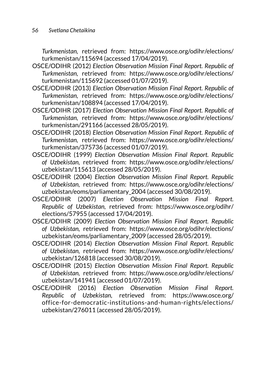*Turkmenistan,* retrieved from: [https://www.osce.org/odihr/elections/](https://www.osce.org/odihr/elections/turkmenistan/115694) [turkmenistan/115694](https://www.osce.org/odihr/elections/turkmenistan/115694) (accessed 17/04/2019).

- OSCE/ODIHR (2012) *Election Observation Mission Final Report. Republic of Turkmenistan,* retrieved from: [https://www.osce.org/odihr/elections/](https://www.osce.org/odihr/elections/turkmenistan/115692) [turkmenistan/115692](https://www.osce.org/odihr/elections/turkmenistan/115692) (accessed 01/07/2019).
- OSCE/ODIHR (2013) *Election Observation Mission Final Report. Republic of Turkmenistan,* retrieved from: [https://www.osce.org/odihr/elections/](https://www.osce.org/odihr/elections/turkmenistan/108894) [turkmenistan/108894](https://www.osce.org/odihr/elections/turkmenistan/108894) (accessed 17/04/2019).
- OSCE/ODIHR (2017) *Election Observation Mission Final Report. Republic of Turkmenistan,* retrieved from: [https://www.osce.org/odihr/elections/](https://www.osce.org/odihr/elections/turkmenistan/291166) [turkmenistan/291166](https://www.osce.org/odihr/elections/turkmenistan/291166) (accessed 28/05/2019).
- OSCE/ODIHR (2018) *Election Observation Mission Final Report. Republic of Turkmenistan,* retrieved from: [https://www.osce.org/odihr/elections/](https://www.osce.org/odihr/elections/turkmenistan/375736) [turkmenistan/375736](https://www.osce.org/odihr/elections/turkmenistan/375736) (accessed 01/07/2019).
- OSCE/ODIHR (1999) *Election Observation Mission Final Report. Republic of Uzbekistan,* retrieved from: [https://www.osce.org/odihr/elections/](https://www.osce.org/odihr/elections/uzbekistan/115613) [uzbekistan/115613](https://www.osce.org/odihr/elections/uzbekistan/115613) (accessed 28/05/2019).
- OSCE/ODIHR (2004) *Election Observation Mission Final Report. Republic of Uzbekistan,* retrieved from: [https://www.osce.org/odihr/elections/](https://www.osce.org/odihr/elections/uzbekistan/eoms/parliamentary_2004) [uzbekistan/eoms/parliamentary\\_2004](https://www.osce.org/odihr/elections/uzbekistan/eoms/parliamentary_2004) (accessed 30/08/2019).
- OSCE/ODIHR (2007) *Election Observation Mission Final Report. Republic of Uzbekistan,* retrieved from: [https://www.osce.org/odihr/](https://www.osce.org/odihr/elections/57955) [elections/57955](https://www.osce.org/odihr/elections/57955) (accessed 17/04/2019).
- OSCE/ODIHR (2009) *Election Observation Mission Final Report. Republic of Uzbekistan,* retrieved from: [https://www.osce.org/odihr/elections/](https://www.osce.org/odihr/elections/uzbekistan/eoms/parliamentary_2009) [uzbekistan/eoms/parliamentary\\_2009](https://www.osce.org/odihr/elections/uzbekistan/eoms/parliamentary_2009) (accessed 28/05/2019).
- OSCE/ODIHR (2014) *Election Observation Mission Final Report. Republic of Uzbekistan,* retrieved from: [https://www.osce.org/odihr/elections/](https://www.osce.org/odihr/elections/uzbekistan/126818) [uzbekistan/126818](https://www.osce.org/odihr/elections/uzbekistan/126818) (accessed 30/08/2019).
- OSCE/ODIHR (2015) *Election Observation Mission Final Report. Republic of Uzbekistan,* retrieved from: [https://www.osce.org/odihr/elections/](https://www.osce.org/odihr/elections/uzbekistan/141941) [uzbekistan/141941](https://www.osce.org/odihr/elections/uzbekistan/141941) (accessed 01/07/2019).
- OSCE/ODIHR (2016) *Election Observation Mission Final Report. Republic of Uzbekistan,* retrieved from: [https://www.osce.org/](https://www.osce.org/office-for-democratic-institutions-and-human-rights/elections/uzbekistan/276011) [office-for-democratic-institutions-and-human-rights/elections/](https://www.osce.org/office-for-democratic-institutions-and-human-rights/elections/uzbekistan/276011) [uzbekistan/276011](https://www.osce.org/office-for-democratic-institutions-and-human-rights/elections/uzbekistan/276011) (accessed 28/05/2019).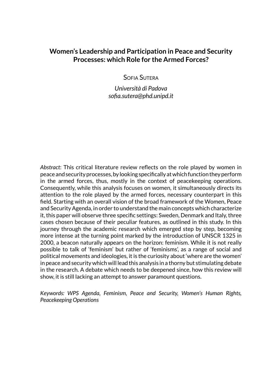# **Women's Leadership and Participation in Peace and Security Processes: which Role for the Armed Forces?**

Sofia Sutera

*Università di Padova sofia.sutera@phd.unipd.it*

*Abstract*: This critical literature review reflects on the role played by women in peace and security processes, by looking specifically at which function they perform in the armed forces, thus, mostly in the context of peacekeeping operations. Consequently, while this analysis focuses on women, it simultaneously directs its attention to the role played by the armed forces, necessary counterpart in this field. Starting with an overall vision of the broad framework of the Women, Peace and Security Agenda, in order to understand the main concepts which characterize it, this paper will observe three specific settings: Sweden, Denmark and Italy, three cases chosen because of their peculiar features, as outlined in this study. In this journey through the academic research which emerged step by step, becoming more intense at the turning point marked by the introduction of UNSCR 1325 in 2000, a beacon naturally appears on the horizon: feminism. While it is not really possible to talk of 'feminism' but rather of 'feminisms', as a range of social and political movements and ideologies, it is the curiosity about 'where are the women' in peace and security which will lead this analysis in a thorny but stimulating debate in the research. A debate which needs to be deepened since, how this review will show, it is still lacking an attempt to answer paramount questions.

*Keywords: WPS Agenda, Feminism, Peace and Security, Women's Human Rights, Peacekeeping Operations*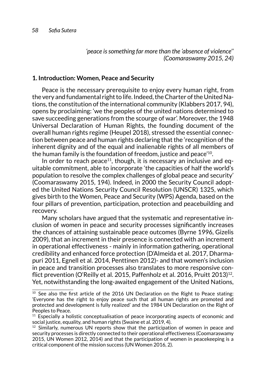*'peace is something far more than the 'absence of violence'' (Coomaraswamy 2015, 24)*

## **1. Introduction: Women, Peace and Security**

Peace is the necessary prerequisite to enjoy every human right, from the very and fundamental right to life. Indeed, the Charter of the United Nations, the constitution of the international community (Klabbers 2017, 94), opens by proclaiming: 'we the peoples of the united nations determined to save succeeding generations from the scourge of war'. Moreover, the 1948 Universal Declaration of Human Rights, the founding document of the overall human rights regime (Heupel 2018), stressed the essential connection between peace and human rights declaring that the 'recognition of the inherent dignity and of the equal and inalienable rights of all members of the human family is the foundation of freedom, justice and peace'10.

In order to reach peace<sup>11</sup>, though, it is necessary an inclusive and equitable commitment, able to incorporate 'the capacities of half the world's population to resolve the complex challenges of global peace and security' (Coomaraswamy 2015, 194). Indeed, in 2000 the Security Council adopted the United Nations Security Council Resolution (UNSCR) 1325, which gives birth to the Women, Peace and Security (WPS) Agenda, based on the four pillars of prevention, participation, protection and peacebuilding and recovery.

Many scholars have argued that the systematic and representative inclusion of women in peace and security processes significantly increases the chances of attaining sustainable peace outcomes (Byrne 1996, Gizelis 2009), that an increment in their presence is connected with an increment in operational effectiveness - mainly in information gathering, operational credibility and enhanced force protection (D'Almeida et al. 2017, Dharmapuri 2011, Egnell et al. 2014, Penttinen 2012)- and that women's inclusion in peace and transition processes also translates to more responsive conflict prevention (O'Reilly et al. 2015, Paffenholz et al. 2016, Pruitt 2013)<sup>12</sup>. Yet, notwithstanding the long-awaited engagement of the United Nations,

 $10$  See also the first article of the 2016 UN Declaration on the Right to Peace stating: 'Everyone has the right to enjoy peace such that all human rights are promoted and protected and development is fully realized' and the 1984 UN Declaration on the Right of Peoples to Peace.

 $11$  Especially a holistic conceptualisation of peace incorporating aspects of economic and social justice, equality, and human rights (Swaine et al. 2019, 4).

 $12$  Similarly, numerous UN reports show that the participation of women in peace and security processes is directly connected to their operational effectiveness (Coomaraswamy 2015, UN Women 2012, 2014) and that the participation of women in peacekeeping is a critical component of the mission success (UN Women 2016, 2).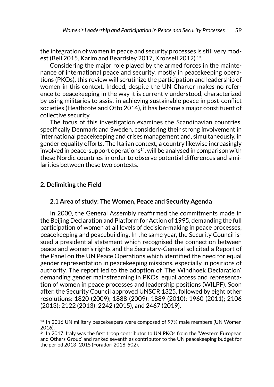the integration of women in peace and security processes is still very modest (Bell 2015, Karim and Beardsley 2017, Kronsell 2012) 13.

Considering the major role played by the armed forces in the maintenance of international peace and security, mostly in peacekeeping operations (PKOs), this review will scrutinize the participation and leadership of women in this context. Indeed, despite the UN Charter makes no reference to peacekeeping in the way it is currently understood, characterized by using militaries to assist in achieving sustainable peace in post-conflict societies (Heathcote and Otto 2014), it has become a major constituent of collective security.

The focus of this investigation examines the Scandinavian countries, specifically Denmark and Sweden, considering their strong involvement in international peacekeeping and crises management and, simultaneously, in gender equality efforts. The Italian context, a country likewise increasingly involved in peace-support operations<sup>14</sup>, will be analysed in comparison with these Nordic countries in order to observe potential differences and similarities between these two contexts.

#### **2. Delimiting the Field**

### **2.1 Area of study: The Women, Peace and Security Agenda**

In 2000, the General Assembly reaffirmed the commitments made in the Beijing Declaration and Platform for Action of 1995, demanding the full participation of women at all levels of decision-making in peace processes, peacekeeping and peacebuilding. In the same year, the Security Council issued a presidential statement which recognised the connection between peace and women's rights and the Secretary-General solicited a Report of the Panel on the UN Peace Operations which identified the need for equal gender representation in peacekeeping missions, especially in positions of authority. The report led to the adoption of 'The Windhoek Declaration', demanding gender mainstreaming in PKOs, equal access and representation of women in peace processes and leadership positions (WILPF). Soon after, the Security Council approved UNSCR 1325, followed by eight other resolutions: 1820 (2009); 1888 (2009); 1889 (2010); 1960 (2011); 2106 (2013); 2122 (2013); 2242 (2015), and 2467 (2019).

<sup>&</sup>lt;sup>13</sup> In 2016 UN military peacekeepers were composed of 97% male members (UN Women 2016).

<sup>&</sup>lt;sup>14</sup> In 2017, Italy was the first troop contributor to UN PKOs from the 'Western European and Others Group' and ranked seventh as contributor to the UN peacekeeping budget for the period 2013–2015 (Foradori 2018, 502).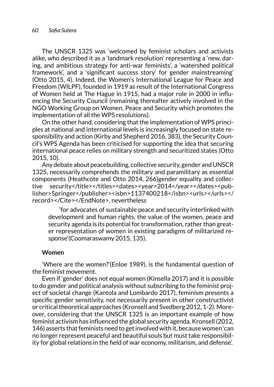The UNSCR 1325 was 'welcomed by feminist scholars and activists alike, who described it as a 'landmark resolution' representing a 'new, daring, and ambitious strategy for anti-war feminists', a 'watershed political framework', and a 'significant success story' for gender mainstreaming' (Otto 2015, 4). Indeed, the Women's International League for Peace and Freedom (WILPF), founded in 1919 as result of the International Congress of Women held at The Hague in 1915, had a major role in 2000 in influencing the Security Council (remaining thereafter actively involved in the NGO Working Group on Women, Peace and Security which promotes the implementation of all the WPS resolutions).

On the other hand, considering that the implementation of WPS principles at national and international levels is increasingly focused on state responsibility and action (Kirby and Shepherd 2016, 383), the Security Council's WPS Agenda has been criticised for supporting the idea that securing international peace relies on military strength and securitized states (Otto 2015, 10).

Any debate about peacebuilding, collective security, gender and UNSCR 1325, necessarily comprehends the military and paramilitary as essential components (Heathcote and Otto 2014, 266)gender equality and collective security</title></titles><dates><year>2014</year></dates><publisher>Springer</publisher><isbn>1137400218</isbn><urls></urls></ record></Cite></EndNote>, nevertheless

 'for advocates of sustainable peace and security interlinked with development and human rights, the value of the women, peace and security agenda is its potential for transformation, rather than greater representation of women in existing paradigms of militarized response'(Coomaraswamy 2015, 135).

#### **Women**

'Where are the women?'(Enloe 1989), is the fundamental question of the feminist movement.

Even if 'gender' does not equal women (Kinsella 2017) and it is possible to do gender and political analysis without subscribing to the feminist project of societal change (Kantola and Lombardo 2017), feminism presents a specific gender sensitivity, not necessarily present in other constructivist or critical theoretical approaches (Kronsell and Svedberg 2012, 1-2). Moreover, considering that the UNSCR 1325 is an important example of how feminist activism has influenced the global security agenda, Kronsell (2012, 146) asserts that feminists need to get involved with it, because women 'can no longer represent peaceful and beautiful souls but must take responsibility for global relations in the field of war economy, militarism, and defense'.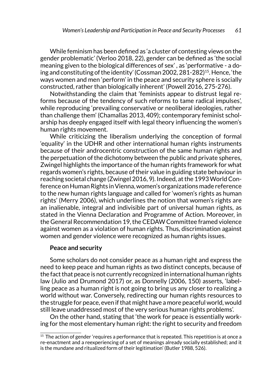While feminism has been defined as 'a cluster of contesting views on the gender problematic' (Verloo 2018, 22), gender can be defined as 'the social meaning given to the biological differences of sex' , as 'performative - a doing and constituting of the identity' (Cossman 2002, 281-282)<sup>15</sup>. Hence, 'the ways women and men 'perform' in the peace and security sphere is socially constructed, rather than biologically inherent' (Powell 2016, 275-276).

Notwithstanding the claim that 'feminists appear to distrust legal reforms because of the tendency of such reforms to tame radical impulses', while reproducing 'prevailing conservative or neoliberal ideologies, rather than challenge them' (Chamallas 2013, 409); contemporary feminist scholarship has deeply engaged itself with legal theory influencing the women's human rights movement.

While criticizing the liberalism underlying the conception of formal 'equality' in the UDHR and other international human rights instruments because of their androcentric construction of the same human rights and the perpetuation of the dichotomy between the public and private spheres, Zwingel highlights the importance of the human rights framework for what regards women's rights, because of their value in guiding state behaviour in reaching societal change (Zwingel 2016, 9). Indeed, at the 1993 World Conference on Human Rights in Vienna, women's organizations made reference to the new human rights language and called for 'women's rights as human rights' (Merry 2006), which underlines the notion that women's rights are an inalienable, integral and indivisible part of universal human rights, as stated in the Vienna Declaration and Programme of Action. Moreover, in the General Recommendation 19, the CEDAW Committee framed violence against women as a violation of human rights. Thus, discrimination against women and gender violence were recognized as human rights issues.

#### **Peace and security**

Some scholars do not consider peace as a human right and express the need to keep peace and human rights as two distinct concepts, because of the fact that peace is not currently recognized in international human rights law (Julio and Drumond 2017) or, as Donnelly (2006, 150) asserts, 'labelling peace as a human right is not going to bring us any closer to realizing a world without war. Conversely, redirecting our human rights resources to the struggle for peace, even if that might have a more peaceful world, would still leave unaddressed most of the very serious human rights problems'.

On the other hand, stating that 'the work for peace is essentially working for the most elementary human right: the right to security and freedom

 $15$  The action of gender 'requires a performance that is repeated. This repetition is at once a re-enactment and a reexperiencing of a set of meanings already socially established; and it is the mundane and ritualized form of their legitimation' (Butler 1988, 526).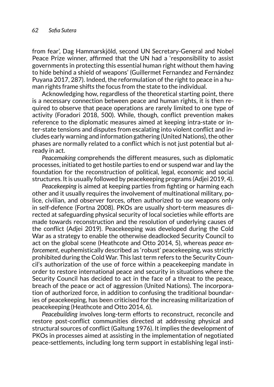from fear', Dag Hammarskjöld, second UN Secretary-General and Nobel Peace Prize winner, affirmed that the UN had a 'responsibility to assist governments in protecting this essential human right without them having to hide behind a shield of weapons' (Guillermet Fernandez and Fernández Puyana 2017, 287). Indeed, the reformulation of the right to peace in a human rights frame shifts the focus from the state to the individual.

Acknowledging how, regardless of the theoretical starting point, there is a necessary connection between peace and human rights, it is then required to observe that peace operations are rarely limited to one type of activity (Foradori 2018, 500). While, though, conflict prevention makes reference to the diplomatic measures aimed at keeping intra-state or inter-state tensions and disputes from escalating into violent conflict and includes early warning and information gathering (United Nations), the other phases are normally related to a conflict which is not just potential but already in act.

*Peacemaking* comprehends the different measures, such as diplomatic processes, initiated to get hostile parties to end or suspend war and lay the foundation for the reconstruction of political, legal, economic and social structures. It is usually followed by peacekeeping programs (Adjei 2019, 4).

*Peacekeeping* is aimed at keeping parties from fighting or harming each other and it usually requires the involvement of multinational military, police, civilian, and observer forces, often authorized to use weapons only in self-defence (Fortna 2008). PKOs are usually short-term measures directed at safeguarding physical security of local societies while efforts are made towards reconstruction and the resolution of underlying causes of the conflict (Adjei 2019). Peacekeeping was developed during the Cold War as a strategy to enable the otherwise deadlocked Security Council to act on the global scene (Heathcote and Otto 2014, 5), whereas *peace enforcement*, euphemistically described as 'robust' peacekeeping, was strictly prohibited during the Cold War. This last term refers to the Security Council's authorization of the use of force within a peacekeeping mandate in order to restore international peace and security in situations where the Security Council has decided to act in the face of a threat to the peace, breach of the peace or act of aggression (United Nations). The incorporation of authorized force, in addition to confusing the traditional boundaries of peacekeeping, has been criticised for the increasing militarization of peacekeeping (Heathcote and Otto 2014, 6).

*Peacebuilding* involves long-term efforts to reconstruct, reconcile and restore post-conflict communities directed at addressing physical and structural sources of conflict (Galtung 1976). It implies the development of PKOs in processes aimed at assisting in the implementation of negotiated peace-settlements, including long term support in establishing legal insti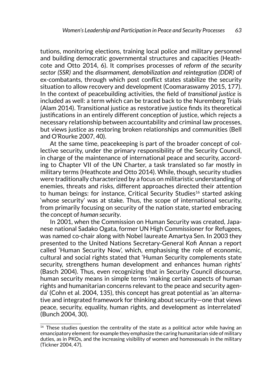tutions, monitoring elections, training local police and military personnel and building democratic governmental structures and capacities (Heathcote and Otto 2014, 6). It comprises processes of *reform of the security sector (SSR)* and the *disarmament, demobilization and reintegration (DDR)* of ex-combatants, through which post conflict states stabilize the security situation to allow recovery and development (Coomaraswamy 2015, 177). In the context of peacebuilding activities, the field of *transitional justice* is included as well: a term which can be traced back to the Nuremberg Trials (Alam 2014). Transitional justice as restorative justice finds its theoretical justifications in an entirely different conception of justice, which rejects a necessary relationship between accountability and criminal law processes, but views justice as restoring broken relationships and communities (Bell and O'Rourke 2007, 40).

At the same time, peacekeeping is part of the broader concept of collective security, under the primary responsibility of the Security Council, in charge of the maintenance of international peace and security, according to Chapter VII of the UN Charter, a task translated so far mostly in military terms (Heathcote and Otto 2014). While, though, security studies were traditionally characterized by a focus on militaristic understanding of enemies, threats and risks, different approaches directed their attention to human beings: for instance, Critical Security Studies<sup>16</sup> started asking 'whose security' was at stake. Thus, the scope of international security, from primarily focusing on security of the nation state, started embracing the concept of *human security*.

In 2001, when the Commission on Human Security was created, Japanese national Sadako Ogata, former UN High Commissioner for Refugees, was named co-chair along with Nobel laureate Amartya Sen. In 2003 they presented to the United Nations Secretary-General Kofi Annan a report called 'Human Security Now', which, emphasising the role of economic, cultural and social rights stated that 'Human Security complements state security, strengthens human development and enhances human rights' (Basch 2004). Thus, even recognizing that in Security Council discourse, human security means in simple terms 'making certain aspects of human rights and humanitarian concerns relevant to the peace and security agenda' (Cohn et al. 2004, 135), this concept has great potential as 'an alternative and integrated framework for thinking about security—one that views peace, security, equality, human rights, and development as interrelated' (Bunch 2004, 30).

 $16$  These studies question the centrality of the state as a political actor while having an emancipatory element: for example they emphasize the caring humanitarian side of military duties, as in PKOs, and the increasing visibility of women and homosexuals in the military (Tickner 2004, 47).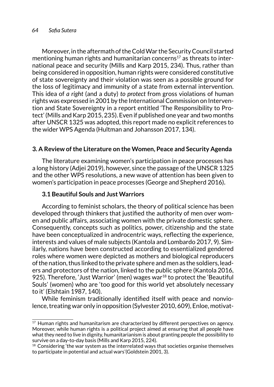#### *64 Sofia Sutera*

Moreover, in the aftermath of the Cold War the Security Council started mentioning human rights and humanitarian concerns<sup>17</sup> as threats to international peace and security (Mills and Karp 2015, 234). Thus, rather than being considered in opposition, human rights were considered constitutive of state sovereignty and their violation was seen as a possible ground for the loss of legitimacy and immunity of a state from external intervention. This idea of *a right* (and a duty) *to protect* from gross violations of human rights was expressed in 2001 by the International Commission on Intervention and State Sovereignty in a report entitled 'The Responsibility to Protect' (Mills and Karp 2015, 235). Even if published one year and two months after UNSCR 1325 was adopted, this report made no explicit references to the wider WPS Agenda (Hultman and Johansson 2017, 134).

## **3. A Review of the Literature on the Women, Peace and Security Agenda**

The literature examining women's participation in peace processes has a long history (Adjei 2019), however, since the passage of the UNSCR 1325 and the other WPS resolutions, a new wave of attention has been given to women's participation in peace processes (George and Shepherd 2016).

### **3.1 Beautiful Souls and Just Warriors**

According to feminist scholars, the theory of political science has been developed through thinkers that justified the authority of men over women and public affairs, associating women with the private domestic sphere. Consequently, concepts such as politics, power, citizenship and the state have been conceptualized in androcentric ways, reflecting the experience, interests and values of male subjects (Kantola and Lombardo 2017, 9). Similarly, nations have been constructed according to essentialized gendered roles where women were depicted as mothers and biological reproducers of the nation, thus linked to the private sphere and men as the soldiers, leaders and protectors of the nation, linked to the public sphere (Kantola 2016, 925). Therefore, 'Just Warrior' (men) wages war<sup>18</sup> to protect the 'Beautiful Souls' (women) who are 'too good for this world yet absolutely necessary to it' (Elshtain 1987, 140).

While feminism traditionally identified itself with peace and nonviolence, treating war only in opposition (Sylvester 2010, 609), Enloe, motivat-

 $17$  Human rights and humanitarism are characterized by different perspectives on agency. Moreover, while human rights is a political project aimed at ensuring that all people have what they need to live in dignity, humanitarianism is about granting people the possibility to survive on a day-to-day basis (Mills and Karp 2015, 224).

 $18$  Considering 'the war system as the interrelated ways that societies organise themselves to participate in potential and actual wars'(Goldstein 2001, 3).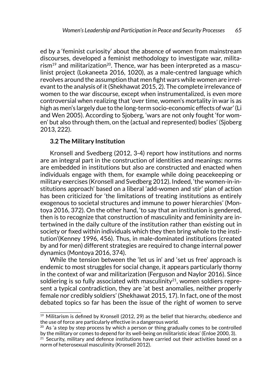ed by a 'feminist curiosity' about the absence of women from mainstream discourses, developed a feminist methodology to investigate war, milita $r$ ism<sup>19</sup> and militarization<sup>20</sup>. Thence, war has been interpreted as a masculinist project (Lokaneeta 2016, 1020), as a male-centred language which revolves around the assumption that men fight wars while women are irrelevant to the analysis of it (Shekhawat 2015, 2). The complete irrelevance of women to the war discourse, except when instrumentalized, is even more controversial when realizing that 'over time, women's mortality in war is as high as men's largely due to the long-term socio-economic effects of war' (Li and Wen 2005). According to Sjoberg, 'wars are not only fought 'for women' but also through them, on the (actual and represented) bodies' (Sjoberg 2013, 222).

#### **3.2 The Military Institution**

Kronsell and Svedberg (2012, 3-4) report how institutions and norms are an integral part in the construction of identities and meanings: norms are embedded in institutions but also are constructed and enacted when individuals engage with them, for example while doing peacekeeping or military exercises (Kronsell and Svedberg 2012). Indeed, 'the women-in-institutions approach' based on a liberal 'add-women and stir' plan of action has been criticized for 'the limitations of treating institutions as entirely exogenous to societal structures and immune to power hierarchies' (Montoya 2016, 372). On the other hand, 'to say that an institution is gendered, then is to recognize that construction of masculinity and femininity are intertwined in the daily culture of the institution rather than existing out in society or fixed within individuals which they then bring whole to the institution'(Kenney 1996, 456). Thus, in male-dominated institutions (created by and for men) different strategies are required to change internal power dynamics (Montoya 2016, 374).

While the tension between the 'let us in' and 'set us free' approach is endemic to most struggles for social change, it appears particularly thorny in the context of war and militarization (Ferguson and Naylor 2016). Since soldiering is so fully associated with masculinity<sup>21</sup>, women soldiers represent a typical contradiction, they are 'at best anomalies, neither properly female nor credibly soldiers' (Shekhawat 2015, 17). In fact, one of the most debated topics so far has been the issue of the right of women to serve

 $19$  Militarism is defined by Kronsell (2012, 29) as the belief that hierarchy, obedience and the use of force are particularly effective in a dangerous world.

 $20$  As 'a step by step process by which a person or thing gradually comes to be controlled by the military or comes to depend for its well-being on militaristic ideas' (Enloe 2000, 3).

 $21$  Security, military and defence institutions have carried out their activities based on a norm of heterosexual masculinity (Kronsell 2012).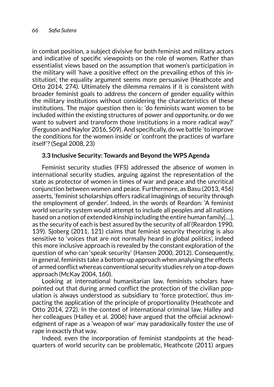in combat position, a subject divisive for both feminist and military actors and indicative of specific viewpoints on the role of women. Rather than essentialist views based on the assumption that women's participation in the military will 'have a positive effect on the prevailing ethos of this institution', the equality argument seems more persuasive (Heathcote and Otto 2014, 274). Ultimately the dilemma remains if it is consistent with broader feminist goals to address the concern of gender equality within the military institutions without considering the characteristics of these institutions. The major question then is: 'do feminists want women to be included within the existing structures of power and opportunity, or do we want to subvert and transform those institutions in a more radical way?' (Ferguson and Naylor 2016, 509). And specifically, do we battle 'to improve the conditions for the women inside' or 'confront the practices of warfare itself'? (Segal 2008, 23)

## **3.3 Inclusive Security: Towards and Beyond the WPS Agenda**

Feminist security studies (FFS) addressed the absence of women in international security studies, arguing against the representation of the state as protector of women in times of war and peace and the uncritical conjunction between women and peace. Furthermore, as Basu (2013, 456) asserts, 'feminist scholarships offers radical imaginings of security through the employment of gender'. Indeed, in the words of Reardon: 'A feminist world security system would attempt to include all peoples and all nations based on a notion of extended kinship including the entire human family[…], as the security of each is best assured by the security of all'(Reardon 1990, 139). Sjoberg (2011, 121) claims that feminist security theorizing is also sensitive to 'voices that are not normally heard in global politics', indeed this more inclusive approach is revealed by the constant exploration of the question of who can 'speak security' (Hansen 2000, 2012). Consequently, in general, feminists take a bottom-up approach when analysing the effects of armed conflict whereas conventional security studies rely on a top-down approach (McKay 2004, 160).

Looking at international humanitarian law, feminists scholars have pointed out that during armed conflict the protection of the civilian population is always understood as subsidiary to 'force protection', thus impacting the application of the principle of proportionality (Heathcote and Otto 2014, 272). In the context of international criminal law, Halley and her colleagues (Halley et al. 2006) have argued that the official acknowledgment of rape as a 'weapon of war' may paradoxically foster the use of rape in exactly that way.

Indeed, even the incorporation of feminist standpoints at the headquarters of world security can be problematic, Heathcote (2011) argues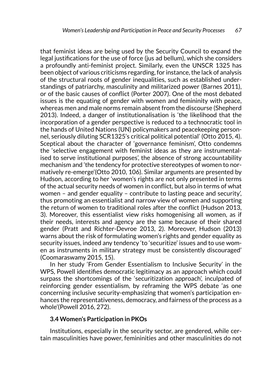that feminist ideas are being used by the Security Council to expand the legal justifications for the use of force (jus ad bellum), which she considers a profoundly anti-feminist project. Similarly, even the UNSCR 1325 has been object of various criticisms regarding, for instance, the lack of analysis of the structural roots of gender inequalities, such as established understandings of patriarchy, masculinity and militarized power (Barnes 2011), or of the basic causes of conflict (Porter 2007). One of the most debated issues is the equating of gender with women and femininity with peace, whereas men and male norms remain absent from the discourse (Shepherd 2013). Indeed, a danger of institutionalisation is 'the likelihood that the incorporation of a gender perspective is reduced to a technocratic tool in the hands of United Nations (UN) policymakers and peacekeeping personnel, seriously diluting SCR1325's critical political potential' (Otto 2015, 4). Sceptical about the character of 'governance feminism', Otto condemns the 'selective engagement with feminist ideas as they are instrumentalised to serve institutional purposes', the absence of strong accountability mechanism and 'the tendency for protective stereotypes of women to normatively re-emerge'(Otto 2010, 106). Similar arguments are presented by Hudson, according to her 'women's rights are not only presented in terms of the actual security needs of women in conflict, but also in terms of what women – and gender equality – contribute to lasting peace and security', thus promoting an essentialist and narrow view of women and supporting the return of women to traditional roles after the conflict (Hudson 2013, 3). Moreover, this essentialist view risks homogenising all women, as if their needs, interests and agency are the same because of their shared gender (Pratt and Richter-Devroe 2013, 2). Moreover, Hudson (2013) warns about the risk of formulating women's rights and gender equality as security issues, indeed any tendency 'to 'securitize' issues and to use women as instruments in military strategy must be consistently discouraged' (Coomaraswamy 2015, 15).

In her study 'From Gender Essentialism to Inclusive Security' in the WPS, Powell identifies democratic legitimacy as an approach which could surpass the shortcomings of the 'securitization approach', inculpated of reinforcing gender essentialism, by reframing the WPS debate 'as one concerning inclusive security-emphasizing that women's participation enhances the representativeness, democracy, and fairness of the process as a whole'(Powell 2016, 272).

#### **3.4 Women's Participation in PKOs**

Institutions, especially in the security sector, are gendered, while certain masculinities have power, femininities and other masculinities do not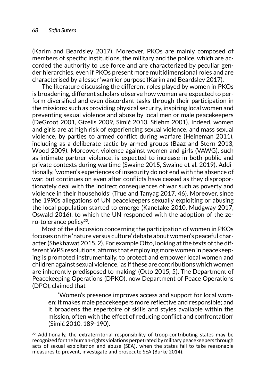(Karim and Beardsley 2017). Moreover, PKOs are mainly composed of members of specific institutions, the military and the police, which are accorded the authority to use force and are characterized by peculiar gender hierarchies, even if PKOs present more multidimensional roles and are characterised by a lesser 'warrior purpose'(Karim and Beardsley 2017).

The literature discussing the different roles played by women in PKOs is broadening, different scholars observe how women are expected to perform diversified and even discordant tasks through their participation in the missions: such as providing physical security, inspiring local women and preventing sexual violence and abuse by local men or male peacekeepers (DeGroot 2001, Gizelis 2009, Simić 2010, Stiehm 2001). Indeed, women and girls are at high risk of experiencing sexual violence, and mass sexual violence, by parties to armed conflict during warfare (Heineman 2011), including as a deliberate tactic by armed groups (Baaz and Stern 2013, Wood 2009). Moreover, violence against women and girls (VAWG), such as intimate partner violence, is expected to increase in both public and private contexts during wartime (Swaine 2015, Swaine et al. 2019). Additionally, 'women's experiences of insecurity do not end with the absence of war, but continues on even after conflicts have ceased as they disproportionately deal with the indirect consequences of war such as poverty and violence in their households' (True and Tanyag 2017, 46). Moreover, since the 1990s allegations of UN peacekeepers sexually exploiting or abusing the local population started to emerge (Kanetake 2010, Mudgway 2017, Oswald 2016), to which the UN responded with the adoption of the zero-tolerance policy<sup>22</sup>.

Most of the discussion concerning the participation of women in PKOs focuses on the 'nature versus culture' debate about women's peaceful character (Shekhawat 2015, 2). For example Otto, looking at the texts of the different WPS resolutions, affirms that employing more women in peacekeeping is promoted instrumentally, to protect and empower local women and children against sexual violence, 'as if these are contributions which women are inherently predisposed to making' (Otto 2015, 5). The Department of Peacekeeping Operations (DPKO), now Department of Peace Operations (DPO), claimed that

'Women's presence improves access and support for local women; it makes male peacekeepers more reflective and responsible; and it broadens the repertoire of skills and styles available within the mission, often with the effect of reducing conflict and confrontation' (Simić 2010, 189-190).

 $22$  Additionally, the extraterritorial responsibility of troop-contributing states may be recognized for the human-rights violations perpetrated by military peacekeepers through acts of sexual exploitation and abuse (SEA), when the states fail to take reasonable measures to prevent, investigate and prosecute SEA (Burke 2014).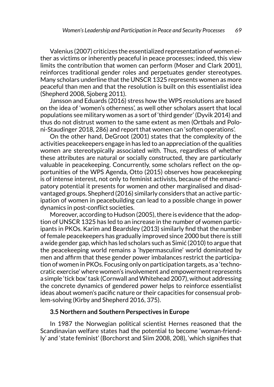Valenius (2007) criticizes the essentialized representation of women either as victims or inherently peaceful in peace processes; indeed, this view limits the contribution that women can perform (Moser and Clark 2001), reinforces traditional gender roles and perpetuates gender stereotypes. Many scholars underline that the UNSCR 1325 represents women as more peaceful than men and that the resolution is built on this essentialist idea (Shepherd 2008, Sjoberg 2011).

Jansson and Eduards (2016) stress how the WPS resolutions are based on the idea of 'women's otherness', as well other scholars assert that local populations see military women as a sort of 'third gender' (Dyvik 2014) and thus do not distrust women to the same extent as men (Ortbals and Poloni-Staudinger 2018, 286) and report that women can 'soften operations'.

On the other hand, DeGroot (2001) states that the complexity of the activities peacekeepers engage in has led to an appreciation of the qualities women are stereotypically associated with. Thus, regardless of whether these attributes are natural or socially constructed, they are particularly valuable in peacekeeping. Concurrently, some scholars reflect on the opportunities of the WPS Agenda, Otto (2015) observes how peacekeeping is of intense interest, not only to feminist activists, because of the emancipatory potential it presents for women and other marginalised and disadvantaged groups. Shepherd (2016) similarly considers that an active participation of women in peacebuilding can lead to a possible change in power dynamics in post-conflict societies.

Moreover, according to Hudson (2005), there is evidence that the adoption of UNSCR 1325 has led to an increase in the number of women participants in PKOs. Karim and Beardsley (2013) similarly find that the number of female peacekeepers has gradually improved since 2000 but there is still a wide gender gap, which has led scholars such as Simić (2010) to argue that the peacekeeping world remains a 'hypermasculine' world dominated by men and affirm that these gender power imbalances restrict the participation of women in PKOs. Focusing only on participation targets, as a 'technocratic exercise' where women's involvement and empowerment represents a simple 'tick box' task (Cornwall and Whitehead 2007), without addressing the concrete dynamics of gendered power helps to reinforce essentialist ideas about women's pacific nature or their capacities for consensual problem-solving (Kirby and Shepherd 2016, 375).

#### **3.5 Northern and Southern Perspectives in Europe**

In 1987 the Norwegian political scientist Hernes reasoned that the Scandinavian welfare states had the potential to become 'woman-friendly' and 'state feminist' (Borchorst and Siim 2008, 208), 'which signifies that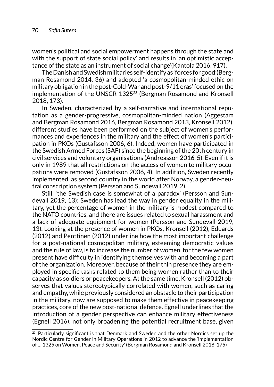women's political and social empowerment happens through the state and with the support of state social policy' and results in 'an optimistic acceptance of the state as an instrument of social change'(Kantola 2016, 917).

The Danish and Swedish militaries self-identify as 'forces for good'(Bergman Rosamond 2014, 36) and adopted 'a cosmopolitan-minded ethic on military obligation in the post-Cold-War and post-9/11 eras' focused on the implementation of the UNSCR 1325<sup>23</sup> (Bergman Rosamond and Kronsell 2018, 173).

In Sweden, characterized by a self-narrative and international reputation as a gender-progressive, cosmopolitan-minded nation (Aggestam and Bergman Rosamond 2016, Bergman Rosamond 2013, Kronsell 2012), different studies have been performed on the subject of women's performances and experiences in the military and the effect of women's participation in PKOs (Gustafsson 2006, 6). Indeed, women have participated in the Swedish Armed Forces (SAF) since the beginning of the 20th century in civil services and voluntary organisations (Andreasson 2016, 5). Even if it is only in 1989 that all restrictions on the access of women to military occupations were removed (Gustafsson 2006, 4). In addition, Sweden recently implemented, as second country in the world after Norway, a gender-neutral conscription system (Persson and Sundevall 2019, 2).

Still, 'the Swedish case is somewhat of a paradox' (Persson and Sundevall 2019, 13): Sweden has lead the way in gender equality in the military, yet the percentage of women in the military is modest compared to the NATO countries, and there are issues related to sexual harassment and a lack of adequate equipment for women (Persson and Sundevall 2019, 13). Looking at the presence of women in PKOs, Kronsell (2012), Eduards (2012) and Penttinen (2012) underline how the most important challenge for a post-national cosmopolitan military, esteeming democratic values and the rule of law, is to increase the number of women, for the few women present have difficulty in identifying themselves with and becoming a part of the organization. Moreover, because of their thin presence they are employed in specific tasks related to them being women rather than to their capacity as soldiers or peacekeepers*.* At the same time, Kronsell (2012) observes that values stereotypically correlated with women, such as caring and empathy, while previously considered an obstacle to their participation in the military, now are supposed to make them effective in peacekeeping practices, core of the new post-national defence. Egnell underlines that the introduction of a gender perspective can enhance military effectiveness (Egnell 2016), not only broadening the potential recruitment base, given

 $23$  Particularly significant is that Denmark and Sweden and the other Nordics set up the Nordic Centre for Gender in Military Operations in 2012 to advance the 'implementation of … 1325 on Women, Peace and Security' (Bergman Rosamond and Kronsell 2018, 175)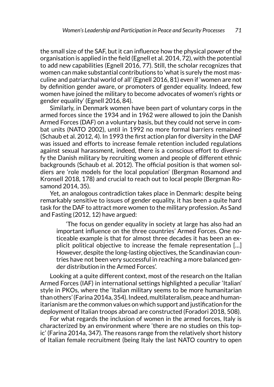the small size of the SAF, but it can influence how the physical power of the organisation is applied in the field (Egnell et al. 2014, 72), with the potential to add new capabilities (Egnell 2016, 77). Still, the scholar recognizes that women can make substantial contributions to 'what is surely the most masculine and patriarchal world of all' (Egnell 2016, 81) even if 'women are not by definition gender aware, or promoters of gender equality. Indeed, few women have joined the military to become advocates of women's rights or gender equality' (Egnell 2016, 84).

Similarly, in Denmark women have been part of voluntary corps in the armed forces since the 1934 and in 1962 were allowed to join the Danish Armed Forces (DAF) on a voluntary basis, but they could not serve in combat units (NATO 2002), until in 1992 no more formal barriers remained (Schaub et al. 2012, 4). In 1993 the first action plan for diversity in the DAF was issued and efforts to increase female retention included regulations against sexual harassment, indeed, there is a conscious effort to diversify the Danish military by recruiting women and people of different ethnic backgrounds (Schaub et al. 2012). The official position is that women soldiers are 'role models for the local population' (Bergman Rosamond and Kronsell 2018, 178) and crucial to reach out to local people (Bergman Rosamond 2014, 35).

Yet, an analogous contradiction takes place in Denmark: despite being remarkably sensitive to issues of gender equality, it has been a quite hard task for the DAF to attract more women to the military profession. As Sand and Fasting (2012, 12) have argued:

'The focus on gender equality in society at large has also had an important influence on the three countries' Armed Forces. One noticeable example is that for almost three decades it has been an explicit political objective to increase the female representation […] However, despite the long-lasting objectives, the Scandinavian countries have not been very successful in reaching a more balanced gender distribution in the Armed Forces'.

Looking at a quite different context, most of the research on the Italian Armed Forces (IAF) in international settings highlighted a peculiar 'Italian' style in PKOs, where the 'Italian military seems to be more humanitarian than others' (Farina 2014a, 354). Indeed, multilateralism, peace and humanitarianism are the common values on which support and justification for the deployment of Italian troops abroad are constructed (Foradori 2018, 508).

For what regards the inclusion of women in the armed forces, Italy is characterized by an environment where 'there are no studies on this topic' (Farina 2014a, 347). The reasons range from the relatively short history of Italian female recruitment (being Italy the last NATO country to open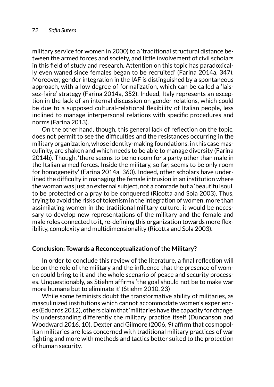military service for women in 2000) to a 'traditional structural distance between the armed forces and society, and little involvement of civil scholars in this field of study and research. Attention on this topic has paradoxically even waned since females began to be recruited' (Farina 2014a, 347). Moreover, gender integration in the IAF is distinguished by a spontaneous approach, with a low degree of formalization, which can be called a 'laissez-faire' strategy (Farina 2014a, 352). Indeed, Italy represents an exception in the lack of an internal discussion on gender relations, which could be due to a supposed cultural-relational flexibility of Italian people, less inclined to manage interpersonal relations with specific procedures and norms (Farina 2013).

On the other hand, though, this general lack of reflection on the topic, does not permit to see the difficulties and the resistances occurring in the military organization, whose identity-making foundations, in this case masculinity, are shaken and which needs to be able to manage diversity (Farina 2014b). Though, 'there seems to be no room for a party other than male in the Italian armed forces. Inside the military, so far, seems to be only room for homogeneity' (Farina 2014a, 360). Indeed, other scholars have underlined the difficulty in managing the female intrusion in an institution where the woman was just an external subject, not a comrade but a 'beautiful soul' to be protected or a pray to be conquered (Ricotta and Sola 2003). Thus, trying to avoid the risks of tokenism in the integration of women, more than assimilating women in the traditional military culture, it would be necessary to develop new representations of the military and the female and male roles connected to it, re-defining this organization towards more flexibility, complexity and multidimensionality (Ricotta and Sola 2003).

#### **Conclusion: Towards a Reconceptualization of the Military?**

In order to conclude this review of the literature, a final reflection will be on the role of the military and the influence that the presence of women could bring to it and the whole scenario of peace and security processes. Unquestionably, as Stiehm affirms 'the goal should not be to make war more humane but to eliminate it' (Stiehm 2010, 23)

While some feminists doubt the transformative ability of militaries, as masculinized institutions which cannot accommodate women's experiences (Eduards 2012), others claim that 'militaries have the capacity for change' by understanding differently the military practice itself (Duncanson and Woodward 2016, 10), Dexter and Gilmore (2006, 9) affirm that cosmopolitan militaries are less concerned with traditional military practices of war fighting and more with methods and tactics better suited to the protection of human security.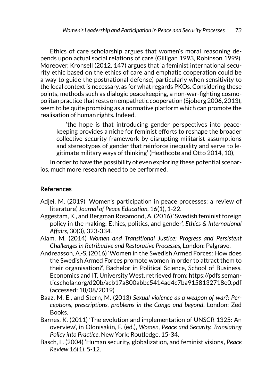Ethics of care scholarship argues that women's moral reasoning depends upon actual social relations of care (Gilligan 1993, Robinson 1999). Moreover, Kronsell (2012, 147) argues that 'a feminist international security ethic based on the ethics of care and emphatic cooperation could be a way to guide the postnational defense', particularly when sensitivity to the local context is necessary, as for what regards PKOs. Considering these points, methods such as dialogic peacekeeping, a non-war-fighting cosmopolitan practice that rests on empathetic cooperation (Sjoberg 2006, 2013), seem to be quite promising as a normative platform which can promote the realisation of human rights. Indeed,

'the hope is that introducing gender perspectives into peacekeeping provides a niche for feminist efforts to reshape the broader collective security framework by disrupting militarist assumptions and stereotypes of gender that reinforce inequality and serve to legitimate military ways of thinking' (Heathcote and Otto 2014, 10),

In order to have the possibility of even exploring these potential scenarios, much more research need to be performed.

## **References**

- Adjei, M. (2019) 'Women's participation in peace processes: a review of literature', *Journal of Peace Education,* 16(1), 1-22.
- Aggestam, K., and Bergman Rosamond, A. (2016) 'Swedish feminist foreign policy in the making: Ethics, politics, and gender', *Ethics & International Affairs*, 30(3), 323-334.
- Alam, M. (2014) *Women and Transitional Justice: Progress and Persistent Challenges in Retributive and Restorative Processes*, London: Palgrave.
- Andreasson, A.-S. (2016) 'Women in the Swedish Armed Forces: How does the Swedish Armed Forces promote women in order to attract them to their organisation?', Bachelor in Political Science, School of Business, Economics and IT, University West, retrieved from: [https://pdfs.seman](https://pdfs.semanticscholar.org/d20b/acb17a800abbc5414ad4c7ba9158132718e0.pdf)[ticscholar.org/d20b/acb17a800abbc5414ad4c7ba9158132718e0.pdf](https://pdfs.semanticscholar.org/d20b/acb17a800abbc5414ad4c7ba9158132718e0.pdf) (accessed: 18/08/2019)
- Baaz, M. E., and Stern, M. (2013) *Sexual violence as a weapon of war?: Perceptions, prescriptions, problems in the Congo and beyond*. London: Zed Books.
- Barnes, K. (2011) 'The evolution and implementation of UNSCR 1325: An overview', in Olonisakin, F. (ed.), *Women, Peace and Security. Translating Policy into Practice*, New York: Routledge, 15-34.
- Basch, L. (2004) 'Human security, globalization, and feminist visions', *Peace Review* 16(1), 5-12.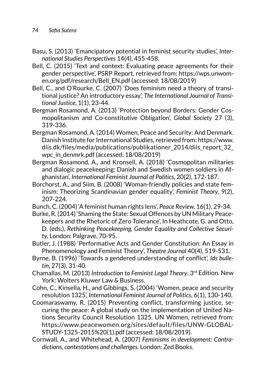- Basu, S. (2013) 'Emancipatory potential in feminist security studies', *International Studies Perspectives* 14(4), 455-458.
- Bell, C. (2015) 'Text and context: Evaluating peace agreements for their gender perspective', PSRP Report, retrieved from: [https://wps.unwom](https://wps.unwomen.org/pdf/research/Bell_EN.pdf)[en.org/pdf/research/Bell\\_EN.pdf](https://wps.unwomen.org/pdf/research/Bell_EN.pdf) (accessed: 18/08/2019)
- Bell, C., and O'Rourke, C. (2007) 'Does feminism need a theory of transitional justice? An introductory essay', *The International Journal of Transitional Justice*, 1(1), 23-44.
- Bergman Rosamond, A. (2013) 'Protection beyond Borders: Gender Cosmopolitanism and Co-constitutive Obligation', *Global Society* 27 (3), 319-336.
- Bergman Rosamond, A. (2014) Women, Peace and Security: And Denmark. Danish Institute for International Studies, retrieved from: [https://www.](https://www.diis.dk/files/media/publications/publikationer_2014/diis_report_32_wpc_in_denmrk.pdf) [diis.dk/files/media/publications/publikationer\\_2014/diis\\_report\\_32\\_](https://www.diis.dk/files/media/publications/publikationer_2014/diis_report_32_wpc_in_denmrk.pdf) [wpc\\_in\\_denmrk.pdf](https://www.diis.dk/files/media/publications/publikationer_2014/diis_report_32_wpc_in_denmrk.pdf) (accessed: 18/08/2019)
- Bergman Rosamond, A., and Kronsell, A. (2018) 'Cosmopolitan militaries and dialogic peacekeeping: Danish and Swedish women soldiers in Afghanistan', *International Feminist Journal of Politics*, 20(2), 172-187.
- Borchorst, A., and Siim, B. (2008) 'Woman-friendly policies and state feminism: Theorizing Scandinavian gender equality', *Feminist Theory*, 9(2), 207-224.
- Bunch, C. (2004) 'A feminist human rights lens', *Peace Review,* 16(1), 29-34.
- Burke, R. (2014) 'Shaming the State: Sexual Offences by UN Military Peacekeepers and the Rhetoric of Zero Tolerance', In Heathcote, G. and Otto, D. (eds.), *Rethinking Peacekeeping, Gender Equality and Collective Security*, London: Palgrave, 70-95.
- Butler, J. (1988) 'Performative Acts and Gender Constitution: An Essay in Phenomenology and Feminist Theory', *Theatre Journal* 40(4), 519-531.
- Byrne, B. (1996) 'Towards a gendered understanding of conflict', *Ids bulletin*, 27(3), 31-40.
- Chamallas, M. (2013) *Introduction to Feminist Legal Theory*. 3rd Edition. New York: Wolters Kluwer Law & Business.
- Cohn, C., Kinsella, H., and Gibbings, S. (2004) 'Women, peace and security resolution 1325', *International Feminist Journal of Politics*, 6(1), 130-140.
- Coomaraswamy, R. (2015) Preventing conflict, transforming justice, securing the peace: A global study on the implementation of United Nations Security Council Resolution 1325. UN Women, retrieved from: [https://www.peacewomen.org/sites/default/files/UNW-GLOBAL-](https://www.peacewomen.org/sites/default/files/UNW-GLOBAL-STUDY-1325-2015%20(1).pdf)[STUDY-1325-2015%20\(1\).pdf](https://www.peacewomen.org/sites/default/files/UNW-GLOBAL-STUDY-1325-2015%20(1).pdf) (accessed: 18/08/2019).
- Cornwall, A., and Whitehead, A. (2007) *Feminisms in development: Contradictions, contestations and challenges.* London: Zed Books.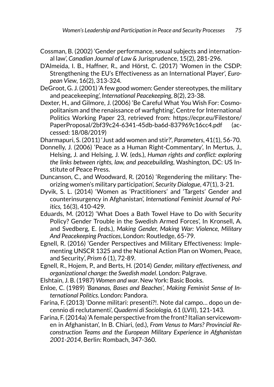- Cossman, B. (2002) 'Gender performance, sexual subjects and international law', *Canadian Journal of Law &* Jurisprudence, 15(2), 281-296.
- D'Almeida, I. B., Haffner, R., and Hörst, C. (2017) 'Women in the CSDP: Strengthening the EU's Effectiveness as an International Player', *European View*, 16(2), 313-324.
- DeGroot, G. J. (2001) 'A few good women: Gender stereotypes, the military and peacekeeping', *International Peacekeeping*, 8(2), 23-38.
- Dexter, H., and Gilmore, J. (2006) 'Be Careful What You Wish For: Cosmopolitanism and the renaissance of warfighting', Centre for International Politics Working Paper 23, retrieved from: [https://ecpr.eu/Filestore/](https://ecpr.eu/Filestore/PaperProposal/2bf39c24-6341-45db-ba6d-837969c16cc4.pdf) [PaperProposal/2bf39c24-6341-45db-ba6d-837969c16cc4.pdf](https://ecpr.eu/Filestore/PaperProposal/2bf39c24-6341-45db-ba6d-837969c16cc4.pdf) (accessed: 18/08/2019)

Dharmapuri, S. (2011) 'Just add women and stir?', *Parameters*, 41(1), 56-70.

- Donnelly, J. (2006) 'Peace as a Human Right-Commentary', In Mertus, J., Helsing, J. and Helsing, J. W. (eds.), *Human rights and conflict: exploring the links between rights, law, and peacebuilding*, Washington, DC: US Institute of Peace Press.
- Duncanson, C., and Woodward, R. (2016) 'Regendering the military: Theorizing women's military participation', *Security Dialogue*, 47(1), 3-21.
- Dyvik, S. L. (2014) 'Women as 'Practitioners' and 'Targets' Gender and counterinsurgency in Afghanistan', *International Feminist Journal of Politics,* 16(3), 410-429.
- Eduards, M. (2012) 'What Does a Bath Towel Have to Do with Security Policy? Gender Trouble in the Swedish Armed Forces', In Kronsell, A. and Svedberg, E. (eds.), *Making Gender, Making War: Violence, Military And Peacekeeping Practices*, London: Routledge, 65-79.
- Egnell, R. (2016) 'Gender Perspectives and Military Effectiveness: Implementing UNSCR 1325 and the National Action Plan on Women, Peace, and Security', *Prism* 6 (1), 72-89.
- Egnell, R., Hojem, P., and Berts, H. (2014) *Gender, military effectiveness, and organizational change: the Swedish model*. London: Palgrave.
- Elshtain, J. B. (1987) *Women and war*. New York: Basic Books.
- Enloe, C. (1989) *'Bananas, Bases and Beaches', Making Feminist Sense of International Politics*. London: Pandora.
- Farina, F. (2013) 'Donne militari: presenti?!. Note dal campo… dopo un decennio di reclutamenti', *Quaderni di Sociologia,* 61 (LVII), 121-143.
- Farina, F. (2014a) 'A female perspective from the front? Italian servicewomen in Afghanistan', In B. Chiari, (ed.), *From Venus to Mars? Provincial Reconstruction Teams and the European Military Experience in Afghanistan 2001-2014*, Berlin: Rombach, 347-360.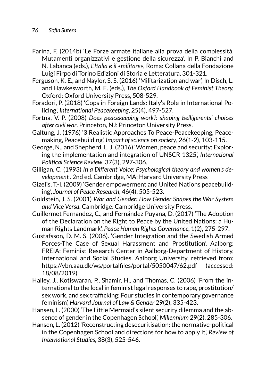- Farina, F. (2014b) 'Le Forze armate italiane alla prova della complessità. Mutamenti organizzativi e gestione della sicurezza', In P. Bianchi and N. Labanca (eds.), *L'Italia e il «militare»*, Roma: Collana della Fondazione Luigi Firpo di Torino Edizioni di Storia e Letteratura, 301-321.
- Ferguson, K. E., and Naylor, S. S. (2016) 'Militarization and war', In Disch, L. and Hawkesworth, M. E. (eds.), *The Oxford Handbook of Feminist Theory,* Oxford: Oxford University Press, 508-529.
- Foradori, P. (2018) 'Cops in Foreign Lands: Italy's Role in International Policing', *International Peacekeeping*, 25(4), 497-527.
- Fortna, V. P. (2008) *Does peacekeeping work?: shaping belligerents' choices after civil war*. Princeton, NJ: Princeton University Press.
- Galtung, J. (1976) '3 Realistic Approaches To Peace-Peacekeeping, Peacemaking, Peacebuilding', *Impact of science on society*, 26(1-2), 103-115.
- George, N., and Shepherd, L. J. (2016) 'Women, peace and security: Exploring the implementation and integration of UNSCR 1325', *International Political Science Review*, 37(3), 297-306.
- Gilligan, C. (1993) *In a Different Voice: Psychological theory and women's development .* 2nd ed. Cambridge, MA: Harvard University Press
- Gizelis, T.-I. (2009) 'Gender empowerment and United Nations peacebuilding', *Journal of Peace Research*, 46(4), 505-523.
- Goldstein, J. S. (2001) *War and Gender: How Gender Shapes the War System and Vice Versa*. Cambridge: Cambridge University Press.
- Guillermet Fernandez, C., and Fernández Puyana, D. (2017) 'The Adoption of the Declaration on the Right to Peace by the United Nations: a Human Rights Landmark', *Peace Human Rights Governance*, 1(2), 275-297.
- Gustafsson, D. M. S. (2006). 'Gender Integration and the Swedish Armed Forces-The Case of Sexual Harassment and Prostitution'. Aalborg: FREIA: Feminist Research Center in Aalborg-Department of History, International and Social Studies. Aalborg University, retrieved from: <https://vbn.aau.dk/ws/portalfiles/portal/5050047/62.pdf>(accessed: 18/08/2019)
- Halley, J., Kotiswaran, P., Shamir, H., and Thomas, C. (2006) 'From the international to the local in feminist legal responses to rape, prostitution/ sex work, and sex trafficking: Four studies in contemporary governance feminism', *Harvard Journal of Law & Gender* 29(2), 335-423.
- Hansen, L. (2000) 'The Little Mermaid's silent security dilemma and the absence of gender in the Copenhagen School', *Millennium* 29(2), 285-306.
- Hansen, L. (2012) 'Reconstructing desecuritisation: the normative-political in the Copenhagen School and directions for how to apply it', *Review of International Studies*, 38(3), 525-546.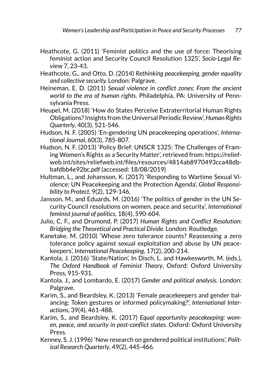- Heathcote, G. (2011) 'Feminist politics and the use of force: Theorising feminist action and Security Council Resolution 1325', *Socio-Legal Rev*iew 7, 23-43.
- Heathcote, G., and Otto, D. (2014) *Rethinking peacekeeping, gender equality and collective security.* London: Palgrave.
- Heineman, E. D. (2011) *Sexual violence in conflict zones: From the ancient world to the era of human rights*. Philadelphia, PA: University of Pennsylvania Press.
- Heupel, M. (2018) 'How do States Perceive Extraterritorial Human Rights Obligations? Insights from the Universal Periodic Review', *Human Rights Quarterly*, 40(3), 521-546.
- Hudson, N. F. (2005) 'En-gendering UN peacekeeping operations', *International Journal*, 60(3), 785-807.
- Hudson, N. F. (2013) 'Policy Brief: UNSCR 1325: The Challenges of Framing Women's Rights as a Security Matter', retrieved from: [https://relief](https://reliefweb.int/sites/reliefweb.int/files/resources/4814ab8970493cca48dbbafdbb4e92bc.pdf)[web.int/sites/reliefweb.int/files/resources/4814ab8970493cca48db](https://reliefweb.int/sites/reliefweb.int/files/resources/4814ab8970493cca48dbbafdbb4e92bc.pdf)[bafdbb4e92bc.pdf](https://reliefweb.int/sites/reliefweb.int/files/resources/4814ab8970493cca48dbbafdbb4e92bc.pdf) (accessed: 18/08/2019)
- Hultman, L., and Johansson, K. (2017) 'Responding to Wartime Sexual Violence: UN Peacekeeping and the Protection Agenda', *Global Responsibility to Protect*, 9(2), 129-146.
- Jansson, M., and Eduards, M. (2016) 'The politics of gender in the UN Security Council resolutions on women, peace and security', *International feminist journal of politics*, 18(4), 590-604.
- Julio, C. F., and Drumond, P. (2017) *Human Rights and Conflict Resolution: Bridging the Theoretical and Practical Divide.* London: Routledge.
- Kanetake, M. (2010) 'Whose zero tolerance counts? Reassessing a zero tolerance policy against sexual exploitation and abuse by UN peacekeepers', *International Peacekeeping*, 17(2), 200-214.
- Kantola, J. (2016) 'State/Nation', In Disch, L. and Hawkesworth, M. (eds.), *The Oxford Handbook of Feminist Theory*, Oxford: Oxford University Press, 915-931.
- Kantola, J., and Lombardo, E. (2017) *Gender and political analysis.* London: Palgrave.
- Karim, S., and Beardsley, K. (2013) 'Female peacekeepers and gender balancing: Token gestures or informed policymaking?', *International Interactions*, 39(4), 461-488.
- Karim, S., and Beardsley, K. (2017) *Equal opportunity peacekeeping: women, peace, and security in post-conflict states.* Oxford: Oxford University Press.
- Kenney, S. J. (1996) 'New research on gendered political institutions', *Political Research Quarterly*, 49(2), 445-466.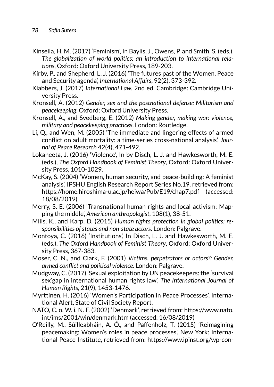- Kinsella, H. M. (2017) 'Feminism', In Baylis, J., Owens, P. and Smith, S. (eds.), *The globalization of world politics: an introduction to international relations*, Oxford: Oxford University Press, 189-203.
- Kirby, P., and Shepherd, L. J. (2016) 'The futures past of the Women, Peace and Security agenda', *International Affairs*, 92(2), 373-392.
- Klabbers, J. (2017) *International Law*, 2nd ed. Cambridge: Cambridge University Press.
- Kronsell, A. (2012) *Gender, sex and the postnational defense: Militarism and peacekeeping*. Oxford: Oxford University Press.
- Kronsell, A., and Svedberg, E. (2012) *Making gender, making war: violence, military and peacekeeping practices*. London: Routledge.
- Li, Q., and Wen, M. (2005) 'The immediate and lingering effects of armed conflict on adult mortality: a time-series cross-national analysis', *Journal of Peace Research* 42(4), 471-492.
- Lokaneeta, J. (2016) 'Violence', In by Disch, L. J. and Hawkesworth, M. E. (eds.), *The Oxford Handbook of Feminist Theory*, Oxford: Oxford University Press, 1010-1029.
- McKay, S. (2004) 'Women, human security, and peace-building: A feminist analysis', IPSHU English Research Report Series No.19, retrieved from: <https://home.hiroshima-u.ac.jp/heiwa/Pub/E19/chap7.pdf>(accessed: 18/08/2019)
- Merry, S. E. (2006) 'Transnational human rights and local activism: Mapping the middle', *American anthropologist*, 108(1), 38-51.
- Mills, K., and Karp, D. (2015) *Human rights protection in global politics: responsibilities of states and non-state actors*. London: Palgrave.
- Montoya, C. (2016) 'Institutions', In Disch, L. J. and Hawkesworth, M. E. (eds.), *The Oxford Handbook of Feminist Theory*, Oxford: Oxford University Press, 367-383.
- Moser, C. N., and Clark, F. (2001) *Victims, perpetrators or actors?: Gender, armed conflict and political violence*. London: Palgrave.
- Mudgway, C. (2017) 'Sexual exploitation by UN peacekeepers: the 'survival sex'gap in international human rights law', *The International Journal of Human Rights*, 21(9), 1453-1476.
- Myrttinen, H. (2016) 'Women's Participation in Peace Processes', International Alert, State of Civil Society Report.
- NATO, C. o. W. i. N. F. (2002) 'Denmark', retrieved from: https://www.nato. int/ims/2001/win/denmark.htm (accessed: 16/08/2019)
- O'Reilly, M., Súilleabháin, A. Ó., and Paffenholz, T. (2015) 'Reimagining peacemaking: Women's roles in peace processes', New York: International Peace Institute, retrieved from: [https://www.ipinst.org/wp-con](https://www.ipinst.org/wp-content/uploads/2015/06/IPI-E-pub-Reimagining-Peacemaking.pdf)-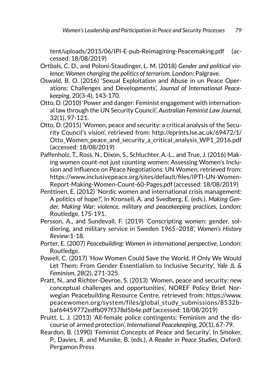[tent/uploads/2015/06/IPI-E-pub-Reimagining-Peacemaking.pdf](https://www.ipinst.org/wp-content/uploads/2015/06/IPI-E-pub-Reimagining-Peacemaking.pdf) (accessed: 18/08/2019)

- Ortbals, C. D., and Poloni-Staudinger, L. M. (2018) *Gender and political violence: Women changing the politics of terrorism.* London: Palgrave.
- Oswald, B. O. (2016) 'Sexual Exploitation and Abuse in un Peace Operations: Challenges and Developments', *Journal of International Peacekeeping*, 20(3-4), 143-170.
- Otto, D. (2010) 'Power and danger: Feminist engagement with international law through the UN Security Council', *Australian Feminist Law Journal*, 32(1), 97-121.
- Otto, D. (2015) 'Women, peace and security: a critical analysis of the Security Council's vision', retrieved from: [http://eprints.lse.ac.uk/69472/1/](http://eprints.lse.ac.uk/69472/1/Otto_Women_peace_and_security_a_critical_analysis_WP1_2016.pdf) Otto Women peace and security a critical analysis WP1 2016.pdf (accessed: 18/08/2019)
- Paffenholz, T., Ross, N., Dixon, S., Schluchter, A.-L., and True, J. (2016) Making women count-not just counting women: Assessing Women's Inclusion and Influence on Peace Negotiations. UN Women, retrieved from: [https://www.inclusivepeace.org/sites/default/files/IPTI-UN-Women-](https://www.inclusivepeace.org/sites/default/files/IPTI-UN-Women-Report-Making-Women-Count-60-Pages.pdf)[Report-Making-Women-Count-60-Pages.pdf](https://www.inclusivepeace.org/sites/default/files/IPTI-UN-Women-Report-Making-Women-Count-60-Pages.pdf) (accessed: 18/08/2019)
- Penttinen, E. (2012) 'Nordic women and international crisis management: A politics of hope?', In Kronsell, A. and Svedberg, E. (eds.), *Making Gender, Making War: violence, military and peacekeeping practices*, London: Routledge, 175-191.
- Persson, A., and Sundevall, F. (2019) 'Conscripting women: gender, soldiering, and military service in Sweden 1965–2018', *Women's History Review*:1-18.
- Porter, E. (2007) *Peacebuilding: Women in international perspective*. London: Routledge.
- Powell, C. (2017) 'How Women Could Save the World, If Only We Would Let Them: From Gender Essentialism to Inclusive Security', *Yale JL & Feminism*, 28(2), 271-325.
- Pratt, N., and Richter-Devroe, S. (2013) 'Women, peace and security: new conceptual challenges and opportunities', NOREF Policy Brief. Norwegian Peacebuilding Resource Centre, retrieved from: [https://www.](https://www.peacewomen.org/system/files/global_study_submissions/8532bbaf64459772edfb097f378d5b4e.pdf) [peacewomen.org/system/files/global\\_study\\_submissions/8532b](https://www.peacewomen.org/system/files/global_study_submissions/8532bbaf64459772edfb097f378d5b4e.pdf)[baf64459772edfb097f378d5b4e.pdf](https://www.peacewomen.org/system/files/global_study_submissions/8532bbaf64459772edfb097f378d5b4e.pdf) (accessed: 18/08/2019)
- Pruitt, L. J. (2013) 'All-female police contingents: Feminism and the discourse of armed protection', *International Peacekeeping,* 20(1), 67-79.
- Reardon, B. (1990) 'Feminist Concepts of Peace and Security', In Smoker, P., Davies, R. and Munske, B. (eds.), *A Reader in Peace Studies*, Oxford: Pergamon Press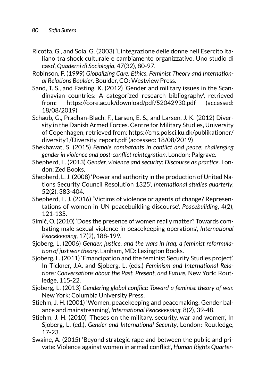- Ricotta, G., and Sola, G. (2003) 'L'integrazione delle donne nell'Esercito italiano tra shock culturale e cambiamento organizzativo. Uno studio di caso', *Quaderni di Sociologia*, 47(32), 80-97.
- Robinson, F. (1999) *Globalizing Care: Ethics, Feminist Theory and International Relations Boulder*. Boulder, CO: Westview Press.
- Sand, T. S., and Fasting, K. (2012) 'Gender and military issues in the Scandinavian countries: A categorized research bibliography', retrieved from: <https://core.ac.uk/download/pdf/52042930.pdf> (accessed: 18/08/2019)
- Schaub, G., Pradhan-Blach, F., Larsen, E. S., and Larsen, J. K. (2012) Diversity in the Danish Armed Forces. Centre for Military Studies, University of Copenhagen, retrieved from: [https://cms.polsci.ku.dk/publikationer/](https://cms.polsci.ku.dk/publikationer/diversity1/Diversity_report.pdf) [diversity1/Diversity\\_report.pdf](https://cms.polsci.ku.dk/publikationer/diversity1/Diversity_report.pdf) (accessed: 18/08/2019)
- Shekhawat, S. (2015) *Female combatants in conflict and peace: challenging gender in violence and post-conflict reintegration*. London: Palgrave.
- Shepherd, L. (2013) *Gender, violence and security: Discourse as practice*. London: Zed Books.
- Shepherd, L. J. (2008) 'Power and authority in the production of United Nations Security Council Resolution 1325', *International studies quarterly*, 52(2), 383-404.
- Shepherd, L. J. (2016) 'Victims of violence or agents of change? Representations of women in UN peacebuilding discourse', *Peacebuilding*, 4(2), 121-135.
- Simić, O. (2010) 'Does the presence of women really matter? Towards combating male sexual violence in peacekeeping operations', *International Peacekeeping*, 17(2), 188-199.
- Sjoberg, L. (2006) *Gender, justice, and the wars in Iraq: a feminist reformulation of just war theory*. Lanham, MD: Lexington Books.
- Sjoberg, L. (2011) 'Emancipation and the feminist Security Studies project', In Tickner, J.A. and Sjoberg, L. (eds.) *Feminism and International Relations: Conversations about the Past, Present, and Future,* New York: Routledge, 115-22.
- Sjoberg, L. (2013) *Gendering global conflict: Toward a feminist theory of war.* New York: Columbia University Press.
- Stiehm, J. H. (2001) 'Women, peacekeeping and peacemaking: Gender balance and mainstreaming', *International Peacekeeping,* 8(2), 39-48.
- Stiehm, J. H. (2010) 'Theses on the military, security, war and women', In Sjoberg, L. (ed.), *Gender and International Security*, London: Routledge, 17-23.
- Swaine, A. (2015) 'Beyond strategic rape and between the public and private: Violence against women in armed conflict', *Human Rights Quarter-*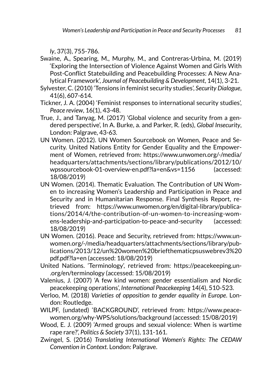*ly*, 37(3), 755-786.

- Swaine, A., Spearing, M., Murphy, M., and Contreras-Urbina, M. (2019) 'Exploring the Intersection of Violence Against Women and Girls With Post-Conflict Statebuilding and Peacebuilding Processes: A New Analytical Framework', *Journal of Peacebuilding & Development*, 14(1), 3-21.
- Sylvester, C. (2010) 'Tensions in feminist security studies', *Security Dialogue*, 41(6), 607-614.
- Tickner, J. A. (2004) 'Feminist responses to international security studies', *Peace review*, 16(1), 43-48.
- True, J., and Tanyag, M. (2017) 'Global violence and security from a gendered perspective', In A. Burke, a. and Parker, R. (eds), *Global Insecurity*, London: Palgrave, 43-63.
- UN Women. (2012). UN Women Sourcebook on Women, Peace and Security. United Nations Entity for Gender Equality and the Empowerment of Women, retrieved from: [https://www.unwomen.org/-/media/](https://www.unwomen.org/-/media/headquarters/attachments/sections/library/publications/2012/10/wpssourcebook-01-overview-en.pdf?la=en&vs=1156) [headquarters/attachments/sections/library/publications/2012/10/](https://www.unwomen.org/-/media/headquarters/attachments/sections/library/publications/2012/10/wpssourcebook-01-overview-en.pdf?la=en&vs=1156) [wpssourcebook-01-overview-en.pdf?la=en&vs=1156](https://www.unwomen.org/-/media/headquarters/attachments/sections/library/publications/2012/10/wpssourcebook-01-overview-en.pdf?la=en&vs=1156) (accessed: 18/08/2019)
- UN Women. (2014). Thematic Evaluation. The Contribution of UN Women to increasing Women's Leadership and Participation in Peace and Security and in Humanitarian Response. Final Synthesis Report, retrieved from: [https://www.unwomen.org/en/digital-library/publica](https://www.unwomen.org/en/digital-library/publications/2014/4/the-contribution-of-un-women-to-increasing-womens-leadership-and-participation-to-peace-and-security)[tions/2014/4/the-contribution-of-un-women-to-increasing-wom](https://www.unwomen.org/en/digital-library/publications/2014/4/the-contribution-of-un-women-to-increasing-womens-leadership-and-participation-to-peace-and-security)[ens-leadership-and-participation-to-peace-and-security](https://www.unwomen.org/en/digital-library/publications/2014/4/the-contribution-of-un-women-to-increasing-womens-leadership-and-participation-to-peace-and-security) (accessed: 18/08/2019)
- UN Women. (2016). Peace and Security, retrieved from: [https://www.un](https://www.unwomen.org/-/media/headquarters/attachments/sections/library/publications/2013/12/un%20women%20briefthematicpsuswebrev3%20pdf.pdf?la=en)[women.org/-/media/headquarters/attachments/sections/library/pub](https://www.unwomen.org/-/media/headquarters/attachments/sections/library/publications/2013/12/un%20women%20briefthematicpsuswebrev3%20pdf.pdf?la=en)[lications/2013/12/un%20women%20briefthematicpsuswebrev3%20](https://www.unwomen.org/-/media/headquarters/attachments/sections/library/publications/2013/12/un%20women%20briefthematicpsuswebrev3%20pdf.pdf?la=en) [pdf.pdf?la=en](https://www.unwomen.org/-/media/headquarters/attachments/sections/library/publications/2013/12/un%20women%20briefthematicpsuswebrev3%20pdf.pdf?la=en) (accessed: 18/08/2019)
- United Nations. 'Terminology', retrieved from: https://peacekeeping.un- .org/en/terminology (accessed: 15/08/2019)
- Valenius, J. (2007) 'A few kind women: gender essentialism and Nordic peacekeeping operations', *International Peacekeeping* 14(4), 510-523.
- Verloo, M. (2018) *Varieties of opposition to gender equality in Europe*. London: Routledge.
- WILPF, (undated) 'BACKGROUND', retrieved from: https://www.peacewomen.org/why-WPS/solutions/background (accessed: 15/08/2019)
- Wood, E. J. (2009) 'Armed groups and sexual violence: When is wartime rape rare?', *Politics & Society* 37(1), 131-161.
- Zwingel, S. (2016) *Translating International Women's Rights: The CEDAW Convention in Context*. London: Palgrave.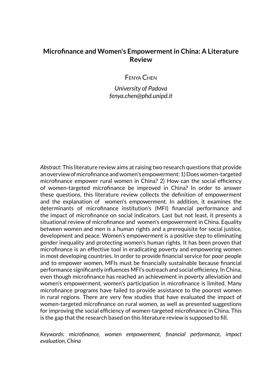# **Microfinance and Women's Empowerment in China: A Literature Review**

Fenya Chen

*University of Padova fenya.chen@phd.unipd.it*

*Abstract*: This literature review aims at raising two research questions that provide an overview of microfinance and women's empowerment: 1) Does women-targeted microfinance empower rural women in China? 2) How can the social efficiency of women-targeted microfinance be improved in China? In order to answer these questions, this literature review collects the definition of empowerment and the explanation of women's empowerment. In addition, it examines the determinants of microfinance institution's (MFI) financial performance and the impact of microfinance on social indicators. Last but not least, it presents a situational review of microfinance and women's empowerment in China. Equality between women and men is a human rights and a prerequisite for social justice, development and peace. Women's empowerment is a positive step to eliminating gender inequality and protecting women's human rights. It has been proven that microfinance is an effective tool in eradicating poverty and empowering women in most developing countries. In order to provide financial service for poor people and to empower women, MFIs must be financially sustainable because financial performance significantly influences MFI's outreach and social efficiency. In China, even though microfinance has reached an achievement in poverty alleviation and women's empowerment, women's participation in microfinance is limited. Many microfinance programs have failed to provide assistance to the poorest women in rural regions. There are very few studies that have evaluated the impact of women-targeted microfinance on rural women, as well as presented suggestions for improving the social efficiency of women-targeted microfinance in China. This is the gap that the research based on this literature review is supposed to fill.

*Keywords: microfinance, women empowerment, financial performance, impact evaluation, China*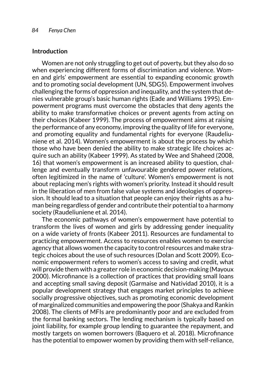### **Introduction**

Women are not only struggling to get out of poverty, but they also do so when experiencing different forms of discrimination and violence. Women and girls' empowerment are essential to expanding economic growth and to promoting social development (UN, SDG5). Empowerment involves challenging the forms of oppression and inequality, and the system that denies vulnerable group's basic human rights (Eade and Williams 1995). Empowerment programs must overcome the obstacles that deny agents the ability to make transformative choices or prevent agents from acting on their choices (Kabeer 1999). The process of empowerment aims at raising the performance of any economy, improving the quality of life for everyone, and promoting equality and fundamental rights for everyone (Raudeliuniene et al. 2014). Women's empowerment is about the process by which those who have been denied the ability to make strategic life choices acquire such an ability (Kabeer 1999). As stated by Wee and Shaheed (2008, 16) that women's empowerment is an increased ability to question, challenge and eventually transform unfavourable gendered power relations, often legitimized in the name of 'culture'. Women's empowerment is not about replacing men's rights with women's priority. Instead it should result in the liberation of men from false value systems and ideologies of oppression. It should lead to a situation that people can enjoy their rights as a human being regardless of gender and contribute their potential to a harmony society (Raudeliuniene et al. 2014).

The economic pathways of women's empowerment have potential to transform the lives of women and girls by addressing gender inequality on a wide variety of fronts (Kabeer 2011). Resources are fundamental to practicing empowerment. Access to resources enables women to exercise agency that allows women the capacity to control resources and make strategic choices about the use of such resources (Dolan and Scott 2009). Economic empowerment refers to women's access to saving and credit, what will provide them with a greater role in economic decision-making (Mayoux 2000). Microfinance is a collection of practices that providing small loans and accepting small saving deposit (Garmaise and Natividad 2010), it is a popular development strategy that engages market principles to achieve socially progressive objectives, such as promoting economic development of marginalized communities and empowering the poor (Shakya and Rankin 2008). The clients of MFIs are predominantly poor and are excluded from the formal banking sectors. The lending mechanism is typically based on joint liability, for example group lending to guarantee the repayment, and mostly targets on women borrowers (Baquero et al. 2018). Microfinance has the potential to empower women by providing them with self-reliance,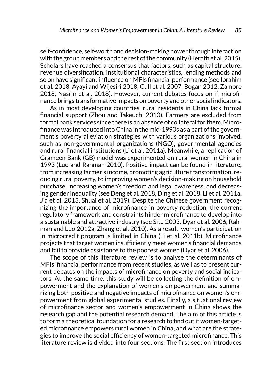self-confidence, self-worth and decision-making power through interaction with the group members and the rest of the community (Herath et al. 2015). Scholars have reached a consensus that factors, such as capital structure, revenue diversification, institutional characteristics, lending methods and so on have significant influence on MFIs financial performance (see Ibrahim et al. 2018, Ayayi and Wijesiri 2018, Cull et al. 2007, Bogan 2012, Zamore 2018, Nasrin et al. 2018). However, current debates focus on if microfinance brings transformative impacts on poverty and other social indicators.

As in most developing countries, rural residents in China lack formal financial support (Zhou and Takeuchi 2010). Farmers are excluded from formal bank services since there is an absence of collateral for them. Microfinance was introduced into China in the mid-1990s as a part of the government's poverty alleviation strategies with various organizations involved, such as non-governmental organizations (NGO), governmental agencies and rural financial institutions (Li et al. 2011a). Meanwhile, a replication of Grameen Bank (GB) model was experimented on rural women in China in 1993 (Luo and Rahman 2010). Positive impact can be found in literature, from increasing farmer's income, promoting agriculture transformation, reducing rural poverty, to improving women's decision-making on household purchase, increasing women's freedom and legal awareness, and decreasing gender inequality (see Deng et al. 2018, Ding et al. 2018, Li et al. 2011a, Jia et al. 2013, Shuai et al. 2019). Despite the Chinese government recognizing the importance of microfinance in poverty reduction, the current regulatory framework and constraints hinder microfinance to develop into a sustainable and attractive industry (see Situ 2003, Dyar et al. 2006, Rahman and Luo 2012a, Zhang et al. 2010). As a result, women's participation in microcredit program is limited in China (Li et al. 2011b). Microfinance projects that target women insufficiently meet women's financial demands and fail to provide assistance to the poorest women (Dyar et al. 2006).

The scope of this literature review is to analyse the determinants of MFIs' financial performance from recent studies, as well as to present current debates on the impacts of microfinance on poverty and social indicators. At the same time, this study will be collecting the definition of empowerment and the explanation of women's empowerment and summarizing both positive and negative impacts of microfinance on women's empowerment from global experimental studies. Finally, a situational review of microfinance sector and women's empowerment in China shows the research gap and the potential research demand. The aim of this article is to form a theoretical foundation for a research to find out if women-targeted microfinance empowers rural women in China, and what are the strategies to improve the social efficiency of women-targeted microfinance. This literature review is divided into four sections. The first section introduces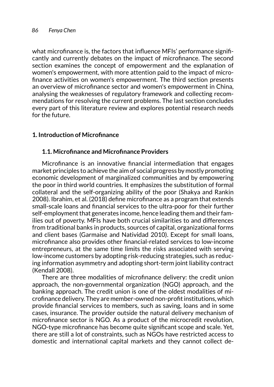what microfinance is, the factors that influence MFIs' performance significantly and currently debates on the impact of microfinance. The second section examines the concept of empowerment and the explanation of women's empowerment, with more attention paid to the impact of microfinance activities on women's empowerment. The third section presents an overview of microfinance sector and women's empowerment in China, analysing the weaknesses of regulatory framework and collecting recommendations for resolving the current problems. The last section concludes every part of this literature review and explores potential research needs for the future.

# **1. Introduction of Microfinance**

# **1.1. Microfinance and Microfinance Providers**

Microfinance is an innovative financial intermediation that engages market principles to achieve the aim of social progress by mostly promoting economic development of marginalized communities and by empowering the poor in third world countries. It emphasizes the substitution of formal collateral and the self-organizing ability of the poor (Shakya and Rankin 2008). Ibrahim, et al. (2018) define microfinance as a program that extends small-scale loans and financial services to the ultra-poor for their further self-employment that generates income, hence leading them and their families out of poverty. MFIs have both crucial similarities to and differences from traditional banks in products, sources of capital, organizational forms and client bases (Garmaise and Natividad 2010). Except for small loans, microfinance also provides other financial-related services to low-income entrepreneurs, at the same time limits the risks associated with serving low-income customers by adopting risk-reducing strategies, such as reducing information asymmetry and adopting short-term joint liability contract (Kendall 2008).

There are three modalities of microfinance delivery: the credit union approach, the non-governmental organization (NGO) approach, and the banking approach. The credit union is one of the oldest modalities of microfinance delivery. They are member-owned non-profit institutions, which provide financial services to members, such as saving, loans and in some cases, insurance. The provider outside the natural delivery mechanism of microfinance sector is NGO. As a product of the microcredit revolution, NGO-type microfinance has become quite significant scope and scale. Yet, there are still a lot of constraints, such as NGOs have restricted access to domestic and international capital markets and they cannot collect de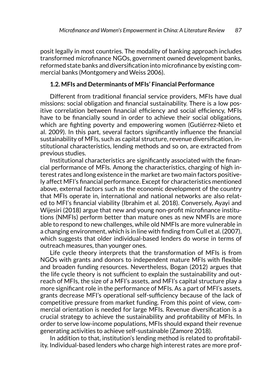posit legally in most countries. The modality of banking approach includes transformed microfinance NGOs, government owned development banks, reformed state banks and diversification into microfinance by existing commercial banks (Montgomery and Weiss 2006).

#### **1.2. MFIs and Determinants of MFIs' Financial Performance**

Different from traditional financial service providers, MFIs have dual missions: social obligation and financial sustainability. There is a low positive correlation between financial efficiency and social efficiency, MFIs have to be financially sound in order to achieve their social obligations, which are fighting poverty and empowering women (Gutiérrez-Nieto et al. 2009). In this part, several factors significantly influence the financial sustainability of MFIs, such as capital structure, revenue diversification, institutional characteristics, lending methods and so on, are extracted from previous studies.

Institutional characteristics are significantly associated with the financial performance of MFIs. Among the characteristics, charging of high interest rates and long existence in the market are two main factors positively affect MFI's financial performance. Except for characteristics mentioned above, external factors such as the economic development of the country that MFIs operate in, international and national networks are also related to MFI's financial viability (Ibrahim et al. 2018). Conversely, Ayayi and Wijesiri (2018) argue that new and young non-profit microfinance institutions (NMFIs) perform better than mature ones as new NMFIs are more able to respond to new challenges, while old NMFIs are more vulnerable in a changing environment, which is in line with finding from Cull et al. (2007), which suggests that older individual-based lenders do worse in terms of outreach measures, than younger ones.

Life cycle theory interprets that the transformation of MFIs is from NGOs with grants and donors to independent mature MFIs with flexible and broaden funding resources. Nevertheless, Bogan (2012) argues that the life cycle theory is not sufficient to explain the sustainability and outreach of MFIs, the size of a MFI's assets, and MFI's capital structure play a more significant role in the performance of MFIs. As a part of MFI's assets, grants decrease MFI's operational self-sufficiency because of the lack of competitive pressure from market funding. From this point of view, commercial orientation is needed for large MFIs. Revenue diversification is a crucial strategy to achieve the sustainability and profitability of MFIs. In order to serve low-income populations, MFIs should expand their revenue generating activities to achieve self-sustainable (Zamore 2018).

In addition to that, institution's lending method is related to profitability. Individual-based lenders who charge high interest rates are more prof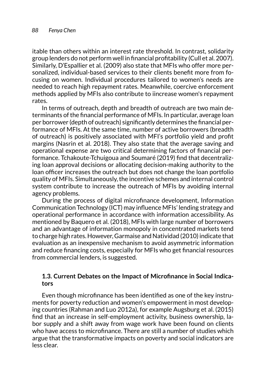itable than others within an interest rate threshold. In contrast, solidarity group lenders do not perform well in financial profitability (Cull et al. 2007). Similarly, D'Espallier et al. (2009) also state that MFIs who offer more personalized, individual-based services to their clients benefit more from focusing on women. Individual procedures tailored to women's needs are needed to reach high repayment rates. Meanwhile, coercive enforcement methods applied by MFIs also contribute to iincrease women's repayment rates.

In terms of outreach, depth and breadth of outreach are two main determinants of the financial performance of MFIs. In particular, average loan per borrower (depth of outreach) significantly determines the financial performance of MFIs. At the same time, number of active borrowers (breadth of outreach) is positively associated with MFI's portfolio yield and profit margins (Nasrin et al. 2018). They also state that the average saving and operational expense are two critical determining factors of financial performance. Tchakoute-Tchuigoua and Soumaré (2019) find that decentralizing loan approval decisions or allocating decision-making authority to the loan officer increases the outreach but does not change the loan portfolio quality of MFIs. Simultaneously, the incentive schemes and internal control system contribute to increase the outreach of MFIs by avoiding internal agency problems.

During the process of digital microfinance development, Information Communication Technology (ICT) may influence MFIs' lending strategy and operational performance in accordance with information accessibility. As mentioned by Baquero et al. (2018), MFIs with large number of borrowers and an advantage of information monopoly in concentrated markets tend to charge high rates. However, Garmaise and Natividad (2010) indicate that evaluation as an inexpensive mechanism to avoid asymmetric information and reduce financing costs, especially for MFIs who get financial resources from commercial lenders, is suggested.

### **1.3. Current Debates on the Impact of Microfinance in Social Indicators**

Even though microfinance has been identified as one of the key instruments for poverty reduction and women's empowerment in most developing countries (Rahman and Luo 2012a), for example Augsburg et al. (2015) find that an increase in self-employment activity, business ownership, labor supply and a shift away from wage work have been found on clients who have access to microfinance. There are still a number of studies which argue that the transformative impacts on poverty and social indicators are less clear.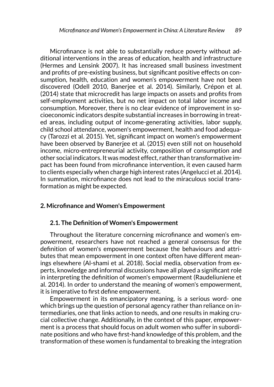Microfinance is not able to substantially reduce poverty without additional interventions in the areas of education, health and infrastructure (Hermes and Lensink 2007). It has increased small business investment and profits of pre-existing business, but significant positive effects on consumption, health, education and women's empowerment have not been discovered (Odell 2010, Banerjee et al. 2014). Similarly, Crépon et al. (2014) state that microcredit has large impacts on assets and profits from self-employment activities, but no net impact on total labor income and consumption. Moreover, there is no clear evidence of improvement in socioeconomic indicators despite substantial increases in borrowing in treated areas, including output of income-generating activities, labor supply, child school attendance, women's empowerment, health and food adequacy (Tarozzi et al. 2015). Yet, significant impact on women's empowerment have been observed by Banerjee et al. (2015) even still not on household income, micro-entrepreneurial activity, composition of consumption and other social indicators. It was modest effect, rather than transformative impact has been found from microfinance intervention, it even caused harm to clients especially when charge high interest rates (Angelucci et al. 2014). In summation, microfinance does not lead to the miraculous social transformation as might be expected.

#### **2. Microfinance and Women's Empowerment**

#### **2.1. The Definition of Women's Empowerment**

Throughout the literature concerning microfinance and women's empowerment, researchers have not reached a general consensus for the definition of women's empowerment because the behaviours and attributes that mean empowerment in one context often have different meanings elsewhere (Al-shami et al. 2018). Social media, observation from experts, knowledge and informal discussions have all played a significant role in interpreting the definition of women's empowerment (Raudeliuniene et al. 2014). In order to understand the meaning of women's empowerment, it is imperative to first define empowerment.

Empowerment in its emancipatory meaning, is a serious word- one which brings up the question of personal agency rather than reliance on intermediaries, one that links action to needs, and one results in making crucial collective change. Additionally, in the context of this paper, empowerment is a process that should focus on adult women who suffer in subordinate positions and who have first-hand knowledge of this problem, and the transformation of these women is fundamental to breaking the integration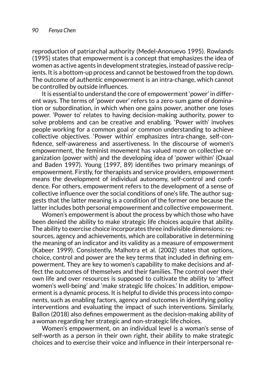reproduction of patriarchal authority (Medel-Anonuevo 1995). Rowlands (1995) states that empowerment is a concept that emphasizes the idea of women as active agents in development strategies, instead of passive recipients. It is a bottom-up process and cannot be bestowed from the top down. The outcome of authentic empowerment is an intra-change, which cannot be controlled by outside influences.

It is essential to understand the core of empowerment 'power' in different ways. The terms of 'power over' refers to a zero-sum game of domination or subordination, in which when one gains power, another one loses power. 'Power to' relates to having decision-making authority, power to solve problems and can be creative and enabling. 'Power with' involves people working for a common goal or common understanding to achieve collective objectives. 'Power within' emphasizes intra-change, self-confidence, self-awareness and assertiveness. In the discourse of women's empowerment, the feminist movement has valued more on collective organization (power with) and the developing idea of 'power within' (Oxaal and Baden 1997). Young (1997, 89) identifies two primary meanings of empowerment. Firstly, for therapists and service providers, empowerment means the development of individual autonomy, self-control and confidence. For others, empowerment refers to the development of a sense of collective influence over the social conditions of one's life. The author suggests that the latter meaning is a condition of the former one because the latter includes both personal empowerment and collective empowerment.

Women's empowerment is about the process by which those who have been denied the ability to make strategic life choices acquire that ability. The ability to exercise choice incorporates three indivisible dimensions: resources, agency and achievements, which are collaborative in determining the meaning of an indicator and its validity as a measure of empowerment (Kabeer 1999). Consistently, Malhotra et al. (2002) states that options, choice, control and power are the key terms that included in defining empowerment. They are key to women's capability to make decisions and affect the outcomes of themselves and their families. The control over their own life and over resources is supposed to cultivate the ability to 'affect women's well-being' and 'make strategic life choices.' In addition, empowerment is a dynamic process. It is helpful to divide this process into components, such as enabling factors, agency and outcomes in identifying policy interventions and evaluating the impact of such interventions. Similarly, Ballon (2018) also defines empowerment as the decision-making ability of a woman regarding her strategic and non-strategic life choices.

Women's empowerment, on an individual level is a woman's sense of self-worth as a person in their own right, their ability to make strategic choices and to exercise their voice and influence in their interpersonal re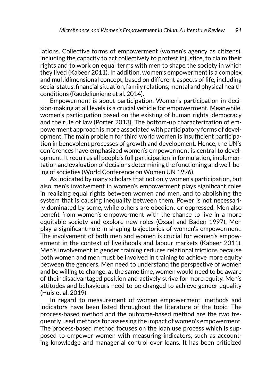lations. Collective forms of empowerment (women's agency as citizens), including the capacity to act collectively to protest injustice, to claim their rights and to work on equal terms with men to shape the society in which they lived (Kabeer 2011). In addition, women's empowerment is a complex and multidimensional concept, based on different aspects of life, including social status, financial situation, family relations, mental and physical health conditions (Raudeliuniene et al. 2014).

Empowerment is about participation. Women's participation in decision-making at all levels is a crucial vehicle for empowerment. Meanwhile, women's participation based on the existing of human rights, democracy and the rule of law (Porter 2013). The bottom-up characterization of empowerment approach is more associated with participatory forms of development. The main problem for third world women is insufficient participation in benevolent processes of growth and development. Hence, the UN's conferences have emphasized women's empowerment is central to development. It requires all people's full participation in formulation, implementation and evaluation of decisions determining the functioning and well-being of societies (World Conference on Women UN 1996).

As indicated by many scholars that not only women's participation, but also men's involvement in women's empowerment plays significant roles in realizing equal rights between women and men, and to abolishing the system that is causing inequality between them. Power is not necessarily dominated by some, while others are obedient or oppressed. Men also benefit from women's empowerment with the chance to live in a more equitable society and explore new roles (Oxaal and Baden 1997). Men play a significant role in shaping trajectories of women's empowerment. The involvement of both men and women is crucial for women's empowerment in the context of livelihoods and labour markets (Kabeer 2011). Men's involvement in gender training reduces relational frictions because both women and men must be involved in training to achieve more equity between the genders. Men need to understand the perspective of women and be willing to change, at the same time, women would need to be aware of their disadvantaged position and actively strive for more equity. Men's attitudes and behaviours need to be changed to achieve gender equality (Huis et al. 2019).

In regard to measurement of women empowerment, methods and indicators have been listed throughout the literature of the topic. The process-based method and the outcome-based method are the two frequently used methods for assessing the impact of women's empowerment. The process-based method focuses on the loan use process which is supposed to empower women with measuring indicators, such as accounting knowledge and managerial control over loans. It has been criticized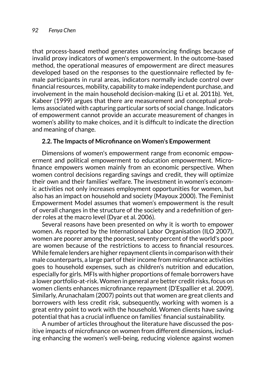that process-based method generates unconvincing findings because of invalid proxy indicators of women's empowerment. In the outcome-based method, the operational measures of empowerment are direct measures developed based on the responses to the questionnaire reflected by female participants in rural areas, indicators normally include control over financial resources, mobility, capability to make independent purchase, and involvement in the main household decision-making (Li et al. 2011b). Yet, Kabeer (1999) argues that there are measurement and conceptual problems associated with capturing particular sorts of social change. Indicators of empowerment cannot provide an accurate measurement of changes in women's ability to make choices, and it is difficult to indicate the direction and meaning of change.

### **2.2. The Impacts of Microfinance on Women's Empowerment**

Dimensions of women's empowerment range from economic empowerment and political empowerment to education empowerment. Microfinance empowers women mainly from an economic perspective. When women control decisions regarding savings and credit, they will optimize their own and their families' welfare. The investment in women's economic activities not only increases employment opportunities for women, but also has an impact on household and society (Mayoux 2000). The Feminist Empowerment Model assumes that women's empowerment is the result of overall changes in the structure of the society and a redefinition of gender roles at the macro level (Dyar et al. 2006).

Several reasons have been presented on why it is worth to empower women. As reported by the International Labor Organisation (ILO 2007), women are poorer among the poorest, seventy percent of the world's poor are women because of the restrictions to access to financial resources. While female lenders are higher repayment clients in comparison with their male counterparts, a large part of their income from microfinance activities goes to household expenses, such as children's nutrition and education, especially for girls. MFIs with higher proportions of female borrowers have a lower portfolio-at-risk. Women in general are better credit risks, focus on women clients enhances microfinance repayment (D'Espallier et al. 2009). Similarly, Arunachalam (2007) points out that women are great clients and borrowers with less credit risk, subsequently, working with women is a great entry point to work with the household. Women clients have saving potential that has a crucial influence on families' financial sustainability.

A number of articles throughout the literature have discussed the positive impacts of microfinance on women from different dimensions, including enhancing the women's well-being, reducing violence against women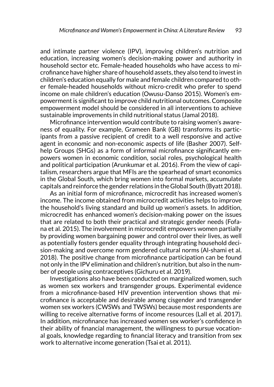and intimate partner violence (IPV), improving children's nutrition and education, increasing women's decision-making power and authority in household sector etc. Female-headed households who have access to microfinance have higher share of household assets, they also tend to invest in children's education equally for male and female children compared to other female-headed households without micro-credit who prefer to spend income on male children's education (Owusu-Danso 2015). Women's empowerment is significant to improve child nutritional outcomes. Composite empowerment model should be considered in all interventions to achieve sustainable improvements in child nutritional status (Jamal 2018).

Microfinance intervention would contribute to raising women's awareness of equality. For example, Grameen Bank (GB) transforms its participants from a passive recipient of credit to a well responsive and active agent in economic and non-economic aspects of life (Basher 2007). Selfhelp Groups (SHGs) as a form of informal microfinance significantly empowers women in economic condition, social roles, psychological health and political participation (Arunkumar et al. 2016). From the view of capitalism, researchers argue that MFIs are the spearhead of smart economics in the Global South, which bring women into formal markets, accumulate capitals and reinforce the gender relations in the Global South (Byatt 2018).

As an initial form of microfinance, microcredit has increased women's income. The income obtained from microcredit activities helps to improve the household's living standard and build up women's assets. In addition, microcredit has enhanced women's decision-making power on the issues that are related to both their practical and strategic gender needs (Fofana et al. 2015). The involvement in microcredit empowers women partially by providing women bargaining power and control over their lives, as well as potentially fosters gender equality through integrating household decision-making and overcome norm gendered cultural norms (Al-shami et al. 2018). The positive change from microfinance participation can be found not only in the IPV elimination and children's nutrition, but also in the number of people using contraceptives (Gichuru et al. 2019).

Investigations also have been conducted on marginalized women, such as women sex workers and transgender groups. Experimental evidence from a microfinance-based HIV prevention intervention shows that microfinance is acceptable and desirable among cisgender and transgender women sex workers (CWSWs and TWSWs) because most respondents are willing to receive alternative forms of income resources (Lall et al. 2017). In addition, microfinance has increased women sex worker's confidence in their ability of financial management, the willingness to pursue vocational goals, knowledge regarding to financial literacy and transition from sex work to alternative income generation (Tsai et al. 2011).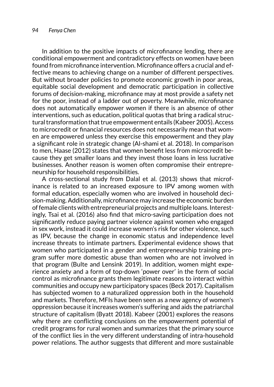In addition to the positive impacts of microfinance lending, there are conditional empowerment and contradictory effects on women have been found from microfinance intervention. Microfinance offers a crucial and effective means to achieving change on a number of different perspectives. But without broader policies to promote economic growth in poor areas, equitable social development and democratic participation in collective forums of decision-making, microfinance may at most provide a safety net for the poor, instead of a ladder out of poverty. Meanwhile, microfinance does not automatically empower women if there is an absence of other interventions, such as education, political quotas that bring a radical structural transformation that true empowerment entails (Kabeer 2005). Access to microcredit or financial resources does not necessarily mean that women are empowered unless they exercise this empowerment and they play a significant role in strategic change (Al-shami et al. 2018). In comparison to men, Haase (2012) states that women benefit less from microcredit because they get smaller loans and they invest those loans in less lucrative businesses. Another reason is women often compromise their entrepreneurship for household responsibilities.

A cross-sectional study from Dalal et al. (2013) shows that microfinance is related to an increased exposure to IPV among women with formal education, especially women who are involved in household decision-making. Additionally, microfinance may increase the economic burden of female clients with entrepreneurial projects and multiple loans. Interestingly, Tsai et al. (2016) also find that micro-saving participation does not significantly reduce paying partner violence against women who engaged in sex work, instead it could increase women's risk for other violence, such as IPV, because the change in economic status and independence level increase threats to intimate partners. Experimental evidence shows that women who participated in a gender and entrepreneurship training program suffer more domestic abuse than women who are not involved in that program (Bulte and Lensink 2019). In addition, women might experience anxiety and a form of top-down 'power over' in the form of social control as microfinance grants them legitimate reasons to interact within communities and occupy new participatory spaces (Beck 2017). Capitalism has subjected women to a naturalized oppression both in the household and markets. Therefore, MFIs have been seen as a new agency of women's oppression because it increases women's suffering and aids the patriarchal structure of capitalism (Byatt 2018). Kabeer (2001) explores the reasons why there are conflicting conclusions on the empowerment potential of credit programs for rural women and summarizes that the primary source of the conflict lies in the very different understanding of intra-household power relations. The author suggests that different and more sustainable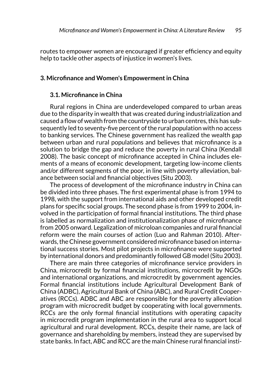routes to empower women are encouraged if greater efficiency and equity help to tackle other aspects of injustice in women's lives.

#### **3. Microfinance and Women's Empowerment in China**

### **3.1. Microfinance in China**

Rural regions in China are underdeveloped compared to urban areas due to the disparity in wealth that was created during industrialization and caused a flow of wealth from the countryside to urban centres, this has subsequently led to seventy-five percent of the rural population with no access to banking services. The Chinese government has realized the wealth gap between urban and rural populations and believes that microfinance is a solution to bridge the gap and reduce the poverty in rural China (Kendall 2008). The basic concept of microfinance accepted in China includes elements of a means of economic development, targeting low-income clients and/or different segments of the poor, in line with poverty alleviation, balance between social and financial objectives (Situ 2003).

The process of development of the microfinance industry in China can be divided into three phases. The first experimental phase is from 1994 to 1998, with the support from international aids and other developed credit plans for specific social groups. The second phase is from 1999 to 2004, involved in the participation of formal financial institutions. The third phase is labelled as normalization and institutionalization phase of microfinance from 2005 onward. Legalization of microloan companies and rural financial reform were the main courses of action (Luo and Rahman 2010). Afterwards, the Chinese government considered microfinance based on international success stories. Most pilot projects in microfinance were supported by international donors and predominantly followed GB model (Situ 2003).

There are main three categories of microfinance service providers in China, microcredit by formal financial institutions, microcredit by NGOs and international organizations, and microcredit by government agencies. Formal financial institutions include Agricultural Development Bank of China (ADBC), Agricultural Bank of China (ABC), and Rural Credit Cooperatives (RCCs). ADBC and ABC are responsible for the poverty alleviation program with microcredit budget by cooperating with local governments. RCCs are the only formal financial institutions with operating capacity in microcredit program implementation in the rural area to support local agricultural and rural development. RCCs, despite their name, are lack of governance and shareholding by members, instead they are supervised by state banks. In fact, ABC and RCC are the main Chinese rural financial insti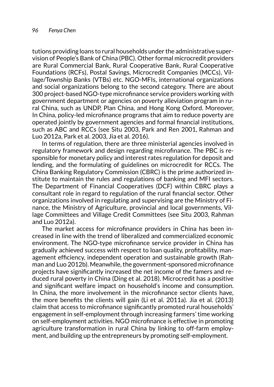tutions providing loans to rural households under the administrative supervision of People's Bank of China (PBC). Other formal microcredit providers are Rural Commercial Bank, Rural Cooperative Bank, Rural Cooperative Foundations (RCFs), Postal Savings, Microcredit Companies (MCCs), Village/Township Banks (VTBs) etc. NGO-MFIs, international organizations and social organizations belong to the second category. There are about 300 project-based NGO-type microfinance service providers working with government department or agencies on poverty alleviation program in rural China, such as UNDP, Plan China, and Hong Kong Oxford. Moreover, In China, policy-led microfinance programs that aim to reduce poverty are operated jointly by government agencies and formal financial institutions, such as ABC and RCCs (see Situ 2003, Park and Ren 2001, Rahman and Luo 2012a, Park et al. 2003, Jia et al. 2016).

In terms of regulation, there are three ministerial agencies involved in regulatory framework and design regarding microfinance. The PBC is responsible for monetary policy and interest rates regulation for deposit and lending, and the formulating of guidelines on microcredit for RCCs. The China Banking Regulatory Commission (CBRC) is the prime authorized institute to maintain the rules and regulations of banking and MFI sectors. The Department of Financial Cooperatives (DCF) within CBRC plays a consultant role in regard to regulation of the rural financial sector. Other organizations involved in regulating and supervising are the Ministry of Finance, the Ministry of Agriculture, provincial and local governments, Village Committees and Village Credit Committees (see Situ 2003, Rahman and Luo 2012a).

The market access for microfinance providers in China has been increased in line with the trend of liberalized and commercialized economic environment. The NGO-type microfinance service provider in China has gradually achieved success with respect to loan quality, profitability, management efficiency, independent operation and sustainable growth (Rahman and Luo 2012b). Meanwhile, the government-sponsored microfinance projects have significantly increased the net income of the famers and reduced rural poverty in China (Ding et al. 2018). Microcredit has a positive and significant welfare impact on household's income and consumption. In China, the more involvement in the microfinance sector clients have, the more benefits the clients will gain (Li et al. 2011a). Jia et al. (2013) claim that access to microfinance significantly promoted rural households' engagement in self-employment through increasing farmers' time working on self-employment activities. NGO microfinance is effective in promoting agriculture transformation in rural China by linking to off-farm employment, and building up the entrepreneurs by promoting self-employment.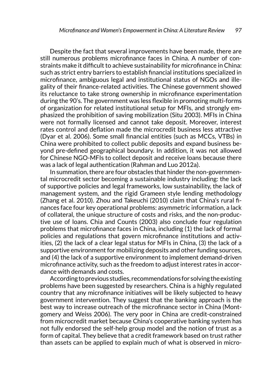Despite the fact that several improvements have been made, there are still numerous problems microfinance faces in China. A number of constraints make it difficult to achieve sustainability for microfinance in China: such as strict entry barriers to establish financial institutions specialized in microfinance, ambiguous legal and institutional status of NGOs and illegality of their finance-related activities. The Chinese government showed its reluctance to take strong ownership in microfinance experimentation during the 90's. The government was less flexible in promoting multi-forms of organization for related institutional setup for MFIs, and strongly emphasized the prohibition of saving mobilization (Situ 2003). MFIs in China were not formally licensed and cannot take deposit. Moreover, interest rates control and deflation made the microcredit business less attractive (Dyar et al. 2006). Some small financial entities (such as MCCs, VTBs) in China were prohibited to collect public deposits and expand business beyond pre-defined geographical boundary. In addition, it was not allowed for Chinese NGO-MFIs to collect deposit and receive loans because there was a lack of legal authentication (Rahman and Luo 2012a).

In summation, there are four obstacles that hinder the non-governmental microcredit sector becoming a sustainable industry including: the lack of supportive policies and legal frameworks, low sustainability, the lack of management system, and the rigid Grameen style lending methodology (Zhang et al. 2010). Zhou and Takeuchi (2010) claim that China's rural finances face four key operational problems: asymmetric information, a lack of collateral, the unique structure of costs and risks, and the non-productive use of loans. Chia and Counts (2003) also conclude four regulation problems that microfinance faces in China, including (1) the lack of formal policies and regulations that govern microfinance institutions and activities, (2) the lack of a clear legal status for MFIs in China, (3) the lack of a supportive environment for mobilizing deposits and other funding sources, and (4) the lack of a supportive environment to implement demand-driven microfinance activity, such as the freedom to adjust interest rates in accordance with demands and costs.

According to previous studies, recommendations for solving the existing problems have been suggested by researchers. China is a highly regulated country that any microfinance initiatives will be likely subjected to heavy government intervention. They suggest that the banking approach is the best way to increase outreach of the microfinance sector in China (Montgomery and Weiss 2006). The very poor in China are credit-constrained from microcredit market because China's cooperative banking system has not fully endorsed the self-help group model and the notion of trust as a form of capital. They believe that a credit framework based on trust rather than assets can be applied to explain much of what is observed in micro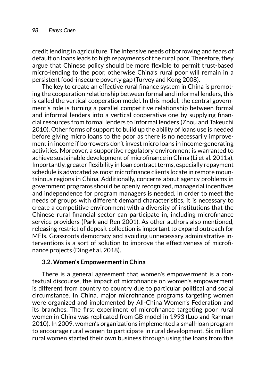credit lending in agriculture. The intensive needs of borrowing and fears of default on loans leads to high repayments of the rural poor. Therefore, they argue that Chinese policy should be more flexible to permit trust-based micro-lending to the poor, otherwise China's rural poor will remain in a persistent food-insecure poverty gap (Turvey and Kong 2008).

The key to create an effective rural finance system in China is promoting the cooperation relationship between formal and informal lenders, this is called the vertical cooperation model. In this model, the central government's role is turning a parallel competitive relationship between formal and informal lenders into a vertical cooperative one by supplying financial resources from formal lenders to informal lenders (Zhou and Takeuchi 2010). Other forms of support to build up the ability of loans use is needed before giving micro loans to the poor as there is no necessarily improvement in income if borrowers don't invest micro loans in income-generating activities. Moreover, a supportive regulatory environment is warranted to achieve sustainable development of microfinance in China (Li et al. 2011a). Importantly, greater flexibility in loan contract terms, especially repayment schedule is advocated as most microfinance clients locate in remote mountainous regions in China. Additionally, concerns about agency problems in government programs should be openly recognized, managerial incentives and independence for program managers is needed. In order to meet the needs of groups with different demand characteristics, it is necessary to create a competitive environment with a diversity of institutions that the Chinese rural financial sector can participate in, including microfinance service providers (Park and Ren 2001). As other authors also mentioned, releasing restrict of deposit collection is important to expand outreach for MFIs. Grassroots democracy and avoiding unnecessary administrative interventions is a sort of solution to improve the effectiveness of microfinance projects (Ding et al. 2018).

#### **3.2. Women's Empowerment in China**

There is a general agreement that women's empowerment is a contextual discourse, the impact of microfinance on women's empowerment is different from country to country due to particular political and social circumstance. In China, major microfinance programs targeting women were organized and implemented by All-China Women's Federation and its branches. The first experiment of microfinance targeting poor rural women in China was replicated from GB model in 1993 (Luo and Rahman 2010). In 2009, women's organizations implemented a small-loan program to encourage rural women to participate in rural development. Six million rural women started their own business through using the loans from this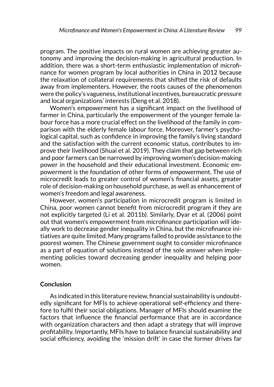program. The positive impacts on rural women are achieving greater autonomy and improving the decision-making in agricultural production. In addition, there was a short-term enthusiastic implementation of microfinance for women program by local authorities in China in 2012 because the relaxation of collateral requirements that shifted the risk of defaults away from implementers. However, the roots causes of the phenomenon were the policy's vagueness, institutional incentives, bureaucratic pressure and local organizations' interests (Deng et al. 2018).

Women's empowerment has a significant impact on the livelihood of farmer in China, particularly the empowerment of the younger female labour force has a more crucial effect on the livelihood of the family in comparison with the elderly female labour force. Moreover, farmer's psychological capital, such as confidence in improving the family's living standard and the satisfaction with the current economic status, contributes to improve their livelihood (Shuai et al. 2019). They claim that gap between rich and poor farmers can be narrowed by improving women's decision-making power in the household and their educational investment. Economic empowerment is the foundation of other forms of empowerment. The use of microcredit leads to greater control of women's financial assets, greater role of decision-making on household purchase, as well as enhancement of women's freedom and legal awareness.

However, women's participation in microcredit program is limited in China, poor women cannot benefit from microcredit program if they are not explicitly targeted (Li et al. 2011b). Similarly, Dyar et al. (2006) point out that women's empowerment from microfinance participation will ideally work to decrease gender inequality in China, but the microfinance initiatives are quite limited. Many programs failed to provide assistance to the poorest women. The Chinese government ought to consider microfinance as a part of equation of solutions instead of the sole answer when implementing policies toward decreasing gender inequality and helping poor women.

#### **Conclusion**

As indicated in this literature review, financial sustainability is undoubtedly significant for MFIs to achieve operational self-efficiency and therefore to fulfil their social obligations. Manager of MFIs should examine the factors that influence the financial performance that are in accordance with organization characters and then adapt a strategy that will improve profitability. Importantly, MFIs have to balance financial sustainability and social efficiency, avoiding the 'mission drift' in case the former drives far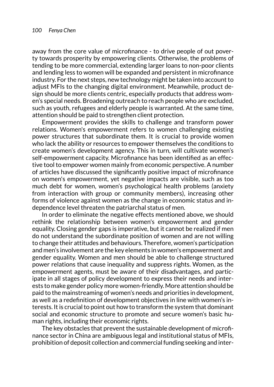away from the core value of microfinance - to drive people of out poverty towards prosperity by empowering clients. Otherwise, the problems of tending to be more commercial, extending larger loans to non-poor clients and lending less to women will be expanded and persistent in microfinance industry. For the next steps, new technology might be taken into account to adjust MFIs to the changing digital environment. Meanwhile, product design should be more clients centric, especially products that address women's special needs. Broadening outreach to reach people who are excluded, such as youth, refugees and elderly people is warranted. At the same time, attention should be paid to strengthen client protection.

Empowerment provides the skills to challenge and transform power relations. Women's empowerment refers to women challenging existing power structures that subordinate them. It is crucial to provide women who lack the ability or resources to empower themselves the conditions to create women's development agency. This in turn, will cultivate women's self-empowerment capacity. Microfinance has been identified as an effective tool to empower women mainly from economic perspective. A number of articles have discussed the significantly positive impact of microfinance on women's empowerment, yet negative impacts are visible, such as too much debt for women, women's psychological health problems (anxiety from interaction with group or community members), increasing other forms of violence against women as the change in economic status and independence level threaten the patriarchal status of men.

In order to eliminate the negative effects mentioned above, we should rethink the relationship between women's empowerment and gender equality. Closing gender gaps is imperative, but it cannot be realized if men do not understand the subordinate position of women and are not willing to change their attitudes and behaviours. Therefore, women's participation and men's involvement are the key elements in women's empowerment and gender equality. Women and men should be able to challenge structured power relations that cause inequality and suppress rights. Women, as the empowerment agents, must be aware of their disadvantages, and participate in all stages of policy development to express their needs and interests to make gender policy more women-friendly. More attention should be paid to the mainstreaming of women's needs and priorities in development, as well as a redefinition of development objectives in line with women's interests. It is crucial to point out how to transform the system that dominant social and economic structure to promote and secure women's basic human rights, including their economic rights.

The key obstacles that prevent the sustainable development of microfinance sector in China are ambiguous legal and institutional status of MFIs, prohibition of deposit collection and commercial funding seeking and inter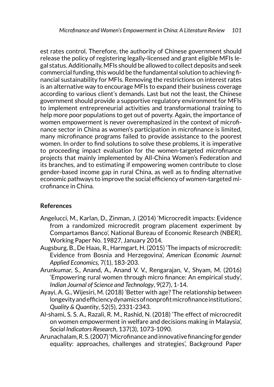est rates control. Therefore, the authority of Chinese government should release the policy of registering legally-licensed and grant eligible MFIs legal status. Additionally, MFIs should be allowed to collect deposits and seek commercial funding, this would be the fundamental solution to achieving financial sustainability for MFIs. Removing the restrictions on interest rates is an alternative way to encourage MFIs to expand their business coverage according to various client's demands. Last but not the least, the Chinese government should provide a supportive regulatory environment for MFIs to implement entrepreneurial activities and transformational training to help more poor populations to get out of poverty. Again, the importance of women empowerment is never overemphasized in the context of microfinance sector in China as women's participation in microfinance is limited, many microfinance programs failed to provide assistance to the poorest women. In order to find solutions to solve these problems, it is imperative to proceeding impact evaluation for the women-targeted microfinance projects that mainly implemented by All-China Women's Federation and its branches, and to estimating if empowering women contribute to close gender-based income gap in rural China, as well as to finding alternative economic pathways to improve the social efficiency of women-targeted microfinance in China.

# **References**

- Angelucci, M., Karlan, D., Zinman, J. (2014) 'Microcredit impacts: Evidence from a randomized microcredit program placement experiment by Compartamos Banco', National Bureau of Economic Research (NBER), Working Paper No. 19827, January 2014.
- Augsburg, B., De Haas, R., Harmgart, H. (2015) 'The impacts of microcredit: Evidence from Bosnia and Herzegovina', *American Economic Journal: Applied Economics,* 7(1), 183-203.
- Arunkumar, S., Anand, A., Anand V. V., Rengarajan, V., Shyam, M. (2016) 'Empowering rural women through micro finance: An empirical study', *Indian Journal of Science and Technology*, 9(27), 1-14.
- Ayayi, A. G., Wijesiri, M. (2018) 'Better with age? The relationship between longevity and efficiency dynamics of nonprofit microfinance institutions', *Quality & Quantity*, 52(5), 2331-2343.
- Al-shami, S. S. A., Razali, R. M., Rashid, N. (2018) 'The effect of microcredit on women empowerment in welfare and decisions making in Malaysia', *Social Indicators Research*, 137(3), 1073-1090.
- Arunachalam, R. S. (2007) 'Microfinance and innovative financing for gender equality: approaches, challenges and strategies', Background Paper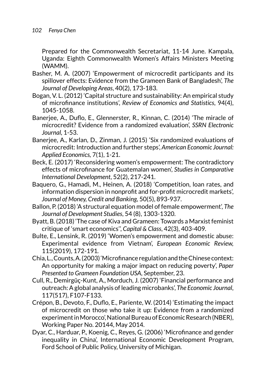Prepared for the Commonwealth Secretariat, 11-14 June. Kampala, Uganda: Eighth Commonwealth Women's Affairs Ministers Meeting (WAMM).

- Basher, M. A. (2007) 'Empowerment of microcredit participants and its spillover effects: Evidence from the Grameen Bank of Bangladesh', *The Journal of Developing Areas*, 40(2), 173-183.
- Bogan, V. L. (2012) 'Capital structure and sustainability: An empirical study of microfinance institutions', *Review of Economics and Statistics*, 94(4), 1045-1058.
- Banerjee, A., Duflo, E., Glennerster, R., Kinnan, C. (2014) 'The miracle of microcredit? Evidence from a randomized evaluation', *SSRN Electronic Journal,* 1-53.
- Banerjee, A., Karlan, D., Zinman, J. (2015) 'Six randomized evaluations of microcredit: Introduction and further steps', *American Economic Journal: Applied Economics,* 7(1), 1-21.
- Beck, E. (2017) 'Reconsidering women's empowerment: The contradictory effects of microfinance for Guatemalan women', *Studies in Comparative International Development*, 52(2), 217-241.
- Baquero, G., Hamadi, M., Heinen, A. (2018) 'Competition, loan rates, and information dispersion in nonprofit and for-profit microcredit markets', *Journal of Money, Credit and Banking*, 50(5), 893-937.
- Ballon, P. (2018) 'A structural equation model of female empowerment', *The Journal of Development Studies*, 54 (8), 1303-1320.
- Byatt, B. (2018) 'The case of Kiva and Grameen: Towards a Marxist feminist critique of 'smart economics'', *Capital & Class*, 42(3), 403-409.
- Bulte, E., Lensink, R. (2019) 'Women's empowerment and domestic abuse: Experimental evidence from Vietnam', *European Economic Review,* 115(2019), 172-191*.*
- Chia, L., Counts, A. (2003) 'Microfinance regulation and the Chinese context: An opportunity for making a major impact on reducing poverty', *Paper Presented to Grameen Foundation USA*, September, 23.
- Cull, R., Demirgüç-Kunt, A., Morduch, J. (2007) 'Financial performance and outreach: A global analysis of leading microbanks', *The Economic Journal*, 117(517), F107-F133.
- Crépon, B., Devoto, F., Duflo, E., Pariente, W. (2014) 'Estimating the impact of microcredit on those who take it up: Evidence from a randomized experiment in Morocco', National Bureau of Economic Research (NBER), Working Paper No. 20144, May 2014.
- Dyar, C., Harduar, P., Koenig, C., Reyes, G. (2006) 'Microfinance and gender inequality in China', International Economic Development Program, Ford School of Public Policy, University of Michigan.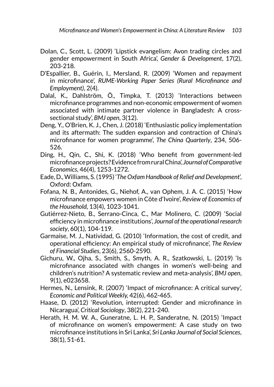- Dolan, C., Scott, L. (2009) 'Lipstick evangelism: Avon trading circles and gender empowerment in South Africa', *Gender & Development*, 17(2), 203-218.
- D'Espallier, B., Guérin, I., Mersland, R. (2009) 'Women and repayment in microfinance', *RUME-Working Paper Series (Rural Microfinance and Employment)*, 2(4).
- Dalal, K., Dahlström, Ö., Timpka, T. (2013) 'Interactions between microfinance programmes and non-economic empowerment of women associated with intimate partner violence in Bangladesh: A crosssectional study', *BMJ open*, 3(12).
- Deng, Y., O'Brien, K. J., Chen, J. (2018) 'Enthusiastic policy implementation and its aftermath: The sudden expansion and contraction of China's microfinance for women programme', *The China Quarterly*, 234, 506- 526.
- Ding, H., Qin, C., Shi, K. (2018) 'Who benefit from government-led microfinance projects? Evidence from rural China', *Journal of Comparative Economics*, 46(4), 1253-1272.
- Eade, D., Williams, S. (1995) '*The Oxfam Handbook of Relief and Development*', Oxford: Oxfam.
- Fofana, N. B., Antonides, G., Niehof, A., van Ophem, J. A. C. (2015) 'How microfinance empowers women in Côte d'Ivoire', *Review of Economics of the Household,* 13(4), 1023-1041.
- Gutiérrez-Nieto, B., Serrano-Cinca, C., Mar Molinero, C. (2009) 'Social efficiency in microfinance institutions', *Journal of the operational research society*, 60(1), 104-119.
- Garmaise, M. J., Natividad, G. (2010) 'Information, the cost of credit, and operational efficiency: An empirical study of microfinance', *The Review of Financial Studies*, 23(6), 2560-2590.
- Gichuru, W., Ojha, S., Smith, S., Smyth, A. R., Szatkowski, L. (2019) 'Is microfinance associated with changes in women's well-being and children's nutrition? A systematic review and meta-analysis', *BMJ open*, 9(1), e023658.
- Hermes, N., Lensink, R. (2007) 'Impact of microfinance: A critical survey', *Economic and Political Weekly,* 42(6), 462-465.
- Haase, D. (2012) 'Revolution, interrupted: Gender and microfinance in Nicaragua', *Critical Sociology*, 38(2), 221-240.
- Herath, H. M. W. A., Guneratne, L. H. P., Sanderatne, N. (2015) 'Impact of microfinance on women's empowerment: A case study on two microfinance institutions in Sri Lanka', *Sri Lanka Journal of Social Sciences*, 38(1), 51-61.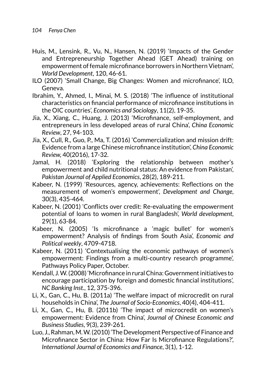- Huis, M., Lensink, R., Vu, N., Hansen, N. (2019) 'Impacts of the Gender and Entrepreneurship Together Ahead (GET Ahead) training on empowerment of female microfinance borrowers in Northern Vietnam', *World Development*, 120, 46-61.
- ILO (2007) 'Small Change, Big Changes: Women and microfinance', ILO, Geneva.
- Ibrahim, Y., Ahmed, I., Minai, M. S. (2018) 'The influence of institutional characteristics on financial performance of microfinance institutions in the OIC countries', *Economics and Sociology*, 11(2), 19-35.
- Jia, X., Xiang, C., Huang, J. (2013) 'Microfinance, self-employment, and entrepreneurs in less developed areas of rural China', *China Economic Review*, 27, 94-103.
- Jia, X., Cull, R., Guo, P., Ma, T. (2016) 'Commercialization and mission drift: Evidence from a large Chinese microfinance institution', *China Economic Review,* 40(2016), 17-32.
- Jamal, H. (2018) 'Exploring the relationship between mother's empowerment and child nutritional status: An evidence from Pakistan', *Pakistan Journal of Applied Economics*, 28(2), 189-211.
- Kabeer, N. (1999) 'Resources, agency, achievements: Reflections on the measurement of women's empowerment', *Development and Change*, 30(3), 435-464.
- Kabeer, N. (2001) 'Conflicts over credit: Re-evaluating the empowerment potential of loans to women in rural Bangladesh', *World development*, 29(1), 63-84.
- Kabeer, N. (2005) 'Is microfinance a 'magic bullet' for women's empowerment? Analysis of findings from South Asia', *Economic and Political weekly*, 4709-4718.
- Kabeer, N. (2011) 'Contextualising the economic pathways of women's empowerment: Findings from a multi-country research programme', Pathways Policy Paper, October.
- Kendall, J. W. (2008) 'Microfinance in rural China: Government initiatives to encourage participation by foreign and domestic financial institutions', *NC Banking Inst.*, 12, 375-396.
- Li, X., Gan, C., Hu, B. (2011a) 'The welfare impact of microcredit on rural households in China', *The Journal of Socio-Economics*, 40(4), 404-411.
- Li, X., Gan, C., Hu, B. (2011b) 'The impact of microcredit on women's empowerment: Evidence from China', *Journal of Chinese Economic and Business Studies*, 9(3), 239-261.
- Luo, J., Rahman, M. W. (2010) 'The Development Perspective of Finance and Microfinance Sector in China: How Far Is Microfinance Regulations?', *International Journal of Economics and Finance*, 3(1), 1-12.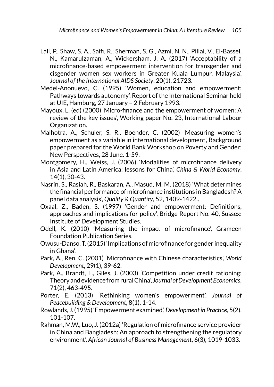- Lall, P., Shaw, S. A., Saifi, R., Sherman, S. G., Azmi, N. N., Pillai, V., El-Bassel, N., Kamarulzaman, A., Wickersham, J. A. (2017) 'Acceptability of a microfinance-based empowerment intervention for transgender and cisgender women sex workers in Greater Kuala Lumpur, Malaysia', *Journal of the International AIDS Society*, 20(1), 21723.
- Medel-Anonuevo, C. (1995) 'Women, education and empowerment: Pathways towards autonomy', Report of the International Seminar held at UIE, Hamburg, 27 January – 2 February 1993.
- Mayoux, L. (ed) (2000) 'Micro-finance and the empowerment of women: A review of the key issues', Working paper No. 23, International Labour Organization.
- Malhotra, A., Schuler, S. R., Boender, C. (2002) 'Measuring women's empowerment as a variable in international development', Background paper prepared for the World Bank Workshop on Poverty and Gender: New Perspectives, 28 June. 1-59.
- Montgomery, H., Weiss, J. (2006) 'Modalities of microfinance delivery in Asia and Latin America: lessons for China', *China & World Economy*, 14(1), 30-43.
- Nasrin, S., Rasiah, R., Baskaran, A., Masud, M. M. (2018) 'What determines the financial performance of microfinance institutions in Bangladesh? A panel data analysis', *Quality & Quantity*, 52, 1409-1422..
- Oxaal, Z., Baden, S. (1997) 'Gender and empowerment: Definitions, approaches and implications for policy', Bridge Report No. 40, Sussex: Institute of Development Studies.
- Odell, K. (2010) 'Measuring the impact of microfinance', Grameen Foundation Publication Series.
- Owusu-Danso, T. (2015) 'Implications of microfinance for gender inequality in Ghana'.
- Park, A., Ren, C. (2001) 'Microfinance with Chinese characteristics', *World Development*, 29(1), 39-62.
- Park, A., Brandt, L., Giles, J. (2003) 'Competition under credit rationing: Theory and evidence from rural China', *Journal of Development Economics*, 71(2), 463-495.
- Porter, E. (2013) 'Rethinking women's empowerment', *Journal of Peacebuilding & Development*, 8(1), 1-14.
- Rowlands, J. (1995) 'Empowerment examined', *Development in Practice*, 5(2), 101-107.
- Rahman, M.W., Luo, J. (2012a) 'Regulation of microfinance service provider in China and Bangladesh: An approach to strengthening the regulatory environment', *African Journal of Business Management*, 6(3), 1019-1033.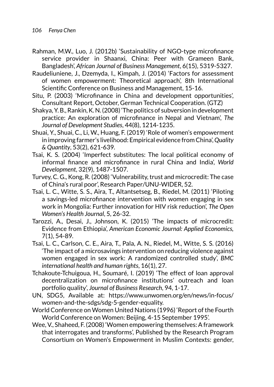- Rahman, M.W., Luo, J. (2012b) 'Sustainability of NGO-type microfinance service provider in Shaanxi, China: Peer with Grameen Bank, Bangladesh', *African Journal of Business Management*, 6(15), 5319-5327.
- Raudeliuniene, J., Dzemyda, I., Kimpah, J. (2014) 'Factors for assessment of women empowerment: Theoretical approach', 8th International Scientific Conference on Business and Management, 15-16.
- Situ, P. (2003) 'Microfinance in China and development opportunities', Consultant Report, October, German Technical Cooperation. (GTZ)
- Shakya, Y. B., Rankin, K. N. (2008) 'The politics of subversion in development practice: An exploration of microfinance in Nepal and Vietnam', *The Journal of Development Studies*, 44(8), 1214-1235.
- Shuai, Y., Shuai, C., Li, W., Huang, F. (2019) 'Role of women's empowerment in improving farmer's livelihood: Empirical evidence from China', *Quality & Quantity*, 53(2), 621-639.
- Tsai, K. S. (2004) 'Imperfect substitutes: The local political economy of informal finance and microfinance in rural China and India', *World Development*, 32(9), 1487-1507.
- Turvey, C. G., Kong, R. (2008) 'Vulnerability, trust and microcredit: The case of China's rural poor', Research Paper/UNU-WIDER, 52.
- Tsai, L. C., Witte, S. S., Aira, T., Altantsetseg, B., Riedel, M. (2011) 'Piloting a savings-led microfinance intervention with women engaging in sex work in Mongolia: Further innovation for HIV risk reduction', *The Open Women's Health Journal*, 5, 26-32.
- Tarozzi, A., Desai, J., Johnson, K. (2015) 'The impacts of microcredit: Evidence from Ethiopia', *American Economic Journal: Applied Economics,* 7(1), 54-89.
- Tsai, L. C., Carlson, C. E., Aira, T., Pala, A. N., Riedel, M., Witte, S. S. (2016) 'The impact of a microsavings intervention on reducing violence against women engaged in sex work: A randomized controlled study', *BMC international health and human rights*, 16(1), 27.
- Tchakoute-Tchuigoua, H., Soumaré, I. (2019) 'The effect of loan approval decentralization on microfinance institutions' outreach and loan portfolio quality', *Journal of Business Research*, 94, 1-17.
- UN, SDG5, Available at: [https://www.unwomen.org/en/news/in-focus/](https://www.unwomen.org/en/news/in-focus/women-and-the-sdgs/sdg-5-gender-equality) [women-and-the-sdgs/sdg-5-gender-equality.](https://www.unwomen.org/en/news/in-focus/women-and-the-sdgs/sdg-5-gender-equality)
- World Conference on Women United Nations (1996) 'Report of the Fourth World Conference on Women: Beijing, 4-15 September 1995'.
- Wee, V., Shaheed, F. (2008) 'Women empowering themselves: A framework that interrogates and transforms', Published by the Research Program Consortium on Women's Empowerment in Muslim Contexts: gender,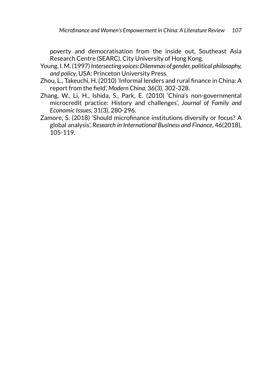poverty and democratisation from the inside out, Southeast Asia Research Centre (SEARC), City University of Hong Kong.

- Young, I. M. (1997) *Intersecting voices: Dilemmas of gender, political philosophy, and policy*, USA: Princeton University Press.
- Zhou, L., Takeuchi, H. (2010) 'Informal lenders and rural finance in China: A report from the field', *Modern China*, 36(3), 302-328.
- Zhang, W., Li, H., Ishida, S., Park, E. (2010) 'China's non-governmental microcredit practice: History and challenges', *Journal of Family and Economic Issues*, 31(3), 280-296.
- Zamore, S. (2018) 'Should microfinance institutions diversify or focus? A global analysis', *Research in International Business and Finance*, 46(2018), 105-119.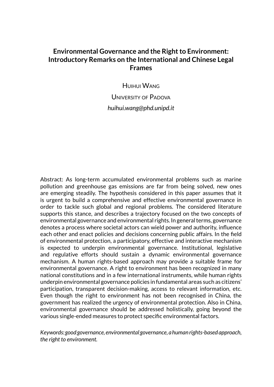# **Environmental Governance and the Right to Environment: Introductory Remarks on the International and Chinese Legal Frames**

**HUIHUI WANG** 

UNIVERSITY OF PADOVA *huihui.wang@phd.unipd.it*

Abstract: As long-term accumulated environmental problems such as marine pollution and greenhouse gas emissions are far from being solved, new ones are emerging steadily. The hypothesis considered in this paper assumes that it is urgent to build a comprehensive and effective environmental governance in order to tackle such global and regional problems. The considered literature supports this stance, and describes a trajectory focused on the two concepts of environmental governance and environmental rights. In general terms, governance denotes a process where societal actors can wield power and authority, influence each other and enact policies and decisions concerning public affairs. In the field of environmental protection, a participatory, effective and interactive mechanism is expected to underpin environmental governance. Institutional, legislative and regulative efforts should sustain a dynamic environmental governance mechanism. A human rights-based approach may provide a suitable frame for environmental governance. A right to environment has been recognized in many national constitutions and in a few international instruments, while human rights underpin environmental governance policies in fundamental areas such as citizens' participation, transparent decision-making, access to relevant information, etc. Even though the right to environment has not been recognised in China, the government has realized the urgency of environmental protection. Also in China, environmental governance should be addressed holistically, going beyond the various single-ended measures to protect specific environmental factors.

*Keywords: good governance, environmental governance, a human rights-based approach, the right to environment.*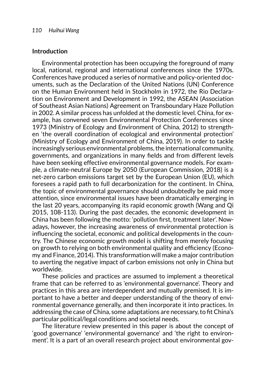#### **Introduction**

Environmental protection has been occupying the foreground of many local, national, regional and international conferences since the 1970s. Conferences have produced a series of normative and policy-oriented documents, such as the Declaration of the United Nations (UN) Conference on the Human Environment held in Stockholm in 1972, the Rio Declaration on Environment and Development in 1992, the ASEAN (Association of Southeast Asian Nations) Agreement on Transboundary Haze Pollution in 2002. A similar process has unfolded at the domestic level. China, for example, has convened seven Environmental Protection Conferences since 1973 (Ministry of Ecology and Environment of China, 2012) to strengthen 'the overall coordination of ecological and environmental protection' (Ministry of Ecology and Environment of China, 2019). In order to tackle increasingly serious environmental problems, the international community, governments, and organizations in many fields and from different levels have been seeking effective environmental governance models. For example, a climate-neutral Europe by 2050 (European Commission, 2018) is a net-zero carbon emissions target set by the European Union (EU), which foresees a rapid path to full decarbonization for the continent. In China, the topic of environmental governance should undoubtedly be paid more attention, since environmental issues have been dramatically emerging in the last 20 years, accompanying its rapid economic growth (Wang and Qi 2015, 108-113). During the past decades, the economic development in China has been following the motto: 'pollution first, treatment later'. Nowadays, however, the increasing awareness of environmental protection is influencing the societal, economic and political developments in the country. The Chinese economic growth model is shifting from merely focusing on growth to relying on both environmental quality and efficiency (Economy and Finance, 2014). This transformation will make a major contribution to averting the negative impact of carbon emissions not only in China but worldwide.

These policies and practices are assumed to implement a theoretical frame that can be referred to as 'environmental governance'. Theory and practices in this area are interdependent and mutually premised. It is important to have a better and deeper understanding of the theory of environmental governance generally, and then incorporate it into practices. In addressing the case of China, some adaptations are necessary, to fit China's particular political/legal conditions and societal needs.

The literature review presented in this paper is about the concept of 'good governance' 'environmental governance' and 'the right to environment'. It is a part of an overall research project about environmental gov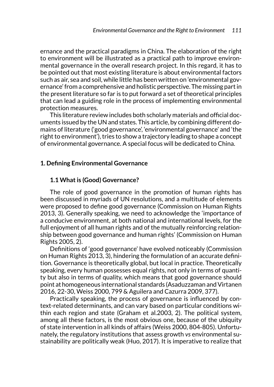ernance and the practical paradigms in China. The elaboration of the right to environment will be illustrated as a practical path to improve environmental governance in the overall research project. In this regard, it has to be pointed out that most existing literature is about environmental factors such as air, sea and soil, while little has been written on 'environmental governance' from a comprehensive and holistic perspective. The missing part in the present literature so far is to put forward a set of theoretical principles that can lead a guiding role in the process of implementing environmental protection measures.

This literature review includes both scholarly materials and official documents issued by the UN and states. This article, by combining different domains of literature ('good governance', 'environmental governance' and 'the right to environment'), tries to show a trajectory leading to shape a concept of environmental governance. A special focus will be dedicated to China.

#### **1. Defining Environmental Governance**

## **1.1 What is (Good) Governance?**

The role of good governance in the promotion of human rights has been discussed in myriads of UN resolutions, and a multitude of elements were proposed to define good governance (Commission on Human Rights 2013, 3). Generally speaking, we need to acknowledge the 'importance of a conducive environment, at both national and international levels, for the full enjoyment of all human rights and of the mutually reinforcing relationship between good governance and human rights' (Commission on Human Rights 2005, 2).

Definitions of 'good governance' have evolved noticeably (Commission on Human Rights 2013, 3), hindering the formulation of an accurate definition. Governance is theoretically global, but local in practice. Theoretically speaking, every human possesses equal rights, not only in terms of quantity but also in terms of quality, which means that good governance should point at homogeneous international standards (Asaduzzaman and Virtanen 2016, 22-30, Weiss 2000, 799 & Aguilera and Cazurra 2009, 377).

Practically speaking, the process of governance is influenced by context-related determinants, and can vary based on particular conditions within each region and state (Graham et al.2003, 2). The political system, among all these factors, is the most obvious one, because of the ubiquity of state intervention in all kinds of affairs (Weiss 2000, 804-805). Unfortunately, the regulatory institutions that assess growth *vs* environmental sustainability are politically weak (Huo, 2017). It is imperative to realize that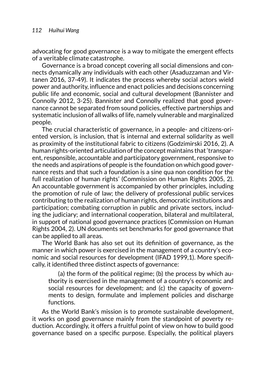advocating for good governance is a way to mitigate the emergent effects of a veritable climate catastrophe.

Governance is a broad concept covering all social dimensions and connects dynamically any individuals with each other (Asaduzzaman and Virtanen 2016, 37-49). It indicates the process whereby social actors wield power and authority, influence and enact policies and decisions concerning public life and economic, social and cultural development (Bannister and Connolly 2012, 3-25). Bannister and Connolly realized that good governance cannot be separated from sound policies, effective partnerships and systematic inclusion of all walks of life, namely vulnerable and marginalized people.

The crucial characteristic of governance, in a people- and citizens-oriented version, is inclusion, that is internal and external solidarity as well as proximity of the institutional fabric to citizens (Godzimirski 2016, 2). A human rights-oriented articulation of the concept maintains that 'transparent, responsible, accountable and participatory government, responsive to the needs and aspirations of people is the foundation on which good governance rests and that such a foundation is a sine qua non condition for the full realization of human rights' (Commission on Human Rights 2005, 2). An accountable government is accompanied by other principles, including the promotion of rule of law; the delivery of professional public services contributing to the realization of human rights, democratic institutions and participation; combating corruption in public and private sectors, including the judiciary; and international cooperation, bilateral and multilateral, in support of national good governance practices (Commission on Human Rights 2004, 2). UN documents set benchmarks for good governance that can be applied to all areas.

The World Bank has also set out its definition of governance, as the manner in which power is exercised in the management of a country's economic and social resources for development (IFAD 1999,1). More specifically, it identified three distinct aspects of governance:

(a) the form of the political regime; (b) the process by which authority is exercised in the management of a country's economic and social resources for development; and (c) the capacity of governments to design, formulate and implement policies and discharge functions.

As the World Bank's mission is to promote sustainable development, it works on good governance mainly from the standpoint of poverty reduction. Accordingly, it offers a fruitful point of view on how to build good governance based on a specific purpose. Especially, the political players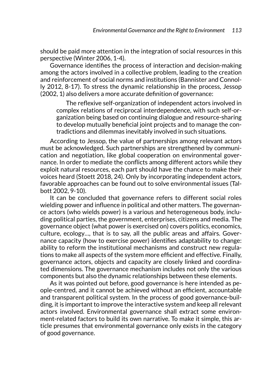should be paid more attention in the integration of social resources in this perspective (Winter 2006, 1-4).

Governance identifies the process of interaction and decision-making among the actors involved in a collective problem, leading to the creation and reinforcement of social norms and institutions (Bannister and Connolly 2012, 8-17). To stress the dynamic relationship in the process, Jessop (2002, 1) also delivers a more accurate definition of governance:

The reflexive self-organization of independent actors involved in complex relations of reciprocal interdependence, with such self-organization being based on continuing dialogue and resource-sharing to develop mutually beneficial joint projects and to manage the contradictions and dilemmas inevitably involved in such situations.

According to Jessop, the value of partnerships among relevant actors must be acknowledged. Such partnerships are strengthened by communication and negotiation, like global cooperation on environmental governance. In order to mediate the conflicts among different actors while they exploit natural resources, each part should have the chance to make their voices heard (Stoett 2018, 24). Only by incorporating independent actors, favorable approaches can be found out to solve environmental issues (Talbott 2002, 9-10).

It can be concluded that governance refers to different social roles wielding power and influence in political and other matters. The governance actors (who wields power) is a various and heterogeneous body, including political parties, the government, enterprises, citizens and media. The governance object (what power is exercised on) covers politics, economics, culture, ecology…, that is to say, all the public areas and affairs. Governance capacity (how to exercise power) identifies adaptability to change: ability to reform the institutional mechanisms and construct new regulations to make all aspects of the system more efficient and effective. Finally, governance actors, objects and capacity are closely linked and coordinated dimensions. The governance mechanism includes not only the various components but also the dynamic relationships between these elements.

As it was pointed out before, good governance is here intended as people-centred, and it cannot be achieved without an efficient, accountable and transparent political system. In the process of good governance-building, it is important to improve the interactive system and keep all relevant actors involved. Environmental governance shall extract some environment-related factors to build its own narrative. To make it simple, this article presumes that environmental governance only exists in the category of good governance.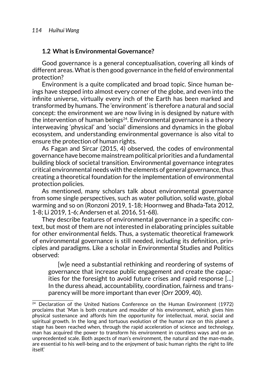## **1.2 What is Environmental Governance?**

Good governance is a general conceptualisation, covering all kinds of different areas. What is then good governance in the field of environmental protection?

Environment is a quite complicated and broad topic. Since human beings have stepped into almost every corner of the globe, and even into the infinite universe, virtually every inch of the Earth has been marked and transformed by humans. The 'environment' is therefore a natural and social concept: the environment we are now living in is designed by nature with the intervention of human beings $24$ . Environmental governance is a theory interweaving 'physical' and 'social' dimensions and dynamics in the global ecosystem, and understanding environmental governance is also vital to ensure the protection of human rights.

As Fagan and Sircar (2015, 4) observed, the codes of environmental governance have become mainstream political priorities and a fundamental building block of societal transition. Environmental governance integrates critical environmental needs with the elements of general governance, thus creating a theoretical foundation for the implementation of environmental protection policies.

As mentioned, many scholars talk about environmental governance from some single perspectives, such as water pollution, solid waste, global warming and so on (Ronzoni 2019, 1-18; Hoornweg and Bhada-Tata 2012, 1-8; Li 2019, 1-6; Andersen et al. 2016, 51-68).

They describe features of environmental governance in a specific context, but most of them are not interested in elaborating principles suitable for other environmental fields. Thus, a systematic theoretical framework of environmental governance is still needed, including its definition, principles and paradigms. Like a scholar in Environmental Studies and Politics observed:

[w]e need a substantial rethinking and reordering of systems of governance that increase public engagement and create the capacities for the foresight to avoid future crises and rapid response […] In the duress ahead, accountability, coordination, fairness and transparency will be more important than ever (Orr 2009, 40).

 $24$  Declaration of the United Nations Conference on the Human Environment (1972) proclaims that 'Man is both creature and moulder of his environment, which gives him physical sustenance and affords him the opportunity for intellectual, moral, social and spiritual growth. In the long and tortuous evolution of the human race on this planet a stage has been reached when, through the rapid acceleration of science and technology, man has acquired the power to transform his environment in countless ways and on an unprecedented scale. Both aspects of man's environment, the natural and the man-made, are essential to his well-being and to the enjoyment of basic human rights the right to life itself.'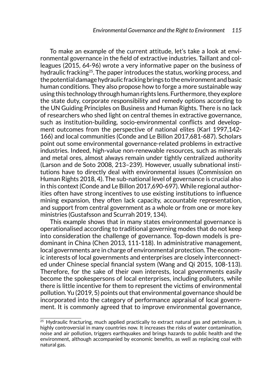To make an example of the current attitude, let's take a look at environmental governance in the field of extractive industries. Taillant and colleagues (2015, 64-96) wrote a very informative paper on the business of hydraulic fracking<sup>25</sup>. The paper introduces the status, working process, and the potential damage hydraulic fracking brings to the environment and basic human conditions. They also propose how to forge a more sustainable way using this technology through human rights lens. Furthermore, they explore the state duty, corporate responsibility and remedy options according to the UN Guiding Principles on Business and Human Rights. There is no lack of researchers who shed light on central themes in extractive governance, such as institution-building, socio-environmental conflicts and development outcomes from the perspective of national elites (Karl 1997,142- 166) and local communities (Conde and Le Billon 2017,681-687). Scholars point out some environmental governance-related problems in extractive industries. Indeed, high-value non-renewable resources, such as minerals and metal ores, almost always remain under tightly centralized authority (Larson and de Soto 2008, 213–239). However, usually subnational institutions have to directly deal with environmental issues (Commission on Human Rights 2018, 4). The sub-national level of governance is crucial also in this context (Conde and Le Billon 2017,690-697). While regional authorities often have strong incentives to use existing institutions to influence mining expansion, they often lack capacity, accountable representation, and support from central government as a whole or from one or more key ministries (Gustafsson and Scurrah 2019, 134).

This example shows that in many states environmental governance is operationalised according to traditional governing modes that do not keep into consideration the challenge of governance. Top-down models is predominant in China (Chen 2013, 111-118). In administrative management, local governments are in charge of environmental protection. The economic interests of local governments and enterprises are closely interconnected under Chinese special financial system (Wang and Qi 2015, 108-113). Therefore, for the sake of their own interests, local governments easily become the spokespersons of local enterprises, including polluters, while there is little incentive for them to represent the victims of environmental pollution. Yu (2019, 5) points out that environmental governance should be incorporated into the category of performance appraisal of local government. It is commonly agreed that to improve environmental governance,

 $25$  Hydraulic fracturing, much applied practically to extract natural gas and petroleum, is highly controversial in many countries now. It increases the risks of water contamination, noise and air pollution, triggers earthquakes and brings hazards to public health and the environment, although accompanied by economic benefits, as well as replacing coal with natural gas.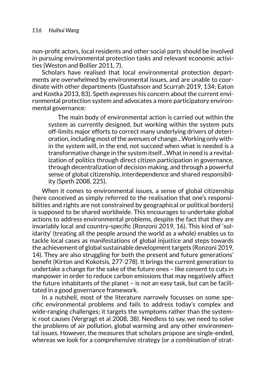non-profit actors, local residents and other social parts should be involved in pursuing environmental protection tasks and relevant economic activities (Weston and Bollier 2011, 7).

Scholars have realised that local environmental protection departments are overwhelmed by environmental issues, and are unable to coordinate with other departments (Gustafsson and Scurrah 2019, 134; Eaton and Kostka 2013, 83). Speth expresses his concern about the current environmental protection system and advocates a more participatory environmental governance:

The main body of environmental action is carried out within the system as currently designed, but working within the system puts off-limits major efforts to correct many underlying drivers of deterioration, including most of the avenues of change…Working only within the system will, in the end, not succeed when what is needed is a transformative change in the system itself…What in need is a revitalization of politics through direct citizen participation in governance, through decentralization of decision making, and through a powerful sense of global citizenship, interdependence and shared responsibility (Speth 2008, 225).

When it comes to environmental issues, a sense of global citizenship (here conceived as simply referred to the realisation that one's responsibilities and rights are not constrained by geographical or political borders) is supposed to be shared worldwide. This encourages to undertake global actions to address environmental problems, despite the fact that they are invariably local and country-specific (Ronzoni 2019, 16). This kind of 'solidarity' (treating all the people around the world as a whole) enables us to tackle local cases as manifestations of global injustice and steps towards the achievement of global sustainable development targets (Ronzoni 2019, 14). They are also struggling for both the present and future generations' benefit (Kirton and Kokotsis, 277-278). It brings the current generation to undertake a change for the sake of the future ones – like consent to cuts in manpower in order to reduce carbon emissions that may negatively affect the future inhabitants of the planet – is not an easy task, but can be facilitated in a good governance framework.

In a nutshell, most of the literature narrowly focusses on some specific environmental problems and fails to address today's complex and wide-ranging challenges; it targets the symptoms rather than the systemic root causes (Vergragt et al 2008, 38). Needless to say, we need to solve the problems of air pollution, global warming and any other environmental issues. However, the measures that scholars propose are single-ended, whereas we look for a comprehensive strategy (or a combination of strat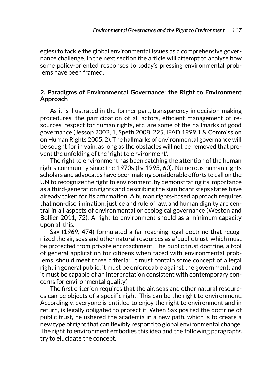egies) to tackle the global environmental issues as a comprehensive governance challenge. In the next section the article will attempt to analyse how some policy-oriented responses to today's pressing environmental problems have been framed.

### **2. Paradigms of Environmental Governance: the Right to Environment Approach**

As it is illustrated in the former part, transparency in decision-making procedures, the participation of all actors, efficient management of resources, respect for human rights, etc. are some of the hallmarks of good governance (Jessop 2002, 1, Speth 2008, 225, IFAD 1999,1 & Commission on Human Rights 2005, 2). The hallmarks of environmental governance will be sought for in vain, as long as the obstacles will not be removed that prevent the unfolding of the 'right to environment'.

The right to environment has been catching the attention of the human rights community since the 1970s (Lv 1995, 60). Numerous human rights scholars and advocates have been making considerable efforts to call on the UN to recognize the right to environment, by demonstrating its importance as a third-generation rights and describing the significant steps states have already taken for its affirmation. A human rights-based approach requires that non-discrimination, justice and rule of law, and human dignity are central in all aspects of environmental or ecological governance (Weston and Bollier 2011, 72). A right to environment should as a minimum capacity upon all this.

Sax (1969, 474) formulated a far-reaching legal doctrine that recognized the air, seas and other natural resources as a 'public trust' which must be protected from private encroachment. The public trust doctrine, a tool of general application for citizens when faced with environmental problems, should meet three criteria: 'It must contain some concept of a legal right in general public; it must be enforceable against the government; and it must be capable of an interpretation consistent with contemporary concerns for environmental quality'.

The first criterion requires that the air, seas and other natural resources can be objects of a specific right. This can be the right to environment. Accordingly, everyone is entitled to enjoy the right to environment and in return, is legally obligated to protect it. When Sax posited the doctrine of public trust, he ushered the academia in a new path, which is to create a new type of right that can flexibly respond to global environmental change. The right to environment embodies this idea and the following paragraphs try to elucidate the concept.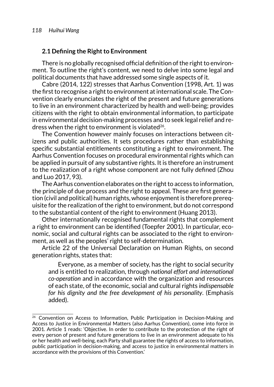### **2.1 Defining the Right to Environment**

There is no globally recognised official definition of the right to environment. To outline the right's content, we need to delve into some legal and political documents that have addressed some single aspects of it.

Cabre (2014, 122) stresses that Aarhus Convention (1998, Art. 1) was the first to recognise a right to environment at international scale. The Convention clearly enunciates the right of the present and future generations to live in an environment characterized by health and well-being; provides citizens with the right to obtain environmental information, to participate in environmental decision-making processes and to seek legal relief and redress when the right to environment is violated<sup>26</sup>.

The Convention however mainly focuses on interactions between citizens and public authorities. It sets procedures rather than establishing specific substantial entitlements constituting a right to environment. The Aarhus Convention focuses on procedural environmental rights which can be applied in pursuit of any substantive rights. It is therefore an instrument to the realization of a right whose component are not fully defined (Zhou and Luo 2017, 93).

The Aarhus convention elaborates on the right to access to information, the principle of due process and the right to appeal. These are first generation (civil and political) human rights, whose enjoyment is therefore prerequisite for the realization of the right to environment, but do not correspond to the substantial content of the right to environment (Huang 2013).

Other internationally recognised fundamental rights that complement a right to environment can be identified (Toepfer 2001). In particular, economic, social and cultural rights can be associated to the right to environment, as well as the peoples' right to self-determination.

Article 22 of the Universal Declaration on Human Rights, on second generation rights, states that:

Everyone, as a member of society, has the right to social security and is entitled to realization, through *national effort and international co-operation* and in accordance with the organization and resources of each state, of the economic, social and cultural rights *indispensable for his dignity and the free development of his personality*. (Emphasis added).

<sup>&</sup>lt;sup>26</sup> Convention on Access to Information, Public Participation in Decision-Making and Access to Justice in Environmental Matters (also Aarhus Convention), come into force in 2001. Article 1 reads: 'Objective. In order to contribute to the protection of the right of every person of present and future generations to live in an environment adequate to his or her health and well-being, each Party shall guarantee the rights of access to information, public participation in decision-making, and access to justice in environmental matters in accordance with the provisions of this Convention.'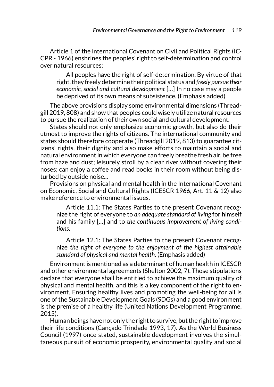Article 1 of the international Covenant on Civil and Political Rights (IC-CPR - 1966) enshrines the peoples' right to self-determination and control over natural resources:

All peoples have the right of self-determination. By virtue of that right, they freely determine their political status and *freely pursue their economic, social and cultural development* […] In no case may a people be deprived of its own means of subsistence. (Emphasis added)

The above provisions display some environmental dimensions (Threadgill 2019, 808) and show that peoples could wisely utilize natural resources to pursue the realization of their own social and cultural development.

States should not only emphasize economic growth, but also do their utmost to improve the rights of citizens. The international community and states should therefore cooperate (Threadgill 2019, 813) to guarantee citizens' rights, their dignity and also make efforts to maintain a social and natural environment in which everyone can freely breathe fresh air, be free from haze and dust; leisurely stroll by a clear river without covering their noses; can enjoy a coffee and read books in their room without being disturbed by outside noise...

Provisions on physical and mental health in the International Covenant on Economic, Social and Cultural Rights (ICESCR 1966, Art. 11 & 12) also make reference to environmental issues.

Article 11.1: The States Parties to the present Covenant recognize the right of everyone to *an adequate standard of living* for himself and his family […] and to *the continuous improvement of living conditions*.

Article 12.1: The States Parties to the present Covenant recognize *the right of everyone to the enjoyment of the highest attainable standard of physical and mental health*. (Emphasis added)

Environment is mentioned as a determinant of human health in ICESCR and other environmental agreements (Shelton 2002, 7). Those stipulations declare that everyone shall be entitled to achieve the maximum quality of physical and mental health, and this is a key component of the right to environment. Ensuring healthy lives and promoting the well-being for all is one of the Sustainable Development Goals (SDGs) and a good environment is the premise of a healthy life (United Nations Development Programme, 2015).

Human beings have not only the right to survive, but the right to improve their life conditions (Cançado Trindade 1993, 17). As the World Business Council (1997) once stated, sustainable development involves the simultaneous pursuit of economic prosperity, environmental quality and social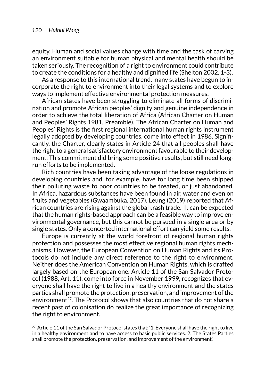equity. Human and social values change with time and the task of carving an environment suitable for human physical and mental health should be taken seriously. The recognition of a right to environment could contribute to create the conditions for a healthy and dignified life (Shelton 2002, 1-3).

As a response to this international trend, many states have begun to incorporate the right to environment into their legal systems and to explore ways to implement effective environmental protection measures.

African states have been struggling to eliminate all forms of discrimination and promote African peoples' dignity and genuine independence in order to achieve the total liberation of Africa (African Charter on Human and Peoples' Rights 1981, Preamble). The African Charter on Human and Peoples' Rights is the first regional international human rights instrument legally adopted by developing countries, come into effect in 1986. Significantly, the Charter, clearly states in Article 24 that all peoples shall have the right to a general satisfactory environment favourable to their development. This commitment did bring some positive results, but still need longrun efforts to be implemented.

Rich countries have been taking advantage of the loose regulations in developing countries and, for example, have for long time been shipped their polluting waste to poor countries to be treated, or just abandoned. In Africa, hazardous substances have been found in air, water and even on fruits and vegetables (Gwaambuka, 2017). Leung (2019) reported that African countries are rising against the global trash trade. It can be expected that the human rights-based approach can be a feasible way to improve environmental governance, but this cannot be pursued in a single area or by single states. Only a concerted international effort can yield some results.

Europe is currently at the world forefront of regional human rights protection and possesses the most effective regional human rights mechanisms. However, the European Convention on Human Rights and its Protocols do not include any direct reference to the right to environment. Neither does the American Convention on Human Rights, which is drafted largely based on the European one. Article 11 of the San Salvador Protocol (1988, Art. 11), come into force in November 1999, recognizes that everyone shall have the right to live in a healthy environment and the states parties shall promote the protection, preservation, and improvement of the environment<sup>27</sup>. The Protocol shows that also countries that do not share a recent past of colonisation do realize the great importance of recognizing the right to environment.

<sup>&</sup>lt;sup>27</sup> Article 11 of the San Salvador Protocol states that: '1. Everyone shall have the right to live in a healthy environment and to have access to basic public services. 2. The States Parties shall promote the protection, preservation, and improvement of the environment.'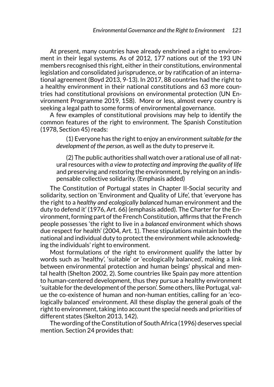At present, many countries have already enshrined a right to environment in their legal systems. As of 2012, 177 nations out of the 193 UN members recognised this right, either in their constitutions, environmental legislation and consolidated jurisprudence, or by ratification of an international agreement (Boyd 2013, 9-13). In 2017, 88 countries had the right to a healthy environment in their national constitutions and 63 more countries had constitutional provisions on environmental protection (UN Environment Programme 2019, 158). More or less, almost every country is seeking a legal path to some forms of environmental governance.

A few examples of constitutional provisions may help to identify the common features of the right to environment. The Spanish Constitution (1978, Section 45) reads:

(1) Everyone has the right to enjoy an environment *suitable for the development of the person*, as well as the duty to preserve it.

(2) The public authorities shall watch over a rational use of all natural resources with *a view to protecting and improving the quality of life* and preserving and restoring the environment, by relying on an indispensable collective solidarity. (Emphasis added)

The Constitution of Portugal states in Chapter II-Social security and solidarity, section on 'Environment and Quality of Life', that 'everyone has the right to a *healthy and ecologically balanced* human environment and the duty to defend it' (1976, Art. 66) (emphasis added). The Charter for the Environment, forming part of the French Constitution, affirms that the French people possesses 'the right to live in a *balanced* environment which shows due respect for health' (2004, Art. 1). These stipulations maintain both the national and individual duty to protect the environment while acknowledging the individuals' right to environment.

Most formulations of the right to environment qualify the latter by words such as 'healthy', 'suitable' or 'ecologically balanced', making a link between environmental protection and human beings' physical and mental health (Shelton 2002, 2). Some countries like Spain pay more attention to human-centered development, thus they pursue a healthy environment 'suitable for the development of the person'. Some others, like Portugal, value the co-existence of human and non-human entities, calling for an 'ecologically balanced' environment. All these display the general goals of the right to environment, taking into account the special needs and priorities of different states (Skelton 2013, 142).

The wording of the Constitution of South Africa (1996) deserves special mention. Section 24 provides that: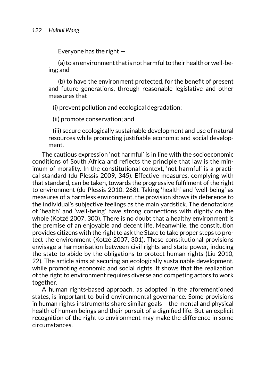Everyone has the right —

(a) to an environment that is not harmful to their health or well-being; and

(b) to have the environment protected, for the benefit of present and future generations, through reasonable legislative and other measures that

(i) prevent pollution and ecological degradation;

(ii) promote conservation; and

 (iii) secure ecologically sustainable development and use of natural resources while promoting justifiable economic and social development.

The cautious expression 'not harmful' is in line with the socioeconomic conditions of South Africa and reflects the principle that law is the minimum of morality. In the constitutional context, 'not harmful' is a practical standard (du Plessis 2009, 345). Effective measures, complying with that standard, can be taken, towards the progressive fulfilment of the right to environment (du Plessis 2010, 268). Taking 'health' and 'well-being' as measures of a harmless environment, the provision shows its deference to the individual's subjective feelings as the main yardstick. The denotations of 'health' and 'well-being' have strong connections with dignity on the whole (Kotzé 2007, 300). There is no doubt that a healthy environment is the premise of an enjoyable and decent life. Meanwhile, the constitution provides citizens with the right to ask the State to take proper steps to protect the environment (Kotzé 2007, 301). These constitutional provisions envisage a harmonisation between civil rights and state power, inducing the state to abide by the obligations to protect human rights (Liu 2010, 22). The article aims at securing an ecologically sustainable development, while promoting economic and social rights. It shows that the realization of the right to environment requires diverse and competing actors to work together.

A human rights-based approach, as adopted in the aforementioned states, is important to build environmental governance. Some provisions in human rights instruments share similar goals— the mental and physical health of human beings and their pursuit of a dignified life. But an explicit recognition of the right to environment may make the difference in some circumstances.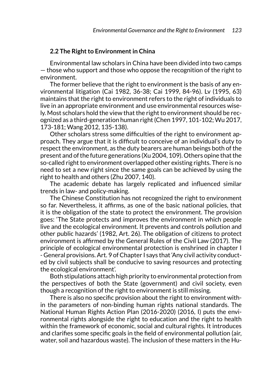#### **2.2 The Right to Environment in China**

Environmental law scholars in China have been divided into two camps — those who support and those who oppose the recognition of the right to environment.

The former believe that the right to environment is the basis of any environmental litigation (Cai 1982, 36-38; Cai 1999, 84-96). Lv (1995, 63) maintains that the right to environment refers to the right of individuals to live in an appropriate environment and use environmental resources wisely. Most scholars hold the view that the right to environment should be recognized as a third-generation human right (Chen 1997, 101-102; Wu 2017, 173-181; Wang 2012, 135-138).

Other scholars stress some difficulties of the right to environment approach. They argue that it is difficult to conceive of an individual's duty to respect the environment, as the duty bearers are human beings both of the present and of the future generations (Xu 2004, 109). Others opine that the so-called right to environment overlapped other existing rights. There is no need to set a new right since the same goals can be achieved by using the right to health and others (Zhu 2007, 140).

The academic debate has largely replicated and influenced similar trends in law- and policy-making.

The Chinese Constitution has not recognized the right to environment so far. Nevertheless, it affirms, as one of the basic national policies, that it is the obligation of the state to protect the environment. The provision goes: 'The State protects and improves the environment in which people live and the ecological environment. It prevents and controls pollution and other public hazards' (1982, Art. 26). The obligation of citizens to protect environment is affirmed by the General Rules of the Civil Law (2017). The principle of ecological environmental protection is enshrined in chapter I - General provisions. Art. 9 of Chapter I says that 'Any civil activity conducted by civil subjects shall be conducive to saving resources and protecting the ecological environment'.

Both stipulations attach high priority to environmental protection from the perspectives of both the State (government) and civil society, even though a recognition of the right to environment is still missing.

There is also no specific provision about the right to environment within the parameters of non-binding human rights national standards. The National Human Rights Action Plan (2016-2020) (2016, I) puts the environmental rights alongside the right to education and the right to health within the framework of economic, social and cultural rights. It introduces and clarifies some specific goals in the field of environmental pollution (air, water, soil and hazardous waste). The inclusion of these matters in the Hu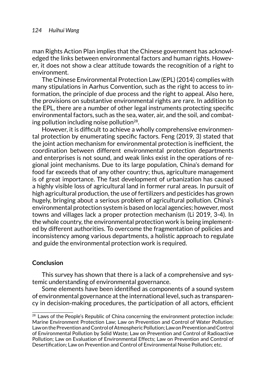man Rights Action Plan implies that the Chinese government has acknowledged the links between environmental factors and human rights. However, it does not show a clear attitude towards the recognition of a right to environment.

The Chinese Environmental Protection Law (EPL) (2014) complies with many stipulations in Aarhus Convention, such as the right to access to information, the principle of due process and the right to appeal. Also here, the provisions on substantive environmental rights are rare. In addition to the EPL, there are a number of other legal instruments protecting specific environmental factors, such as the sea, water, air, and the soil, and combating pollution including noise pollution<sup>28</sup>.

However, it is difficult to achieve a wholly comprehensive environmental protection by enumerating specific factors. Feng (2019, 3) stated that the joint action mechanism for environmental protection is inefficient, the coordination between different environmental protection departments and enterprises is not sound, and weak links exist in the operations of regional joint mechanisms. Due to its large population, China's demand for food far exceeds that of any other country; thus, agriculture management is of great importance. The fast development of urbanization has caused a highly visible loss of agricultural land in former rural areas. In pursuit of high agricultural production, the use of fertilizers and pesticides has grown hugely, bringing about a serious problem of agricultural pollution. China's environmental protection system is based on local agencies; however, most towns and villages lack a proper protection mechanism (Li 2019, 3-4). In the whole country, the environmental protection work is being implemented by different authorities. To overcome the fragmentation of policies and inconsistency among various departments, a holistic approach to regulate and guide the environmental protection work is required.

#### **Conclusion**

This survey has shown that there is a lack of a comprehensive and systemic understanding of environmental governance.

Some elements have been identified as components of a sound system of environmental governance at the international level, such as transparency in decision-making procedures, the participation of all actors, efficient

 $28$  Laws of the People's Republic of China concerning the environment protection include: Marine Environment Protection Law; Law on Prevention and Control of Water Pollution; Law on the Prevention and Control of Atmospheric Pollution; Law on Prevention and Control of Environmental Pollution by Solid Waste; Law on Prevention and Control of Radioactive Pollution; Law on Evaluation of Environmental Effects; Law on Prevention and Control of Desertification; Law on Prevention and Control of Environmental Noise Pollution; etc.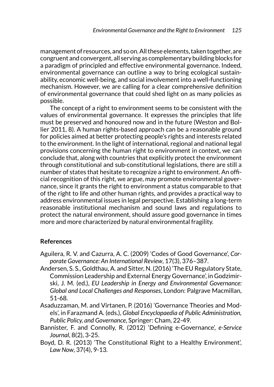management of resources, and so on. All these elements, taken together, are congruent and convergent, all serving as complementary building blocks for a paradigm of principled and effective environmental governance. Indeed, environmental governance can outline a way to bring ecological sustainability, economic well-being, and social involvement into a well-functioning mechanism. However, we are calling for a clear comprehensive definition of environmental governance that could shed light on as many policies as possible.

The concept of a right to environment seems to be consistent with the values of environmental governance. It expresses the principles that life must be preserved and honoured now and in the future (Weston and Bollier 2011, 8). A human rights-based approach can be a reasonable ground for policies aimed at better protecting people's rights and interests related to the environment. In the light of international, regional and national legal provisions concerning the human right to environment in context, we can conclude that, along with countries that explicitly protect the environment through constitutional and sub-constitutional legislations, there are still a number of states that hesitate to recognize a right to environment. An official recognition of this right, we argue, may promote environmental governance, since it grants the right to environment a status comparable to that of the right to life and other human rights, and provides a practical way to address environmental issues in legal perspective. Establishing a long-term reasonable institutional mechanism and sound laws and regulations to protect the natural environment, should assure good governance in times more and more characterized by natural environmental fragility.

## **References**

- Aguilera, R. V. and Cazurra, A. C. (2009) 'Codes of Good Governance', *Corporate Governance: An International Review*, 17(3), 376–387.
- Andersen, S. S., Goldthau, A. and Sitter, N. (2016) 'The EU Regulatory State, Commission Leadership and External Energy Governance', in Godzimirski, J. M. (ed.), *EU Leadership in Energy and Environmental Governance: Global and Local Challenges and Responses*, London: Palgrave Macmillan, 51-68.
- Asaduzzaman, M. and Virtanen, P. (2016) 'Governance Theories and Models', in Farazmand A. (eds.), *Global Encyclopaedia of Public Administration, Public Policy, and Governance*, Springer: Cham, 22-49.
- Bannister, F. and Connolly, R. (2012) 'Defining e-Governance', *e-Service Journal*, 8(2), 3-25.
- Boyd, D. R. (2013) 'The Constitutional Right to a Healthy Environment', *Law Now*, 37(4), 9-13.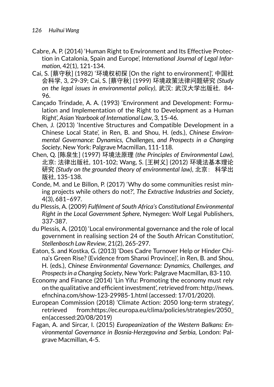- Cabre, A. P. (2014) 'Human Right to Environment and Its Effective Protection in Catalonia, Spain and Europe', *International Journal of Legal Information*, 42(1), 121-134.
- Cai, S. [蔡守秋] (1982) '环境权初探 [On the right to environment]', 中国社 会科学, 3, 29-39; Cai, S. [蔡守秋] (1999) 环境政策法律问题研究 *(Study on the legal issues in environmental policy)*, 武汉: 武汉大学出版社, 84- 96.
- Cançado Trindade, A. A. (1993) 'Environment and Development: Formulation and Implementation of the Right to Development as a Human Right', *Asian Yearbook of International Law*, 3, 15-46.
- Chen, J. (2013) 'Incentive Structures and Compatible Development in a Chinese Local State', in Ren, B. and Shou, H. (eds.), *Chinese Environmental Governance: Dynamics, Challenges, and Prospects in a Changing Society*, New York: Palgrave Macmillan, 111-118.
- Chen, Q. [陈泉生] (1997) 环境法原理 *(the Principles of Environmental Law)*, 北京: 法律出版社, 101-102; Wang, S. [王树义] (2012) 环境法基本理论 研究 *(Study on the grounded theory of environmental law)*, 北京: 科学出 版社, 135-138.
- Conde, M. and Le Billon, P. (2017) 'Why do some communities resist mining projects while others do not?', *The Extractive Industries and Society*, 4(3), 681–697.
- du Plessis, A. (2009) *Fulfilment of South Africa's Constitutional Environmental Right in the Local Government Sphere*, Nymegen: Wolf Legal Publishers, 337-387.
- du Plessis, A. (2010) 'Local environmental governance and the role of local government in realising section 24 of the South African Constitution', *Stellenbosch Law Review*, 21(2), 265-297.
- Eaton, S. and Kostka, G. (2013) 'Does Cadre Turnover Help or Hinder China's Green Rise? (Evidence from Shanxi Province)', in Ren, B. and Shou, H. (eds.), *Chinese Environmental Governance: Dynamics, Challenges, and Prospects in a Changing Society*, New York: Palgrave Macmillan, 83-110.
- Economy and Finance (2014) 'Lin Yifu: Promoting the economy must rely on the qualitative and efficient investment', retrieved from: [http://news.](http://news.efnchina.com/show-123-29985-1.html) [efnchina.com/show-123-29985-1.html](http://news.efnchina.com/show-123-29985-1.html) (accessed: 17/01/2020).
- European Commission (2018) 'Climate Action: 2050 long-term strategy', retrieved from:[https://ec.europa.eu/clima/policies/strategies/2050\\_](https://ec.europa.eu/clima/policies/strategies/2050_en) [en](https://ec.europa.eu/clima/policies/strategies/2050_en)(accessed:20/08/2019)
- Fagan, A. and Sircar, I. (2015) *Europeanization of the Western Balkans: Environmental Governance in Bosnia-Herzegovina and Serbia,* London: Palgrave Macmillan, 4-5.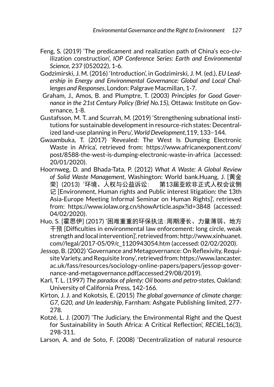- Feng, S. (2019) 'The predicament and realization path of China's eco-civilization construction', *IOP Conference Series: Earth and Environmental Science,* 237 (052022), 1-6.
- Godzimirski, J. M. (2016) 'Introduction', in Godzimirski, J. M. (ed.), *EU Leadership in Energy and Environmental Governance: Global and Local Challenges and Responses*, London: Palgrave Macmillan, 1-7.
- Graham, J., Amos, B. and Plumptre, T. (2003) *Principles for Good Governance in the 21st Century Policy (Brief No.15),* Ottawa: Institute on Governance, 1-8.
- Gustafsson, M. T. and Scurrah, M. (2019) 'Strengthening subnational institutions for sustainable development in resource-rich states: Decentralized land-use planning in Peru', *World Development*,119, 133–144.
- Gwaambuka, T. (2017) 'Revealed: The West Is Dumping Electronic Waste in Africa', retrieved from: [https://www.africanexponent.com/](https://www.africanexponent.com/post/8588-the-west-is-dumping-electronic-waste-in-africa) [post/8588-the-west-is-dumping-electronic-waste-in-africa](https://www.africanexponent.com/post/8588-the-west-is-dumping-electronic-waste-in-africa) (accessed: 20/01/2020).
- Hoornweg, D. and Bhada-Tata, P. (2012) *What A Waste: A Global Review of Solid Waste Management*, Washington: World bank.Huang, J. [黄金 荣] (2013) '环境、人权与公益诉讼: 第13届亚欧非正式人权会议侧 记 [Environment, Human rights and Public interest litigation: the 13th Asia-Europe Meeting Informal Seminar on Human Rights]', retrieved from: <https://www.iolaw.org.cn/showArticle.aspx?id=3848> (accessed: 04/02/2020).
- Huo, S. [霍思伊] (2017) '困难重重的环保执法:周期漫长、力量薄弱、地方 干预 [Difficulties in environmental law enforcement: long circle, weak strength and local intervention]', retrieved from: [http://www.xinhuanet.](http://www.xinhuanet.com//legal/2017-05/09/c_1120943054.htm) [com//legal/2017-05/09/c\\_1120943054.htm](http://www.xinhuanet.com//legal/2017-05/09/c_1120943054.htm) (accessed: 02/02/2020).
- Jessop, B. (2002) 'Governance and Metagovernance: On Reflexivity, Requisite Variety, and Requisite Irony', retrieved from: [https://www.lancaster.](https://www.lancaster.ac.uk/fass/resources/sociology-online-papers/papers/jessop-governance-and-metagovernance.pdf) [ac.uk/fass/resources/sociology-online-papers/papers/jessop-gover](https://www.lancaster.ac.uk/fass/resources/sociology-online-papers/papers/jessop-governance-and-metagovernance.pdf)[nance-and-metagovernance.pdf\(](https://www.lancaster.ac.uk/fass/resources/sociology-online-papers/papers/jessop-governance-and-metagovernance.pdf)accessed:29/08/2019).
- Karl, T. L. (1997) *The paradox of plenty: Oil booms and petro-states*, Oakland: University of California Press, 142-166.
- Kirton, J. J. and Kokotsis, E. (2015) *The global governance of climate change: G7, G20, and Un leadership*, Farnham: Ashgate Publishing limited, 277- 278.
- Kotzé, L. J. (2007) 'The Judiciary, the Environmental Right and the Quest for Sustainability in South Africa: A Critical Reflection', *RECIEL,*16(3), 298-311.
- Larson, A. and de Soto, F. (2008) 'Decentralization of natural resource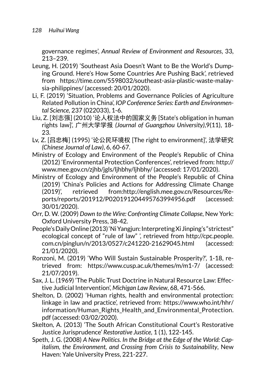governance regimes', *Annual Review of Environment and Resources*, 33, 213–239.

- Leung, H. (2019) 'Southeast Asia Doesn't Want to Be the World's Dumping Ground. Here's How Some Countries Are Pushing Back', retrieved from [https://time.com/5598032/southeast-asia-plastic-waste-malay](https://time.com/5598032/southeast-asia-plastic-waste-malaysia-philippines/)[sia-philippines/](https://time.com/5598032/southeast-asia-plastic-waste-malaysia-philippines/) (accessed: 20/01/2020).
- Li, F. (2019) 'Situation, Problems and Governance Policies of Agriculture Related Pollution in China', *IOP Conference Series: Earth and Environmental Science,* 237 (022033), 1-6.
- Liu, Z. [刘志强] (2010) '论人权法中的国家义务 [State's obligation in human rights law]', 广州大学学报 *(Journal of Guangzhou University)*,9(11), 18- 23.
- Lv, Z. [吕忠梅] (1995) '论公民环境权 [The right to environment]', 法学研究 *(Chinese Journal of Law)*, 6, 60-67.
- Ministry of Ecology and Environment of the People's Republic of China (2012) 'Environmental Protection Conferences', retrieved from: [http://](http://www.mee.gov.cn/zjhb/jgls/ljhbhy/ljhbhy/) [www.mee.gov.cn/zjhb/jgls/ljhbhy/ljhbhy/](http://www.mee.gov.cn/zjhb/jgls/ljhbhy/ljhbhy/) (accessed: 17/01/2020).
- Ministry of Ecology and Environment of the People's Republic of China (2019) 'China's Policies and Actions for Addressing Climate Change (2019)', retrieved from:[http://english.mee.gov.cn/Resources/Re](http://english.mee.gov.cn/Resources/Reports/reports/201912/P020191204495763994956.pdf)[ports/reports/201912/P020191204495763994956.pdf](http://english.mee.gov.cn/Resources/Reports/reports/201912/P020191204495763994956.pdf) (accessed: 30/01/2020).
- Orr, D. W. (2009) *Down to the Wire: Confronting Climate Collapse*, New York: Oxford University Press, 38-42.
- People's Daily Online (2013) 'Ni Yangjun: Interpreting Xi Jinping's "strictest" ecological concept of "rule of law" ', retrieved from [http://cpc.people.](http://cpc.people.com.cn/pinglun/n/2013/0527/c241220-21629045.html) [com.cn/pinglun/n/2013/0527/c241220-21629045.html](http://cpc.people.com.cn/pinglun/n/2013/0527/c241220-21629045.html) (accessed: 21/01/2020).
- Ronzoni, M. (2019) 'Who Will Sustain Sustainable Prosperity?', 1-18, retrieved from: <https://www.cusp.ac.uk/themes/m/m1-7/>(accessed: 21/07/2019).
- Sax, J. L. (1969) 'The Public Trust Doctrine in Natural Resource Law: Effective Judicial Intervention', *Michigan Law Review*, 68, 471-566.
- Shelton, D. (2002) 'Human rights, health and environmental protection: linkage in law and practice', retrieved from: [https://www.who.int/hhr/](https://www.who.int/hhr/information/Human_Rights_Health_and_Environmental_Protection.pdf) [information/Human\\_Rights\\_Health\\_and\\_Environmental\\_Protection.](https://www.who.int/hhr/information/Human_Rights_Health_and_Environmental_Protection.pdf) [pdf](https://www.who.int/hhr/information/Human_Rights_Health_and_Environmental_Protection.pdf) (accessed: 03/02/2020).
- Skelton, A. (2013) 'The South African Constitutional Court's Restorative Justice Jurisprudence' *Restorative Justice,* 1 (1), 122-145.
- Speth, J. G. (2008) *A New Politics. In the Bridge at the Edge of the World: Capitalism, the Environment, and Crossing from Crisis to Sustainability*, New Haven: Yale University Press, 221-227.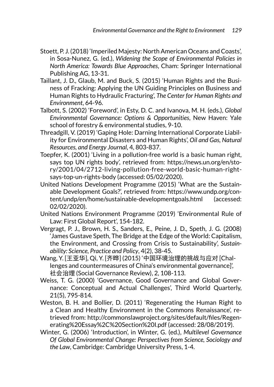- Stoett, P. J. (2018) 'Imperiled Majesty: North American Oceans and Coasts', in Sosa-Nunez, G. (ed.), *Widening the Scope of Environmental Policies in North America: Towards Blue Approaches*, Cham: Springer International Publishing AG, 13-31.
- Taillant, J. D., Glaub, M. and Buck, S. (2015) 'Human Rights and the Business of Fracking: Applying the UN Guiding Principles on Business and Human Rights to Hydraulic Fracturing', *The Center for Human Rights and Environment*, 64-96.
- Talbott, S. (2002) 'Foreword', in Esty, D. C. and Ivanova, M. H. (eds.), *Global Environmental Governance: Options & Opportunities*, New Haven: Yale school of forestry & environmental studies, 9-10.
- Threadgill, V. (2019) 'Gaping Hole: Darning International Corporate Liability for Environmental Disasters and Human Rights', *Oil and Gas, Natural Resources, and Energy Journal*, 4, 803-837.
- Toepfer, K. (2001) 'Living in a pollution-free world is a basic human right, says top UN rights body', retrieved from: [https://news.un.org/en/sto](https://news.un.org/en/story/2001/04/2712-living-pollution-free-world-basic-human-right-says-top-un-rights-body)[ry/2001/04/2712-living-pollution-free-world-basic-human-right](https://news.un.org/en/story/2001/04/2712-living-pollution-free-world-basic-human-right-says-top-un-rights-body)[says-top-un-rights-body](https://news.un.org/en/story/2001/04/2712-living-pollution-free-world-basic-human-right-says-top-un-rights-body) (accessed: 05/02/2020).
- United Nations Development Programme (2015) 'What are the Sustainable Development Goals?', retrieved from: [https://www.undp.org/con](https://www.undp.org/content/undp/en/home/sustainable-developmentgoals.html)[tent/undp/en/home/sustainable-developmentgoals.html](https://www.undp.org/content/undp/en/home/sustainable-developmentgoals.html) (accessed: 02/02/2020).
- United Nations Environment Programme (2019) 'Environmental Rule of Law: First Global Report', 154-182.
- Vergragt, P. J., Brown, H. S., Sanders, E., Peine, J. D., Speth, J. G. (2008) 'James Gustave Speth, The Bridge at the Edge of the World: Capitalism, the Environment, and Crossing from Crisis to Sustainability', *Sustainability: Science, Practice and Policy*, 4(2), 38-45.
- Wang, Y. [王亚华], Qi, Y. [齐晔] (2015) '中国环境治理的挑战与应对 [Challenges and countermeasures of China's environmental governance]', 社会治理 (Social Governance Review), 2, 108-113.
- Weiss, T. G. (2000) 'Governance, Good Governance and Global Governance: Conceptual and Actual Challenges', Third World Quarterly, 21(5), 795-814.
- Weston, B. H. and Bollier, D. (2011) 'Regenerating the Human Right to a Clean and Healthy Environment in the Commons Renaissance', retrieved from: [http://commonslawproject.org/sites/default/files/Regen](http://commonslawproject.org/sites/default/files/Regenerating%20Essay%2C%20Section%20I.pdf)[erating%20Essay%2C%20Section%20I.pdf](http://commonslawproject.org/sites/default/files/Regenerating%20Essay%2C%20Section%20I.pdf) (accessed: 28/08/2019).
- Winter, G. (2006) 'Introduction', in Winter, G. (ed.), *Multilevel Governance Of Global Environmental Change: Perspectives from Science, Sociology and the Law*, Cambridge: Cambridge University Press, 1-4.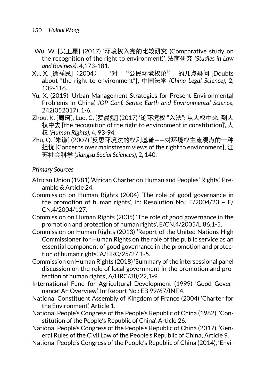- Wu, W. [吴卫星] (2017) '环境权入宪的比较研究 (Comparative study on the recognition of the right to environment)', 法商研究 *(Studies in Law and Business)*, 4,173-181.
- Xu, X. [徐祥民](2004) '对 "公民环境权论" 的几点疑问 [Doubts about "the right to environment"]', 中国法学 *(China Legal Science)*, 2, 109-116.
- Yu, X. (2019) 'Urban Management Strategies for Present Environmental Problems in China', *IOP Conf. Series: Earth and Environmental Science*, 242(052017), 1-6.
- Zhou, K. [周珂], Luo, C. [罗晨煜] (2017) '论环境权 "入法": 从人权中来, 到人 权中去 [the recognition of the right to environment in constitution]', 人 权 *(Human Rights)*, 4, 93-94.
- Zhu, Q. [朱谦] (2007) '反思环境法的权利基础——对环境权主流观点的一种 担忧 [Concerns over mainstream views of the right to environment]', 江 苏社会科学 *(Jiangsu Social Sciences)*, 2, 140.

## *Primary Sources*

- African Union (1981) 'African Charter on Human and Peoples' Rights', Preamble & Article 24.
- Commission on Human Rights (2004) 'The role of good governance in the promotion of human rights', In: Resolution No.: E/2004/23 – E/ CN.4/2004/127.
- Commission on Human Rights (2005) 'The role of good governance in the promotion and protection of human rights', E/CN.4/2005/L.86,1-5.
- Commission on Human Rights (2013) 'Report of the United Nations High Commissioner for Human Rights on the role of the public service as an essential component of good governance in the promotion and protection of human rights', A/HRC/25/27,1-5.
- Commission on Human Rights (2018) 'Summary of the intersessional panel discussion on the role of local government in the promotion and protection of human rights', A/HRC/38/22,1-9.
- International Fund for Agricultural Development (1999) 'Good Governance: An Overview', In: Report No.: EB 99/67/INF.4.
- National Constituent Assembly of Kingdom of France (2004) 'Charter for the Environment', Article 1.
- National People's Congress of the People's Republic of China (1982), 'Constitution of the People's Republic of China', Article 26.
- National People's Congress of the People's Republic of China (2017), 'General Rules of the Civil Law of the People's Republic of China', Article 9.
- National People's Congress of the People's Republic of China (2014), 'Envi-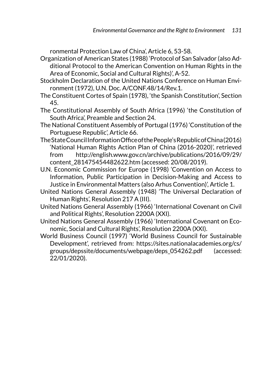ronmental Protection Law of China', Article 6, 53-58.

- Organization of American States (1988) 'Protocol of San Salvador (also Additional Protocol to the American Convention on Human Rights in the Area of Economic, Social and Cultural Rights)', A-52.
- Stockholm Declaration of the United Nations Conference on Human Environment (1972), U.N. Doc. A/CONF.48/14/Rev.1.
- The Constituent Cortes of Spain (1978), 'the Spanish Constitution', Section 45.
- The Constitutional Assembly of South Africa (1996) 'the Constitution of South Africa', Preamble and Section 24.
- The National Constituent Assembly of Portugal (1976) 'Constitution of the Portuguese Republic', Article 66.
- The State Council Information Office of the People's Republic of China (2016) 'National Human Rights Action Plan of China (2016-2020)', retrieved from http://english.www.gov.cn/archive/publications/2016/09/29/ content\_281475454482622.htm (accessed: 20/08/2019).
- U.N. Economic Commission for Europe (1998) 'Convention on Access to Information, Public Participation in Decision-Making and Access to Justice in Environmental Matters (also Arhus Convention)', Article 1.
- United Nations General Assembly (1948) 'The Universal Declaration of Human Rights', Resolution 217 A (III).
- United Nations General Assembly (1966) 'International Covenant on Civil and Political Rights', Resolution 2200A (XXI).
- United Nations General Assembly (1966) 'International Covenant on Economic, Social and Cultural Rights', Resolution 2200A (XXI).
- World Business Council (1997) 'World Business Council for Sustainable Development', retrieved from: [https://sites.nationalacademies.org/cs/](https://sites.nationalacademies.org/cs/groups/depssite/documents/webpage/deps_054262.pdf) [groups/depssite/documents/webpage/deps\\_054262.pdf](https://sites.nationalacademies.org/cs/groups/depssite/documents/webpage/deps_054262.pdf) (accessed: 22/01/2020).